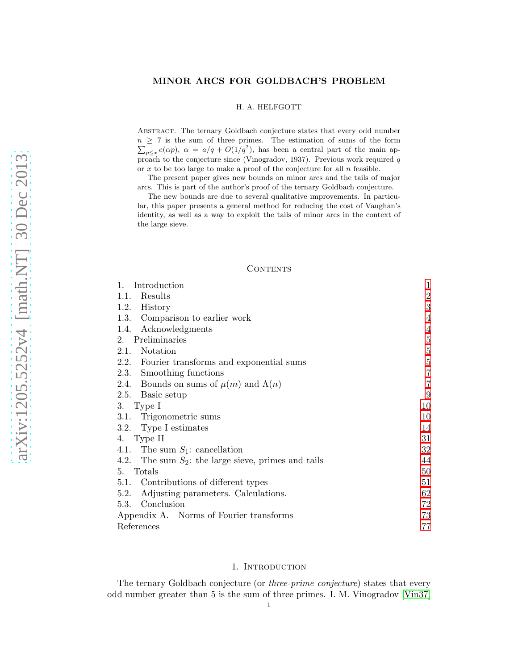## MINOR ARCS FOR GOLDBACH'S PROBLEM

#### H. A. HELFGOTT

Abstract. The ternary Goldbach conjecture states that every odd number  $n \geq 7$  is the sum of three primes. The estimation of sums of the form  $\sum_{p \leq x} e(\alpha p)$ ,  $\alpha = a/q + O(1/q^2)$ , has been a central part of the main approach to the conjecture since (Vinogradov, 1937). Previous work required  $q$ or  $x$  to be too large to make a proof of the conjecture for all  $n$  feasible.

The present paper gives new bounds on minor arcs and the tails of major arcs. This is part of the author's proof of the ternary Goldbach conjecture.

The new bounds are due to several qualitative improvements. In particular, this paper presents a general method for reducing the cost of Vaughan's identity, as well as a way to exploit the tails of minor arcs in the context of the large sieve.

## **CONTENTS**

| Introduction<br>1.                                     | 1              |
|--------------------------------------------------------|----------------|
| Results<br>1.1.                                        | $\overline{2}$ |
| 1.2.<br>History                                        | 3              |
| 1.3. Comparison to earlier work                        | 4              |
| Acknowledgments<br>1.4.                                | 4              |
| 2. Preliminaries                                       | $\bf 5$        |
| Notation<br>2.1.                                       | $5\,$          |
| 2.2. Fourier transforms and exponential sums           | $\overline{5}$ |
| 2.3. Smoothing functions                               | $\overline{7}$ |
| 2.4. Bounds on sums of $\mu(m)$ and $\Lambda(n)$       | 7              |
| 2.5. Basic setup                                       | 9              |
| 3. Type I                                              | 10             |
| 3.1. Trigonometric sums                                | 10             |
| 3.2. Type I estimates                                  | 14             |
| 4. Type II                                             |                |
| 4.1. The sum $S_1$ : cancellation                      | 32             |
| 4.2. The sum $S_2$ : the large sieve, primes and tails | 44             |
| Totals<br>5.                                           |                |
| Contributions of different types<br>5.1.               | 51             |
| 5.2. Adjusting parameters. Calculations.               | 62             |
| 5.3. Conclusion                                        |                |
| Appendix A. Norms of Fourier transforms                |                |
| References                                             |                |

### 1. INTRODUCTION

<span id="page-0-0"></span>The ternary Goldbach conjecture (or *three-prime conjecture*) states that every odd number greater than 5 is the sum of three primes. I. M. Vinogradov [\[Vin37\]](#page-78-0)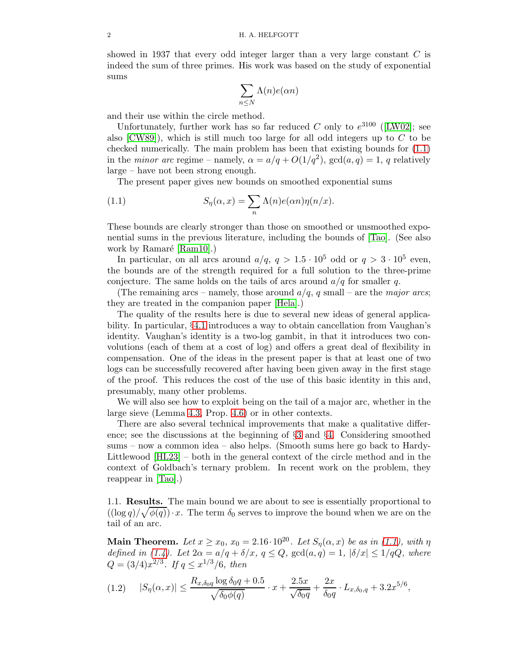showed in 1937 that every odd integer larger than a very large constant C is indeed the sum of three primes. His work was based on the study of exponential sums

$$
\sum_{n\leq N}\Lambda(n)e(\alpha n)
$$

and their use within the circle method.

Unfortunately, further work has so far reduced C only to  $e^{3100}$  ([\[LW02\]](#page-77-0); see also  $[CW89]$ , which is still much too large for all odd integers up to C to be checked numerically. The main problem has been that existing bounds for [\(1.1\)](#page-1-1) in the *minor arc* regime – namely,  $\alpha = a/q + O(1/q^2)$ ,  $gcd(a,q) = 1$ , q relatively large – have not been strong enough.

<span id="page-1-1"></span>The present paper gives new bounds on smoothed exponential sums

(1.1) 
$$
S_{\eta}(\alpha, x) = \sum_{n} \Lambda(n) e(\alpha n) \eta(n/x).
$$

These bounds are clearly stronger than those on smoothed or unsmoothed exponential sums in the previous literature, including the bounds of [\[Tao\]](#page-78-1). (See also work by Ramaré  $[Ram10]$ .)

In particular, on all arcs around  $a/q$ ,  $q > 1.5 \cdot 10^5$  odd or  $q > 3 \cdot 10^5$  even, the bounds are of the strength required for a full solution to the three-prime conjecture. The same holds on the tails of arcs around  $a/q$  for smaller q.

(The remaining arcs – namely, those around  $a/q$ , q small – are the major arcs; they are treated in the companion paper [\[Hela\]](#page-77-3).)

The quality of the results here is due to several new ideas of general applicability. In particular, §[4.1](#page-31-0) introduces a way to obtain cancellation from Vaughan's identity. Vaughan's identity is a two-log gambit, in that it introduces two convolutions (each of them at a cost of log) and offers a great deal of flexibility in compensation. One of the ideas in the present paper is that at least one of two logs can be successfully recovered after having been given away in the first stage of the proof. This reduces the cost of the use of this basic identity in this and, presumably, many other problems.

We will also see how to exploit being on the tail of a major arc, whether in the large sieve (Lemma [4.3,](#page-43-1) Prop. [4.6\)](#page-48-0) or in other contexts.

There are also several technical improvements that make a qualitative difference; see the discussions at the beginning of §[3](#page-9-0) and §[4.](#page-30-0) Considering smoothed sums – now a common idea – also helps. (Smooth sums here go back to Hardy-Littlewood [\[HL23\]](#page-77-4) – both in the general context of the circle method and in the context of Goldbach's ternary problem. In recent work on the problem, they reappear in [\[Tao\]](#page-78-1).)

<span id="page-1-0"></span>1.1. Results. The main bound we are about to see is essentially proportional to  $((\log q)/\sqrt{\phi(q)})\cdot x$ . The term  $\delta_0$  serves to improve the bound when we are on the tail of an arc.

Main Theorem. Let  $x \ge x_0$ ,  $x_0 = 2.16 \cdot 10^{20}$ . Let  $S_\eta(\alpha, x)$  be as in [\(1.1\)](#page-1-1), with  $\eta$ defined in [\(1.4\)](#page-2-1). Let  $2\alpha = a/q + \delta/x$ ,  $q \leq Q$ ,  $gcd(a,q) = 1$ ,  $|\delta/x| \leq 1/qQ$ , where  $Q = (3/4)x^{2/3}$ . If  $q \leq x^{1/3}/6$ , then

$$
(1.2) \qquad |S_{\eta}(\alpha, x)| \le \frac{R_{x, \delta_0 q} \log \delta_0 q + 0.5}{\sqrt{\delta_0 \phi(q)}} \cdot x + \frac{2.5x}{\sqrt{\delta_0 q}} + \frac{2x}{\delta_0 q} \cdot L_{x, \delta_0, q} + 3.2x^{5/6},
$$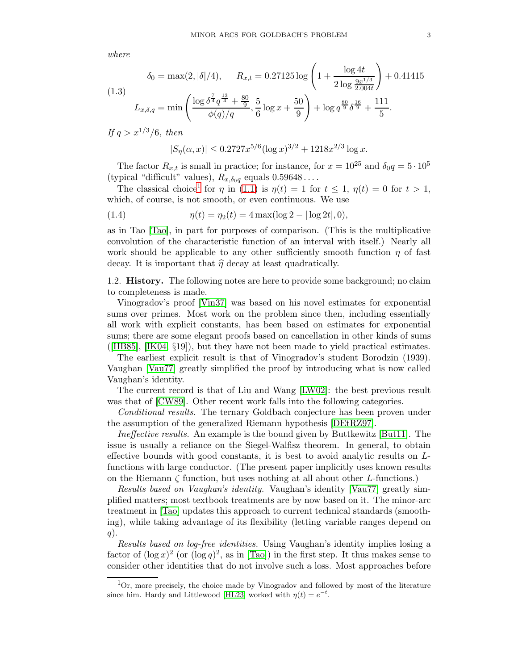where

(1.3)  

$$
\delta_0 = \max(2, |\delta|/4), \qquad R_{x,t} = 0.27125 \log \left( 1 + \frac{\log 4t}{2 \log \frac{9x^{1/3}}{2.004t}} \right) + 0.41415
$$

$$
L_{x,\delta,q} = \min \left( \frac{\log \delta^{\frac{7}{4}} q^{\frac{13}{4}} + \frac{80}{9}}{\phi(q)/q}, \frac{5}{6} \log x + \frac{50}{9} \right) + \log q^{\frac{80}{9}} \delta^{\frac{16}{9}} + \frac{111}{5}.
$$

If  $q > x^{1/3}/6$ , then

<span id="page-2-1"></span>
$$
|S_{\eta}(\alpha, x)| \le 0.2727x^{5/6} (\log x)^{3/2} + 1218x^{2/3} \log x.
$$

The factor  $R_{x,t}$  is small in practice; for instance, for  $x = 10^{25}$  and  $\delta_0 q = 5 \cdot 10^5$ (typical "difficult" values),  $R_{x,\delta_0q}$  equals  $0.59648...$ .

The classical choice<sup>[1](#page-2-2)</sup> for  $\eta$  in [\(1.1\)](#page-1-1) is  $\eta(t) = 1$  for  $t \le 1$ ,  $\eta(t) = 0$  for  $t > 1$ , which, of course, is not smooth, or even continuous. We use

(1.4) 
$$
\eta(t) = \eta_2(t) = 4 \max(\log 2 - |\log 2t|, 0),
$$

as in Tao [\[Tao\]](#page-78-1), in part for purposes of comparison. (This is the multiplicative convolution of the characteristic function of an interval with itself.) Nearly all work should be applicable to any other sufficiently smooth function  $\eta$  of fast decay. It is important that  $\hat{\eta}$  decay at least quadratically.

<span id="page-2-0"></span>1.2. History. The following notes are here to provide some background; no claim to completeness is made.

Vinogradov's proof [\[Vin37\]](#page-78-0) was based on his novel estimates for exponential sums over primes. Most work on the problem since then, including essentially all work with explicit constants, has been based on estimates for exponential sums; there are some elegant proofs based on cancellation in other kinds of sums ([\[HB85\]](#page-77-5), [\[IK04,](#page-77-6) §19]), but they have not been made to yield practical estimates.

The earliest explicit result is that of Vinogradov's student Borodzin (1939). Vaughan [\[Vau77\]](#page-78-2) greatly simplified the proof by introducing what is now called Vaughan's identity.

The current record is that of Liu and Wang [\[LW02\]](#page-77-0): the best previous result was that of [\[CW89\]](#page-77-1). Other recent work falls into the following categories.

Conditional results. The ternary Goldbach conjecture has been proven under the assumption of the generalized Riemann hypothesis [\[DEtRZ97\]](#page-77-7).

Ineffective results. An example is the bound given by Buttkewitz [\[But11\]](#page-77-8). The issue is usually a reliance on the Siegel-Walfisz theorem. In general, to obtain effective bounds with good constants, it is best to avoid analytic results on Lfunctions with large conductor. (The present paper implicitly uses known results on the Riemann  $\zeta$  function, but uses nothing at all about other *L*-functions.)

Results based on Vaughan's identity. Vaughan's identity [\[Vau77\]](#page-78-2) greatly simplified matters; most textbook treatments are by now based on it. The minor-arc treatment in [\[Tao\]](#page-78-1) updates this approach to current technical standards (smoothing), while taking advantage of its flexibility (letting variable ranges depend on  $q$ ).

Results based on log-free identities. Using Vaughan's identity implies losing a factor of  $(\log x)^2$  (or  $(\log q)^2$ , as in [\[Tao\]](#page-78-1)) in the first step. It thus makes sense to consider other identities that do not involve such a loss. Most approaches before

<span id="page-2-2"></span> $1$ Or, more precisely, the choice made by Vinogradov and followed by most of the literature since him. Hardy and Littlewood [\[HL23\]](#page-77-4) worked with  $\eta(t) = e^{-t}$ .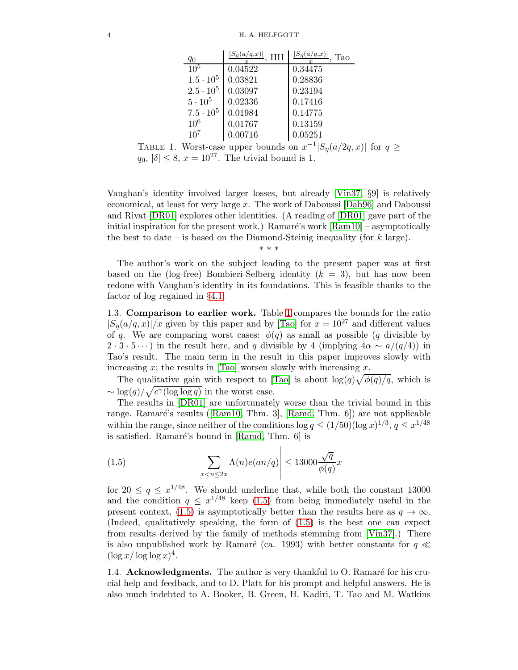| $q_0$              | $ S_{\eta}(a/q,x) $<br>HH | $ S_{\eta}(a/q,x) $<br>Tao |
|--------------------|---------------------------|----------------------------|
| $10^{5}$           | 0.04522                   | 0.34475                    |
| $1.5 \cdot 10^{5}$ | 0.03821                   | 0.28836                    |
| $2.5 \cdot 10^5$   | 0.03097                   | 0.23194                    |
| $5 \cdot 10^5$     | 0.02336                   | 0.17416                    |
| $7.5 \cdot 10^5$   | 0.01984                   | 0.14775                    |
| 10 <sup>6</sup>    | 0.01767                   | 0.13159                    |
| $10^{7}$           | 0.00716                   | 0.05251                    |

<span id="page-3-2"></span>TABLE 1. Worst-case upper bounds on  $x^{-1}|S_n(a/2q, x)|$  for  $q \ge$  $q_0, |\delta| \leq 8$ ,  $x = 10^{27}$ . The trivial bound is 1.

Vaughan's identity involved larger losses, but already [\[Vin37,](#page-78-0) §9] is relatively economical, at least for very large x. The work of Daboussi [\[Dab96\]](#page-77-9) and Daboussi and Rivat [\[DR01\]](#page-77-10) explores other identities. (A reading of [\[DR01\]](#page-77-10) gave part of the initial inspiration for the present work.) Ramaré's work  $\lbrack Ram10 \rbrack$  – asymptotically the best to date – is based on the Diamond-Steinig inequality (for  $k$  large).

\* \* \*

The author's work on the subject leading to the present paper was at first based on the (log-free) Bombieri-Selberg identity  $(k = 3)$ , but has now been redone with Vaughan's identity in its foundations. This is feasible thanks to the factor of log regained in §[4.1.](#page-31-0)

<span id="page-3-0"></span>1.3. Comparison to earlier work. Table [1](#page-3-2) compares the bounds for the ratio  $|S_n(a/q, x)|/x$  given by this paper and by [\[Tao\]](#page-78-1) for  $x = 10^{27}$  and different values of q. We are comparing worst cases:  $\phi(q)$  as small as possible (q divisible by  $2 \cdot 3 \cdot 5 \cdots$ ) in the result here, and q divisible by 4 (implying  $4\alpha \sim a/(q/4)$ ) in Tao's result. The main term in the result in this paper improves slowly with increasing x; the results in [\[Tao\]](#page-78-1) worsen slowly with increasing x.

The qualitative gain with respect to [\[Tao\]](#page-78-1) is about  $\log(q)\sqrt{\phi(q)/q}$ , which is  $\sim \log(q)/\sqrt{e^{\gamma}(\log\log q)}$  in the worst case.

The results in [\[DR01\]](#page-77-10) are unfortunately worse than the trivial bound in this range. Ramaré's results ([\[Ram10,](#page-77-2) Thm. 3], [\[Ramd,](#page-77-11) Thm. 6]) are not applicable within the range, since neither of the conditions  $\log q \leq (1/50)(\log x)^{1/3}, q \leq x^{1/48}$ is satisfied. Ramaré's bound in  $[Ram, Thm. 6]$  is

<span id="page-3-3"></span>(1.5) 
$$
\left| \sum_{x < n \leq 2x} \Lambda(n) e(an/q) \right| \leq 13000 \frac{\sqrt{q}}{\phi(q)} x
$$

for  $20 \le q \le x^{1/48}$ . We should underline that, while both the constant 13000 and the condition  $q \leq x^{1/48}$  keep [\(1.5\)](#page-3-3) from being immediately useful in the present context, [\(1.5\)](#page-3-3) is asymptotically better than the results here as  $q \to \infty$ . (Indeed, qualitatively speaking, the form of [\(1.5\)](#page-3-3) is the best one can expect from results derived by the family of methods stemming from [\[Vin37\]](#page-78-0).) There is also unpublished work by Ramaré (ca. 1993) with better constants for  $q \ll$  $(\log x/\log \log x)^4$ .

<span id="page-3-1"></span>1.4. Acknowledgments. The author is very thankful to  $O$ . Ramaré for his crucial help and feedback, and to D. Platt for his prompt and helpful answers. He is also much indebted to A. Booker, B. Green, H. Kadiri, T. Tao and M. Watkins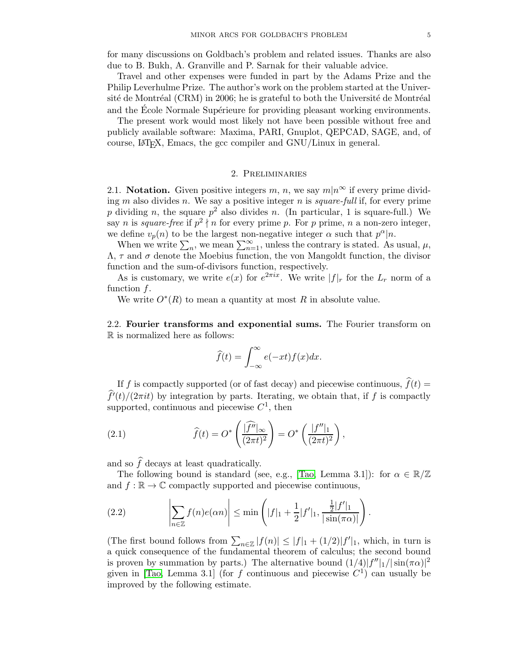Travel and other expenses were funded in part by the Adams Prize and the Philip Leverhulme Prize. The author's work on the problem started at the Université de Montréal (CRM) in 2006; he is grateful to both the Université de Montréal and the Ecole Normale Supérieure for providing pleasant working environments.

The present work would most likely not have been possible without free and publicly available software: Maxima, PARI, Gnuplot, QEPCAD, SAGE, and, of course, LATEX, Emacs, the gcc compiler and GNU/Linux in general.

## 2. Preliminaries

<span id="page-4-1"></span><span id="page-4-0"></span>2.1. Notation. Given positive integers m, n, we say  $m|n^{\infty}$  if every prime dividing m also divides n. We say a positive integer n is *square-full* if, for every prime p dividing n, the square  $p^2$  also divides n. (In particular, 1 is square-full.) We say *n* is *square-free* if  $p^2 \nmid n$  for every prime *p*. For *p* prime, *n* a non-zero integer, we define  $v_p(n)$  to be the largest non-negative integer  $\alpha$  such that  $p^{\alpha}|n$ .

When we write  $\sum_n$ , we mean  $\sum_{n=1}^{\infty}$ , unless the contrary is stated. As usual,  $\mu$ ,  $\Lambda$ ,  $\tau$  and  $\sigma$  denote the Moebius function, the von Mangoldt function, the divisor function and the sum-of-divisors function, respectively.

As is customary, we write  $e(x)$  for  $e^{2\pi ix}$ . We write  $|f|_r$  for the  $L_r$  norm of a function  $f$ .

We write  $O^*(R)$  to mean a quantity at most R in absolute value.

<span id="page-4-2"></span>2.2. Fourier transforms and exponential sums. The Fourier transform on R is normalized here as follows:

<span id="page-4-3"></span>
$$
\widehat{f}(t) = \int_{-\infty}^{\infty} e(-xt)f(x)dx.
$$

If f is compactly supported (or of fast decay) and piecewise continuous,  $\hat{f}(t)$  =  $\hat{f}'(t)/(2\pi i t)$  by integration by parts. Iterating, we obtain that, if f is compactly supported, continuous and piecewise  $C^1$ , then

(2.1) 
$$
\widehat{f}(t) = O^* \left( \frac{|\widehat{f''}|_{\infty}}{(2\pi t)^2} \right) = O^* \left( \frac{|f''|_1}{(2\pi t)^2} \right),
$$

and so  $\hat{f}$  decays at least quadratically.

The following bound is standard (see, e.g., [\[Tao,](#page-78-1) Lemma 3.1]): for  $\alpha \in \mathbb{R}/\mathbb{Z}$ and  $f : \mathbb{R} \to \mathbb{C}$  compactly supported and piecewise continuous,

<span id="page-4-4"></span>(2.2) 
$$
\left|\sum_{n\in\mathbb{Z}}f(n)e(\alpha n)\right|\leq \min\left(|f|_1+\frac{1}{2}|f'|_1,\frac{\frac{1}{2}|f'|_1}{|\sin(\pi\alpha)|}\right).
$$

(The first bound follows from  $\sum_{n\in\mathbb{Z}}|f(n)| \leq |f|_1 + (1/2)|f'|_1$ , which, in turn is a quick consequence of the fundamental theorem of calculus; the second bound is proven by summation by parts.) The alternative bound  $(1/4)|f''|_1/|\sin(\pi\alpha)|^2$ given in [\[Tao,](#page-78-1) Lemma 3.1] (for f continuous and piecewise  $C<sup>1</sup>$ ) can usually be improved by the following estimate.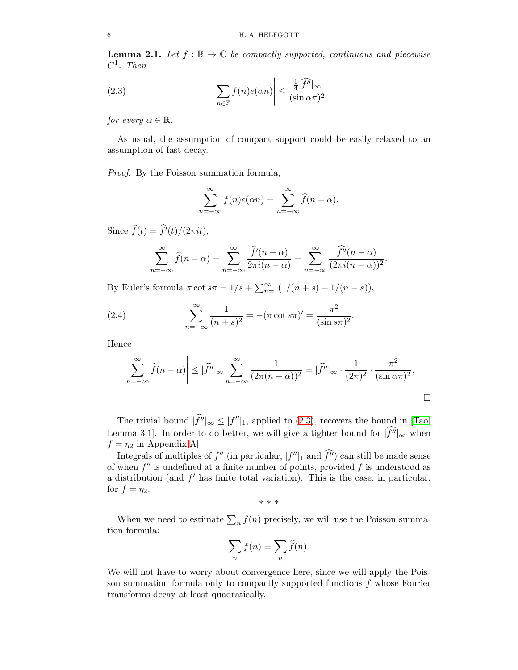<span id="page-5-1"></span>**Lemma 2.1.** Let  $f : \mathbb{R} \to \mathbb{C}$  be compactly supported, continuous and piecewise  $C^1$ . Then

(2.3) 
$$
\left| \sum_{n \in \mathbb{Z}} f(n) e(\alpha n) \right| \leq \frac{\frac{1}{4} |\widehat{f}^n|_{\infty}}{(\sin \alpha \pi)^2}
$$

for every  $\alpha \in \mathbb{R}$ .

As usual, the assumption of compact support could be easily relaxed to an assumption of fast decay.

Proof. By the Poisson summation formula,

<span id="page-5-0"></span>
$$
\sum_{n=-\infty}^{\infty} f(n)e(\alpha n) = \sum_{n=-\infty}^{\infty} \widehat{f}(n-\alpha).
$$

Since  $f(t) = f'(t)/(2\pi i t),$ 

$$
\sum_{n=-\infty}^{\infty} \widehat{f}(n-\alpha) = \sum_{n=-\infty}^{\infty} \frac{\widehat{f}'(n-\alpha)}{2\pi i(n-\alpha)} = \sum_{n=-\infty}^{\infty} \frac{\widehat{f}''(n-\alpha)}{(2\pi i(n-\alpha))^2}.
$$

By Euler's formula  $\pi \cot s\pi = 1/s + \sum_{n=1}^{\infty} (1/(n+s) - 1/(n-s)),$ 

(2.4) 
$$
\sum_{n=-\infty}^{\infty} \frac{1}{(n+s)^2} = -(\pi \cot s\pi)' = \frac{\pi^2}{(\sin s\pi)^2}.
$$

Hence

$$
\left|\sum_{n=-\infty}^{\infty} \widehat{f}(n-\alpha)\right| \leq |\widehat{f}''|_{\infty} \sum_{n=-\infty}^{\infty} \frac{1}{(2\pi(n-\alpha))^2} = |\widehat{f}''|_{\infty} \cdot \frac{1}{(2\pi)^2} \cdot \frac{\pi^2}{(\sin \alpha \pi)^2}.
$$

The trivial bound  $|f''|_{\infty} \leq |f''|_1$ , applied to [\(2.3\)](#page-5-0), recovers the bound in [\[Tao,](#page-78-1) Lemma 3.1]. In order to do better, we will give a tighter bound for  $|\widehat{f''}|_{\infty}$  when  $f = \eta_2$  in Appendix [A.](#page-72-0)

Integrals of multiples of  $f''$  (in particular,  $|f''|_1$  and  $f''$ ) can still be made sense of when  $f''$  is undefined at a finite number of points, provided  $f$  is understood as a distribution (and  $f'$  has finite total variation). This is the case, in particular, for  $f = \eta_2$ .

\* \* \*

When we need to estimate  $\sum_n f(n)$  precisely, we will use the Poisson summation formula:

$$
\sum_n f(n) = \sum_n \widehat{f}(n).
$$

We will not have to worry about convergence here, since we will apply the Poisson summation formula only to compactly supported functions  $f$  whose Fourier transforms decay at least quadratically.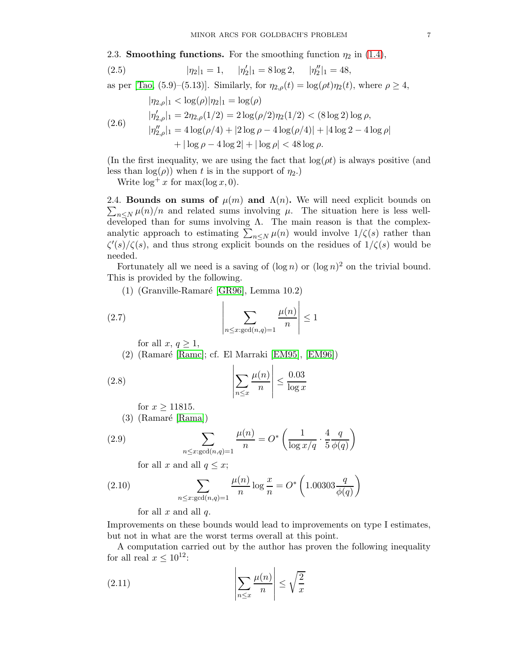<span id="page-6-0"></span>2.3. **Smoothing functions.** For the smoothing function  $\eta_2$  in [\(1.4\)](#page-2-1),

(2.5) 
$$
|\eta_2|_1 = 1, \quad |\eta_2'|_1 = 8 \log 2, \quad |\eta_2''|_1 = 48,
$$

as per [\[Tao,](#page-78-1) (5.9)–(5.13)]. Similarly, for  $\eta_{2,\rho}(t) = \log(\rho t)\eta_2(t)$ , where  $\rho \geq 4$ ,

$$
|\eta_{2,\rho}|_1 < \log(\rho)|\eta_2|_1 = \log(\rho)
$$
\n
$$
|\eta'_{2,\rho}|_1 = 2\eta_{2,\rho}(1/2) = 2\log(\rho/2)\eta_2(1/2) < (8\log 2)\log \rho,
$$
\n
$$
|\eta''_{2,\rho}|_1 = 4\log(\rho/4) + |2\log \rho - 4\log(\rho/4)| + |4\log 2 - 4\log \rho|
$$
\n
$$
+ |\log \rho - 4\log 2| + |\log \rho| < 48\log \rho.
$$

(In the first inequality, we are using the fact that  $\log(\rho t)$  is always positive (and less than  $log(\rho)$ ) when t is in the support of  $\eta_2$ .)

Write  $\log^+ x$  for  $\max(\log x, 0)$ .

<span id="page-6-1"></span>2.4. Bounds on sums of  $\mu(m)$  and  $\Lambda(n)$ . We will need explicit bounds on  $\sum_{n\leq N}\mu(n)/n$  and related sums involving  $\mu$ . The situation here is less welldeveloped than for sums involving  $\Lambda$ . The main reason is that the complexanalytic approach to estimating  $\sum_{n\leq N} \mu(n)$  would involve  $1/\zeta(s)$  rather than  $\zeta'(s)/\zeta(s)$ , and thus strong explicit bounds on the residues of  $1/\zeta(s)$  would be needed.

Fortunately all we need is a saving of  $(\log n)$  or  $(\log n)^2$  on the trivial bound. This is provided by the following.

 $(1)$  (Granville-Ramaré [\[GR96\]](#page-77-12), Lemma 10.2)

<span id="page-6-4"></span><span id="page-6-3"></span> $\mathbf{L}$ 

(2.7) 
$$
\left| \sum_{n \leq x : \gcd(n,q)=1} \frac{\mu(n)}{n} \right| \leq 1
$$

for all  $x, q \geq 1$ ,

 $(2)$  (Ramaré [\[Ramc\]](#page-77-13); cf. El Marraki [\[EM95\]](#page-77-14), [\[EM96\]](#page-77-15))

(2.8) 
$$
\left| \sum_{n \le x} \frac{\mu(n)}{n} \right| \le \frac{0.03}{\log x}
$$

for  $x \ge 11815$ .

 $(3)$  (Ramaré [\[Rama\]](#page-77-16))

(2.9) 
$$
\sum_{n \leq x: \gcd(n,q)=1} \frac{\mu(n)}{n} = O^* \left( \frac{1}{\log x/q} \cdot \frac{4}{5} \frac{q}{\phi(q)} \right)
$$

for all x and all  $q \leq x$ ;

(2.10) 
$$
\sum_{n \le x:\gcd(n,q)=1} \frac{\mu(n)}{n} \log \frac{x}{n} = O^*\left(1.00303 \frac{q}{\phi(q)}\right)
$$

<span id="page-6-2"></span>for all  $x$  and all  $q$ .

Improvements on these bounds would lead to improvements on type I estimates, but not in what are the worst terms overall at this point.

A computation carried out by the author has proven the following inequality for all real  $x \leq 10^{12}$ :

$$
(2.11) \qquad \qquad \left| \sum_{n \le x} \frac{\mu(n)}{n} \right| \le \sqrt{\frac{2}{x}}
$$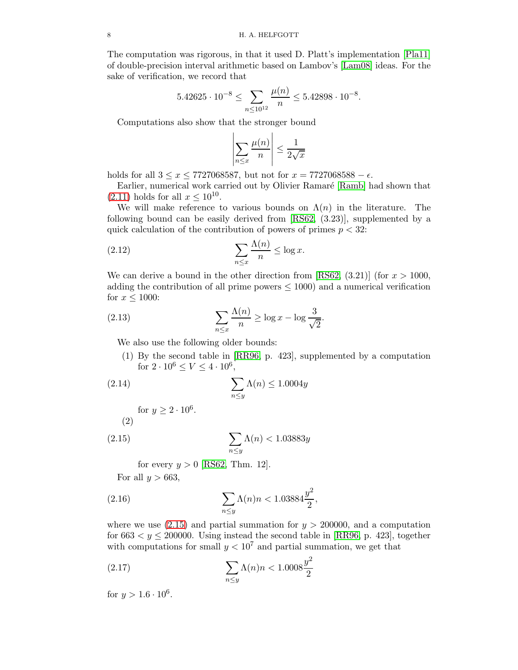The computation was rigorous, in that it used D. Platt's implementation [\[Pla11\]](#page-77-17) of double-precision interval arithmetic based on Lambov's [\[Lam08\]](#page-77-18) ideas. For the sake of verification, we record that

$$
5.42625 \cdot 10^{-8} \le \sum_{n \le 10^{12}} \frac{\mu(n)}{n} \le 5.42898 \cdot 10^{-8}.
$$

Computations also show that the stronger bound

<span id="page-7-1"></span>
$$
\left|\sum_{n\leq x}\frac{\mu(n)}{n}\right|\leq \frac{1}{2\sqrt{x}}
$$

holds for all  $3 \le x \le 7727068587$ , but not for  $x = 7727068588 - \epsilon$ .

Earlier, numerical work carried out by Olivier Ramaré [\[Ramb\]](#page-77-19) had shown that  $(2.11)$  holds for all  $x \le 10^{10}$ .

We will make reference to various bounds on  $\Lambda(n)$  in the literature. The following bound can be easily derived from [\[RS62,](#page-78-3) (3.23)], supplemented by a quick calculation of the contribution of powers of primes  $p < 32$ :

(2.12) 
$$
\sum_{n \leq x} \frac{\Lambda(n)}{n} \leq \log x.
$$

We can derive a bound in the other direction from [\[RS62,](#page-78-3)  $(3.21)$ ] (for  $x > 1000$ , adding the contribution of all prime powers  $\leq 1000$  and a numerical verification for  $x \leq 1000$ :

(2.13) 
$$
\sum_{n \leq x} \frac{\Lambda(n)}{n} \geq \log x - \log \frac{3}{\sqrt{2}}
$$

We also use the following older bounds:

(1) By the second table in [\[RR96,](#page-77-20) p. 423], supplemented by a computation for  $2 \cdot 10^6 \le V \le 4 \cdot 10^6$ ,

.

(2.14) 
$$
\sum_{n \le y} \Lambda(n) \le 1.0004y
$$

for 
$$
y \ge 2 \cdot 10^6
$$
.  
(2)

(2.15) 
$$
\sum_{n\leq y} \Lambda(n) < 1.03883y
$$

<span id="page-7-2"></span><span id="page-7-0"></span>for every  $y > 0$  [\[RS62,](#page-78-3) Thm. 12].

For all  $y > 663$ ,

(2.16) 
$$
\sum_{n \le y} \Lambda(n)n < 1.03884 \frac{y^2}{2},
$$

where we use  $(2.15)$  and partial summation for  $y > 200000$ , and a computation for  $663 < y < 200000$ . Using instead the second table in [\[RR96,](#page-77-20) p. 423], together with computations for small  $y < 10^7$  and partial summation, we get that

(2.17) 
$$
\sum_{n \le y} \Lambda(n)n < 1.0008 \frac{y^2}{2}
$$

for  $y > 1.6 \cdot 10^6$ .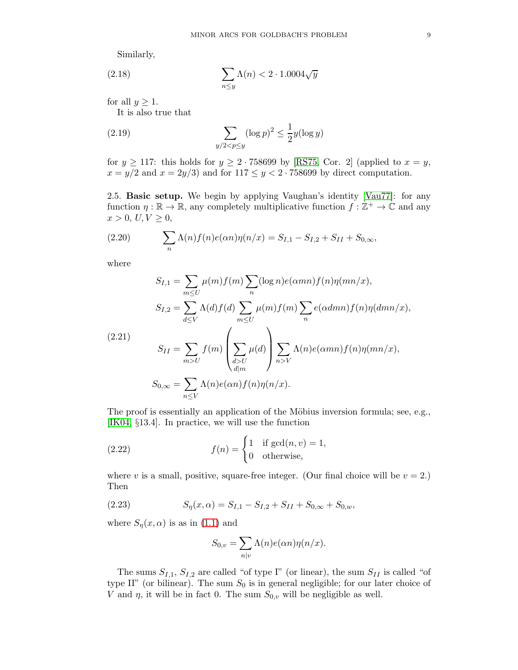Similarly,

(2.18) 
$$
\sum_{n\leq y} \Lambda(n) < 2 \cdot 1.0004\sqrt{y}
$$

for all  $y \geq 1$ .

It is also true that

(2.19) 
$$
\sum_{y/2 < p \le y} (\log p)^2 \le \frac{1}{2} y (\log y)
$$

for  $y \ge 117$ : this holds for  $y \ge 2 \cdot 758699$  by [\[RS75,](#page-78-4) Cor. 2] (applied to  $x = y$ ,  $x = y/2$  and  $x = 2y/3$  and for  $117 \le y < 2 \cdot 758699$  by direct computation.

<span id="page-8-0"></span>2.5. Basic setup. We begin by applying Vaughan's identity [\[Vau77\]](#page-78-2): for any function  $\eta : \mathbb{R} \to \mathbb{R}$ , any completely multiplicative function  $f : \mathbb{Z}^+ \to \mathbb{C}$  and any  $x > 0, U, V \geq 0,$ 

(2.20) 
$$
\sum_{n} \Lambda(n) f(n) e(\alpha n) \eta(n/x) = S_{I,1} - S_{I,2} + S_{II} + S_{0,\infty},
$$

where

$$
S_{I,1} = \sum_{m \leq U} \mu(m) f(m) \sum_{n} (\log n) e(\alpha mn) f(n) \eta(mn/x),
$$
  
\n
$$
S_{I,2} = \sum_{d \leq V} \Lambda(d) f(d) \sum_{m \leq U} \mu(m) f(m) \sum_{n} e(\alpha dmn) f(n) \eta(dmn/x),
$$
  
\n(2.21)  
\n
$$
S_{II} = \sum_{m > U} f(m) \left( \sum_{\substack{d > U \\ d|m}} \mu(d) \right) \sum_{n > V} \Lambda(n) e(\alpha mn) f(n) \eta(mn/x),
$$
  
\n
$$
S_{0,\infty} = \sum_{n \leq V} \Lambda(n) e(\alpha n) f(n) \eta(n/x).
$$

The proof is essentially an application of the Möbius inversion formula; see, e.g., [\[IK04,](#page-77-6) §13.4]. In practice, we will use the function

(2.22) 
$$
f(n) = \begin{cases} 1 & \text{if } \gcd(n, v) = 1, \\ 0 & \text{otherwise,} \end{cases}
$$

where v is a small, positive, square-free integer. (Our final choice will be  $v = 2$ .) Then

(2.23) 
$$
S_{\eta}(x,\alpha) = S_{I,1} - S_{I,2} + S_{II} + S_{0,\infty} + S_{0,w},
$$

where  $S_{\eta}(x,\alpha)$  is as in [\(1.1\)](#page-1-1) and

$$
S_{0,v} = \sum_{n|v} \Lambda(n) e(\alpha n) \eta(n/x).
$$

The sums  $S_{I,1}, S_{I,2}$  are called "of type I" (or linear), the sum  $S_{II}$  is called "of type II" (or bilinear). The sum  $S_0$  is in general negligible; for our later choice of V and  $\eta$ , it will be in fact 0. The sum  $S_{0,v}$  will be negligible as well.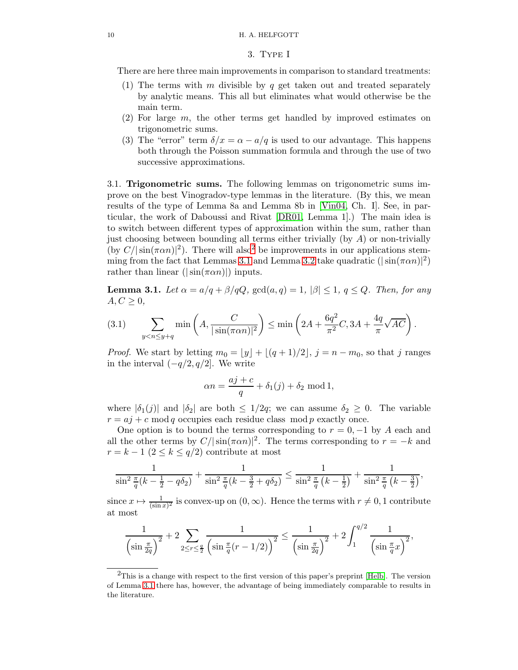#### <span id="page-9-0"></span>10 H. A. HELFGOTT

#### 3. Type I

There are here three main improvements in comparison to standard treatments:

- (1) The terms with m divisible by q get taken out and treated separately by analytic means. This all but eliminates what would otherwise be the main term.
- (2) For large m, the other terms get handled by improved estimates on trigonometric sums.
- (3) The "error" term  $\delta/x = \alpha a/q$  is used to our advantage. This happens both through the Poisson summation formula and through the use of two successive approximations.

<span id="page-9-1"></span>3.1. Trigonometric sums. The following lemmas on trigonometric sums improve on the best Vinogradov-type lemmas in the literature. (By this, we mean results of the type of Lemma 8a and Lemma 8b in [\[Vin04,](#page-78-5) Ch. I]. See, in particular, the work of Daboussi and Rivat [\[DR01,](#page-77-10) Lemma 1].) The main idea is to switch between different types of approximation within the sum, rather than just choosing between bounding all terms either trivially (by  $A$ ) or non-trivially (by  $C/|\sin(\pi \alpha n)|^2$  $C/|\sin(\pi \alpha n)|^2$ ). There will also<sup>2</sup> be improvements in our applications stem-ming from the fact that Lemmas [3.1](#page-9-3) and Lemma [3.2](#page-11-0) take quadratic  $(|\sin(\pi \alpha n)|^2)$ rather than linear ( $|\sin(\pi \alpha n)|$ ) inputs.

<span id="page-9-3"></span>**Lemma 3.1.** Let  $\alpha = a/q + \beta/qQ$ ,  $gcd(a,q) = 1, |\beta| \leq 1, q \leq Q$ . Then, for any  $A, C \geq 0$ ,

<span id="page-9-4"></span>
$$
(3.1)\qquad \sum_{y
$$

*Proof.* We start by letting  $m_0 = \lfloor y \rfloor + \lfloor (q+1)/2 \rfloor$ ,  $j = n - m_0$ , so that j ranges in the interval  $(-q/2, q/2]$ . We write

$$
\alpha n = \frac{aj+c}{q} + \delta_1(j) + \delta_2 \mod 1,
$$

where  $|\delta_1(j)|$  and  $|\delta_2|$  are both  $\leq 1/2q$ ; we can assume  $\delta_2 \geq 0$ . The variable  $r = aj + c \mod q$  occupies each residue class mod p exactly once.

One option is to bound the terms corresponding to  $r = 0, -1$  by A each and all the other terms by  $C/|\sin(\pi\alpha n)|^2$ . The terms corresponding to  $r = -k$  and  $r = k - 1$   $(2 \leq k \leq q/2)$  contribute at most

$$
\frac{1}{\sin^2 \frac{\pi}{q}(k-\frac{1}{2}-q\delta_2)} + \frac{1}{\sin^2 \frac{\pi}{q}(k-\frac{3}{2}+q\delta_2)} \le \frac{1}{\sin^2 \frac{\pi}{q}(k-\frac{1}{2})} + \frac{1}{\sin^2 \frac{\pi}{q}(k-\frac{3}{2})},
$$

since  $x \mapsto \frac{1}{(\sin x)^2}$  is convex-up on  $(0, \infty)$ . Hence the terms with  $r \neq 0, 1$  contribute at most

$$
\frac{1}{\left(\sin \frac{\pi}{2q}\right)^2} + 2 \sum_{2 \le r \le \frac{q}{2}} \frac{1}{\left(\sin \frac{\pi}{q}(r - 1/2)\right)^2} \le \frac{1}{\left(\sin \frac{\pi}{2q}\right)^2} + 2 \int_1^{q/2} \frac{1}{\left(\sin \frac{\pi}{q}x\right)^2},
$$

<span id="page-9-2"></span><sup>&</sup>lt;sup>2</sup>This is a change with respect to the first version of this paper's preprint [\[Helb\]](#page-77-21). The version of Lemma [3.1](#page-9-3) there has, however, the advantage of being immediately comparable to results in the literature.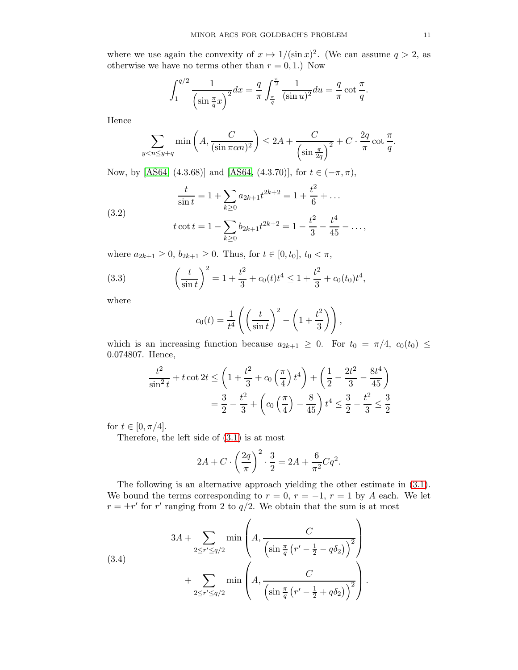where we use again the convexity of  $x \mapsto 1/(\sin x)^2$ . (We can assume  $q > 2$ , as otherwise we have no terms other than  $r = 0, 1$ .) Now

$$
\int_{1}^{q/2} \frac{1}{\left(\sin \frac{\pi}{q}x\right)^2} dx = \frac{q}{\pi} \int_{\frac{\pi}{q}}^{\frac{\pi}{2}} \frac{1}{(\sin u)^2} du = \frac{q}{\pi} \cot \frac{\pi}{q}.
$$

Hence

$$
\sum_{y < n \le y+q} \min\left(A, \frac{C}{(\sin \pi \alpha n)^2}\right) \le 2A + \frac{C}{\left(\sin \frac{\pi}{2q}\right)^2} + C \cdot \frac{2q}{\pi} \cot \frac{\pi}{q}.
$$

Now, by [\[AS64,](#page-76-1) (4.3.68)] and [AS64, (4.3.70)], for  $t \in (-\pi, \pi)$ ,

<span id="page-10-1"></span>(3.2) 
$$
\frac{t}{\sin t} = 1 + \sum_{k \ge 0} a_{2k+1} t^{2k+2} = 1 + \frac{t^2}{6} + \dots
$$

$$
t \cot t = 1 - \sum_{k \ge 0} b_{2k+1} t^{2k+2} = 1 - \frac{t^2}{3} - \frac{t^4}{45} - \dots,
$$

where  $a_{2k+1} \geq 0$ ,  $b_{2k+1} \geq 0$ . Thus, for  $t \in [0, t_0]$ ,  $t_0 < \pi$ ,

(3.3) 
$$
\left(\frac{t}{\sin t}\right)^2 = 1 + \frac{t^2}{3} + c_0(t)t^4 \le 1 + \frac{t^2}{3} + c_0(t_0)t^4,
$$

where

$$
c_0(t) = \frac{1}{t^4} \left( \left( \frac{t}{\sin t} \right)^2 - \left( 1 + \frac{t^2}{3} \right) \right),
$$

which is an increasing function because  $a_{2k+1} \geq 0$ . For  $t_0 = \pi/4$ ,  $c_0(t_0) \leq$ 0.074807. Hence,

$$
\frac{t^2}{\sin^2 t} + t \cot 2t \le \left(1 + \frac{t^2}{3} + c_0 \left(\frac{\pi}{4}\right) t^4\right) + \left(\frac{1}{2} - \frac{2t^2}{3} - \frac{8t^4}{45}\right)
$$

$$
= \frac{3}{2} - \frac{t^2}{3} + \left(c_0 \left(\frac{\pi}{4}\right) - \frac{8}{45}\right) t^4 \le \frac{3}{2} - \frac{t^2}{3} \le \frac{3}{2}
$$

for  $t \in [0, \pi/4]$ .

Therefore, the left side of [\(3.1\)](#page-9-4) is at most

$$
2A + C \cdot \left(\frac{2q}{\pi}\right)^2 \cdot \frac{3}{2} = 2A + \frac{6}{\pi^2} C q^2.
$$

The following is an alternative approach yielding the other estimate in [\(3.1\)](#page-9-4). We bound the terms corresponding to  $r = 0$ ,  $r = -1$ ,  $r = 1$  by A each. We let  $r = \pm r'$  for r' ranging from 2 to  $q/2$ . We obtain that the sum is at most

<span id="page-10-0"></span>(3.4)  

$$
3A + \sum_{2 \le r' \le q/2} \min\left(A, \frac{C}{\left(\sin \frac{\pi}{q} \left(r' - \frac{1}{2} - q\delta_2\right)\right)^2}\right) + \sum_{2 \le r' \le q/2} \min\left(A, \frac{C}{\left(\sin \frac{\pi}{q} \left(r' - \frac{1}{2} + q\delta_2\right)\right)^2}\right).
$$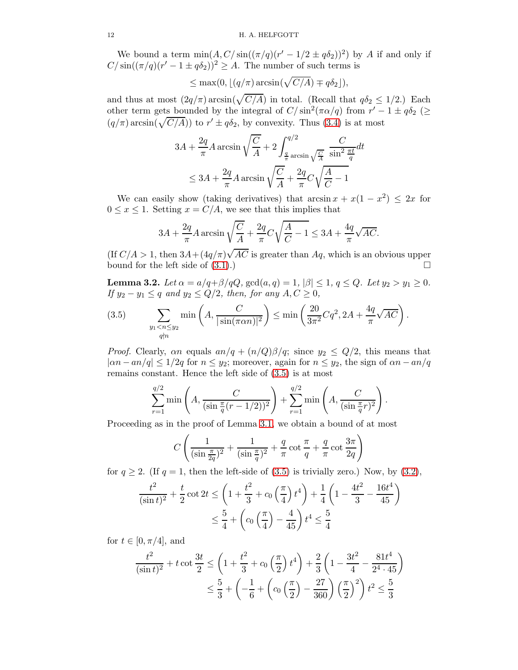We bound a term  $\min(A, C/\sin((\pi/q)(r'-1/2 \pm q\delta_2))^2)$  by A if and only if  $C/\sin((\pi/q)(r'-1\pm q\delta_2))^2 \geq A$ . The number of such terms is

$$
\leq \max(0, \lfloor (q/\pi) \arcsin(\sqrt{C/A}) \mp q\delta_2 \rfloor),
$$

and thus at most  $(2q/\pi)\arcsin(\sqrt{C/A})$  in total. (Recall that  $q\delta_2 \leq 1/2$ .) Each other term gets bounded by the integral of  $C/\sin^2(\pi \alpha/q)$  from  $r'-1 \pm q\delta_2$  ( $\geq$  $(q/\pi)\arcsin(\sqrt{C/A})$  to  $r' \pm q\delta_2$ , by convexity. Thus [\(3.4\)](#page-10-0) is at most

$$
3A + \frac{2q}{\pi}A \arcsin \sqrt{\frac{C}{A}} + 2 \int_{\frac{q}{\pi}}^{q/2} \frac{C}{\sinh \sqrt{\frac{C}{A}}} \frac{C}{\sinh^2 \frac{\pi t}{q}} dt
$$
  

$$
\leq 3A + \frac{2q}{\pi}A \arcsin \sqrt{\frac{C}{A}} + \frac{2q}{\pi}C\sqrt{\frac{A}{C} - 1}
$$

We can easily show (taking derivatives) that  $\arcsin x + x(1 - x^2) \leq 2x$  for  $0 \leq x \leq 1$ . Setting  $x = C/A$ , we see that this implies that

$$
3A + \frac{2q}{\pi}A \arcsin \sqrt{\frac{C}{A}} + \frac{2q}{\pi}C\sqrt{\frac{A}{C} - 1} \le 3A + \frac{4q}{\pi}\sqrt{AC}.
$$

(If  $C/A > 1$ , then  $3A + (4q/\pi)\sqrt{AC}$  is greater than  $Aq$ , which is an obvious upper bound for the left side of  $(3.1)$ .)

<span id="page-11-0"></span>**Lemma 3.2.** Let  $\alpha = a/q + \beta/qQ$ ,  $gcd(a, q) = 1$ ,  $|\beta| \le 1$ ,  $q \le Q$ . Let  $y_2 > y_1 \ge 0$ . If  $y_2 - y_1 \leq q$  and  $y_2 \leq Q/2$ , then, for any  $A, C \geq 0$ ,

<span id="page-11-1"></span>(3.5) 
$$
\sum_{\substack{y_1 < n \le y_2 \\ q \nmid n}} \min\left(A, \frac{C}{|\sin(\pi \alpha n)|^2}\right) \le \min\left(\frac{20}{3\pi^2} Cq^2, 2A + \frac{4q}{\pi}\sqrt{AC}\right).
$$

*Proof.* Clearly, an equals  $a n/q + (n/Q)\beta/q$ ; since  $y_2 \leq Q/2$ , this means that  $|\alpha n - a n/q| \leq 1/2q$  for  $n \leq y_2$ ; moreover, again for  $n \leq y_2$ , the sign of  $\alpha n - a n/q$ remains constant. Hence the left side of [\(3.5\)](#page-11-1) is at most

$$
\sum_{r=1}^{q/2} \min\left(A, \frac{C}{(\sin \frac{\pi}{q}(r-1/2))^2}\right) + \sum_{r=1}^{q/2} \min\left(A, \frac{C}{(\sin \frac{\pi}{q}r)^2}\right).
$$

Proceeding as in the proof of Lemma [3.1,](#page-9-3) we obtain a bound of at most

$$
C\left(\frac{1}{(\sin \frac{\pi}{2q})^2} + \frac{1}{(\sin \frac{\pi}{q})^2} + \frac{q}{\pi} \cot \frac{\pi}{q} + \frac{q}{\pi} \cot \frac{3\pi}{2q}\right)
$$

for  $q \ge 2$ . (If  $q = 1$ , then the left-side of [\(3.5\)](#page-11-1) is trivially zero.) Now, by [\(3.2\)](#page-10-1),

$$
\frac{t^2}{(\sin t)^2} + \frac{t}{2}\cot 2t \le \left(1 + \frac{t^2}{3} + c_0\left(\frac{\pi}{4}\right)t^4\right) + \frac{1}{4}\left(1 - \frac{4t^2}{3} - \frac{16t^4}{45}\right)
$$

$$
\le \frac{5}{4} + \left(c_0\left(\frac{\pi}{4}\right) - \frac{4}{45}\right)t^4 \le \frac{5}{4}
$$

for  $t \in [0, \pi/4]$ , and

$$
\frac{t^2}{(\sin t)^2} + t \cot \frac{3t}{2} \le \left(1 + \frac{t^2}{3} + c_0 \left(\frac{\pi}{2}\right) t^4\right) + \frac{2}{3} \left(1 - \frac{3t^2}{4} - \frac{81t^4}{2^4 \cdot 45}\right)
$$

$$
\le \frac{5}{3} + \left(-\frac{1}{6} + \left(c_0 \left(\frac{\pi}{2}\right) - \frac{27}{360}\right) \left(\frac{\pi}{2}\right)^2\right) t^2 \le \frac{5}{3}
$$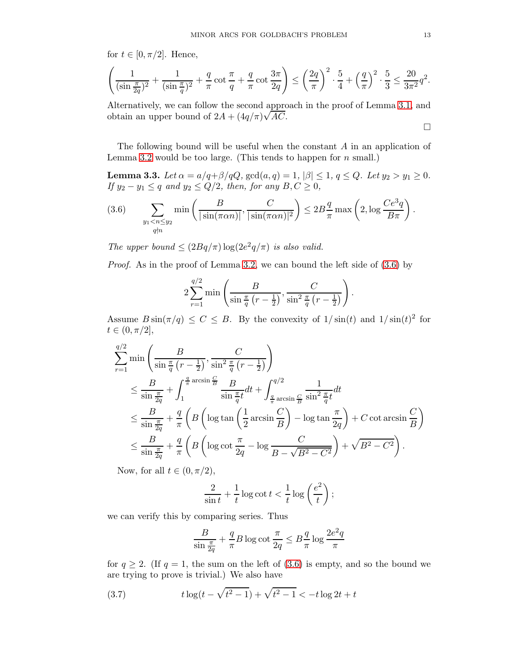for  $t \in [0, \pi/2]$ . Hence,

$$
\left(\frac{1}{(\sin \frac{\pi}{2q})^2} + \frac{1}{(\sin \frac{\pi}{q})^2} + \frac{q}{\pi} \cot \frac{\pi}{q} + \frac{q}{\pi} \cot \frac{3\pi}{2q}\right) \le \left(\frac{2q}{\pi}\right)^2 \cdot \frac{5}{4} + \left(\frac{q}{\pi}\right)^2 \cdot \frac{5}{3} \le \frac{20}{3\pi^2} q^2.
$$

Alternatively, we can follow the second approach in the proof of Lemma [3.1,](#page-9-3) and obtain an upper bound of  $2A + (4q/\pi)\sqrt{AC}$ .

The following bound will be useful when the constant A in an application of Lemma [3.2](#page-11-0) would be too large. (This tends to happen for  $n$  small.)

<span id="page-12-2"></span>**Lemma 3.3.** Let  $\alpha = a/q + \beta/qQ$ ,  $gcd(a, q) = 1$ ,  $|\beta| \le 1$ ,  $q \le Q$ . Let  $y_2 > y_1 \ge 0$ . If  $y_2 - y_1 \leq q$  and  $y_2 \leq Q/2$ , then, for any  $B, C \geq 0$ ,

<span id="page-12-0"></span>(3.6) 
$$
\sum_{\substack{y_1 < n \le y_2 \\ q \nmid n}} \min \left( \frac{B}{|\sin(\pi \alpha n)|}, \frac{C}{|\sin(\pi \alpha n)|^2} \right) \le 2B \frac{q}{\pi} \max \left( 2, \log \frac{Ce^3q}{B\pi} \right).
$$

The upper bound  $\leq (2Bq/\pi)\log(2e^2q/\pi)$  is also valid.

Proof. As in the proof of Lemma [3.2,](#page-11-0) we can bound the left side of  $(3.6)$  by

$$
2\sum_{r=1}^{q/2} \min\left(\frac{B}{\sin\frac{\pi}{q}\left(r-\frac{1}{2}\right)}, \frac{C}{\sin^2\frac{\pi}{q}\left(r-\frac{1}{2}\right)}\right).
$$

Assume  $B\sin(\pi/q) \leq C \leq B$ . By the convexity of  $1/\sin(t)$  and  $1/\sin(t)^2$  for  $t \in (0, \pi/2],$ 

$$
\sum_{r=1}^{q/2} \min\left(\frac{B}{\sin\frac{\pi}{q}\left(r-\frac{1}{2}\right)}, \frac{C}{\sin^2\frac{\pi}{q}\left(r-\frac{1}{2}\right)}\right)
$$
\n
$$
\leq \frac{B}{\sin\frac{\pi}{2q}} + \int_{1}^{\frac{q}{\pi}\arcsin\frac{G}{B}} \frac{B}{\sin\frac{\pi}{q}t} dt + \int_{\frac{q}{\pi}\arcsin\frac{G}{B}}^{q/2} \frac{1}{\sin^2\frac{\pi}{q}t} dt
$$
\n
$$
\leq \frac{B}{\sin\frac{\pi}{2q}} + \frac{q}{\pi} \left(B\left(\log \tan\left(\frac{1}{2}\arcsin\frac{C}{B}\right) - \log \tan\frac{\pi}{2q}\right) + C\cot\arcsin\frac{C}{B}\right)
$$
\n
$$
\leq \frac{B}{\sin\frac{\pi}{2q}} + \frac{q}{\pi} \left(B\left(\log\cot\frac{\pi}{2q} - \log\frac{C}{B - \sqrt{B^2 - C^2}}\right) + \sqrt{B^2 - C^2}\right).
$$

Now, for all  $t \in (0, \pi/2)$ ,

$$
\frac{2}{\sin t} + \frac{1}{t} \log \cot t < \frac{1}{t} \log \left( \frac{e^2}{t} \right);
$$

we can verify this by comparing series. Thus

<span id="page-12-1"></span>
$$
\frac{B}{\sin \frac{\pi}{2q}} + \frac{q}{\pi} B \log \cot \frac{\pi}{2q} \leq B \frac{q}{\pi} \log \frac{2e^2q}{\pi}
$$

for  $q \ge 2$ . (If  $q = 1$ , the sum on the left of [\(3.6\)](#page-12-0) is empty, and so the bound we are trying to prove is trivial.) We also have

(3.7) 
$$
t \log(t - \sqrt{t^2 - 1}) + \sqrt{t^2 - 1} < -t \log 2t + t
$$

 $\Box$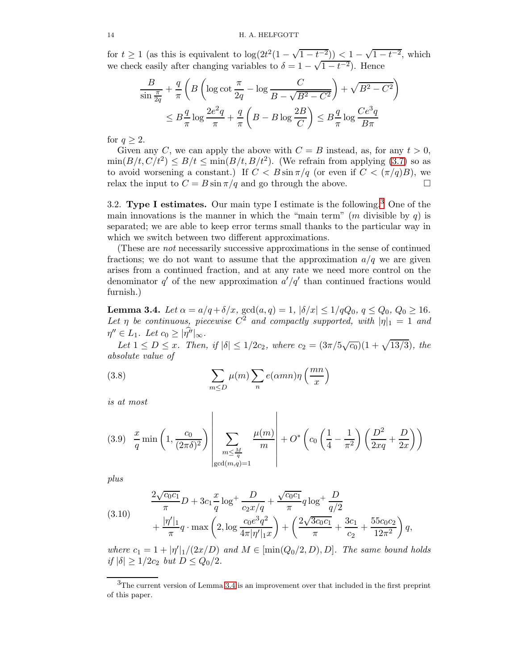for  $t \geq 1$  (as this is equivalent to  $\log(2t^2(1-\sqrt{1-t^{-2}})) < 1-\sqrt{1-t^{-2}}$ , which we check easily after changing variables to  $\delta = 1 - \sqrt{1 - t^{-2}}$ . Hence

$$
\frac{B}{\sin\frac{\pi}{2q}} + \frac{q}{\pi} \left( B \left( \log \cot \frac{\pi}{2q} - \log \frac{C}{B - \sqrt{B^2 - C^2}} \right) + \sqrt{B^2 - C^2} \right)
$$

$$
\leq B \frac{q}{\pi} \log \frac{2e^2q}{\pi} + \frac{q}{\pi} \left( B - B \log \frac{2B}{C} \right) \leq B \frac{q}{\pi} \log \frac{Ce^3q}{B\pi}
$$

for  $q \geq 2$ .

Given any C, we can apply the above with  $C = B$  instead, as, for any  $t > 0$ ,  $\min(B/t, C/t^2) \le B/t \le \min(B/t, B/t^2)$ . (We refrain from applying [\(3.7\)](#page-12-1) so as to avoid worsening a constant.) If  $C < B \sin \pi / q$  (or even if  $C < (\pi / q)B$ ), we relax the input to  $C = B \sin \pi / q$  and go through the above.

<span id="page-13-0"></span>[3](#page-13-1).2. Type I estimates. Our main type I estimate is the following.<sup>3</sup> One of the main innovations is the manner in which the "main term" (m divisible by q) is separated; we are able to keep error terms small thanks to the particular way in which we switch between two different approximations.

(These are not necessarily successive approximations in the sense of continued fractions; we do not want to assume that the approximation  $a/q$  we are given arises from a continued fraction, and at any rate we need more control on the denominator  $q'$  of the new approximation  $a'/q'$  than continued fractions would furnish.)

<span id="page-13-2"></span>**Lemma 3.4.** Let  $\alpha = a/q + \delta/x$ ,  $gcd(a, q) = 1$ ,  $|\delta/x| \le 1/qQ_0$ ,  $q \le Q_0$ ,  $Q_0 \ge 16$ . Let  $\eta$  be continuous, piecewise  $C^2$  and compactly supported, with  $|\eta|_1 = 1$  and  $\eta'' \in L_1$ . Let  $c_0 \geq |\eta''|_{\infty}$ .

Let  $1 \le D \le x$ . Then, if  $|\delta| \le 1/2c_2$ , where  $c_2 = (3\pi/5\sqrt{c_0})(1+\sqrt{13/3})$ , the absolute value of

<span id="page-13-3"></span>(3.8) 
$$
\sum_{m \leq D} \mu(m) \sum_{n} e(\alpha mn) \eta\left(\frac{mn}{x}\right)
$$

is at most

<span id="page-13-4"></span>
$$
(3.9) \frac{x}{q} \min\left(1, \frac{c_0}{(2\pi\delta)^2}\right) \left| \sum_{\substack{m \le \frac{M}{q} \\ \gcd(m,q)=1}} \frac{\mu(m)}{m} \right| + O^* \left( c_0 \left( \frac{1}{4} - \frac{1}{\pi^2} \right) \left( \frac{D^2}{2xq} + \frac{D}{2x} \right) \right)
$$

plus

(3.10) 
$$
\frac{2\sqrt{c_0c_1}}{\pi}D + 3c_1\frac{x}{q}\log^+\frac{D}{c_2x/q} + \frac{\sqrt{c_0c_1}}{\pi}q\log^+\frac{D}{q/2} + \frac{\sqrt{c_1c_2}}{\pi}q\log^+\frac{D}{q/2} + \frac{3c_1}{\pi} + \frac{55c_0c_2}{\pi}q\log^+\frac{1}{2}\left(\frac{2\sqrt{3c_0c_1}}{\pi} + \frac{3c_1}{c_2} + \frac{55c_0c_2}{12\pi^2}\right)q,
$$

where  $c_1 = 1 + |\eta'|_1/(2x/D)$  and  $M \in [\min(Q_0/2, D), D]$ . The same bound holds if  $|\delta| \geq 1/2c_2$  but  $D \leq Q_0/2$ .

<span id="page-13-1"></span><sup>&</sup>lt;sup>3</sup>The current version of Lemma [3.4](#page-13-2) is an improvement over that included in the first preprint of this paper.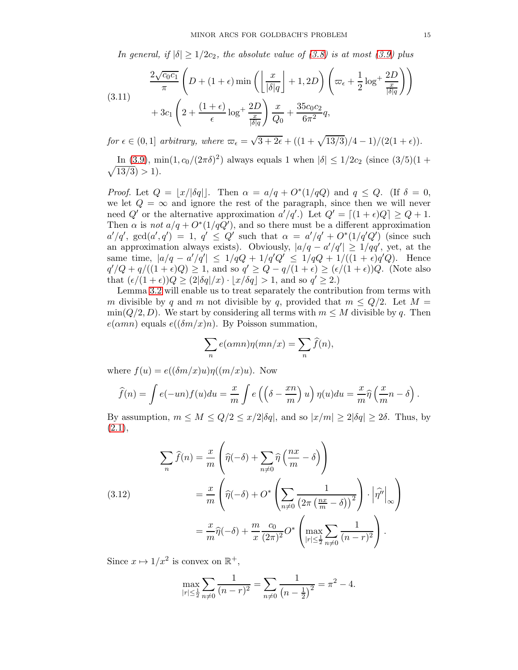In general, if  $|\delta| \geq 1/2c_2$ , the absolute value of [\(3.8\)](#page-13-3) is at most [\(3.9\)](#page-13-4) plus

(3.11) 
$$
\frac{2\sqrt{c_0c_1}}{\pi} \left(D + (1+\epsilon)\min\left(\left\lfloor\frac{x}{|\delta|q}\right\rfloor + 1, 2D\right)\left(\varpi_{\epsilon} + \frac{1}{2}\log^+\frac{2D}{\frac{x}{|\delta|q}}\right)\right) + 3c_1\left(2 + \frac{(1+\epsilon)}{\epsilon}\log^+\frac{2D}{\frac{x}{|\delta|q}}\right)\frac{x}{Q_0} + \frac{35c_0c_2}{6\pi^2}q,
$$

for  $\epsilon \in (0,1]$  arbitrary, where  $\omega_{\epsilon} = \sqrt{3+2\epsilon} + ((1+\sqrt{13/3})/4-1)/(2(1+\epsilon)).$ 

In [\(3.9\)](#page-13-4), min(1,  $c_0/(2\pi\delta)^2$ ) always equals 1 when  $|\delta| \leq 1/2c_2$  (since  $(3/5)(1 +$  $\sqrt{13/3}$ ) > 1).

*Proof.* Let  $Q = \lfloor x/|\delta q| \rfloor$ . Then  $\alpha = a/q + O^*(1/qQ)$  and  $q \le Q$ . (If  $\delta = 0$ , we let  $Q = \infty$  and ignore the rest of the paragraph, since then we will never need Q' or the alternative approximation  $a'/q'$ . Let  $Q' = [(1 + \epsilon)Q] \ge Q + 1$ . Then  $\alpha$  is not  $a/q + O^*(1/qQ')$ , and so there must be a different approximation  $a'/q'$ ,  $gcd(a', q') = 1$ ,  $q' \leq Q'$  such that  $\alpha = a'/q' + O^*(1/q'Q')$  (since such an approximation always exists). Obviously,  $|a/q - a'/q'| \ge 1/qq'$ , yet, at the same time,  $|a/q - a'/q'| \le 1/qQ + 1/q'Q' \le 1/qQ + 1/((1+\epsilon)q'Q)$ . Hence  $q'/Q + q/((1+\epsilon)Q) \geq 1$ , and so  $q' \geq Q - q/(1+\epsilon) \geq (\epsilon/(1+\epsilon))Q$ . (Note also that  $(\epsilon/(1+\epsilon))Q \geq (2|\delta q|/x) \cdot \lfloor x/\delta q \rfloor > 1$ , and so  $q' \geq 2$ .

Lemma [3.2](#page-11-0) will enable us to treat separately the contribution from terms with m divisible by q and m not divisible by q, provided that  $m \leq Q/2$ . Let  $M =$  $\min(Q/2, D)$ . We start by considering all terms with  $m \leq M$  divisible by q. Then  $e(\alpha mn)$  equals  $e((\delta m/x)n)$ . By Poisson summation,

$$
\sum_{n} e(\alpha mn)\eta(mn/x) = \sum_{n} \hat{f}(n),
$$

where  $f(u) = e((\delta m/x)u)\eta((m/x)u)$ . Now

$$
\widehat{f}(n) = \int e(-un)f(u)du = \frac{x}{m} \int e\left(\left(\delta - \frac{xn}{m}\right)u\right) \eta(u)du = \frac{x}{m}\widehat{\eta}\left(\frac{x}{m}n - \delta\right).
$$

By assumption,  $m \leq M \leq Q/2 \leq x/2|\delta q|$ , and so  $|x/m| \geq 2|\delta q| \geq 2\delta$ . Thus, by  $(2.1),$  $(2.1),$ 

(3.12) 
$$
\sum_{n} \widehat{f}(n) = \frac{x}{m} \left( \widehat{\eta}(-\delta) + \sum_{n \neq 0} \widehat{\eta} \left( \frac{nx}{m} - \delta \right) \right)
$$

$$
= \frac{x}{m} \left( \widehat{\eta}(-\delta) + O^* \left( \sum_{n \neq 0} \frac{1}{\left( 2\pi \left( \frac{nx}{m} - \delta \right) \right)^2} \right) \cdot \left| \widehat{\eta}'' \right|_{\infty} \right)
$$

$$
= \frac{x}{m} \widehat{\eta}(-\delta) + \frac{m}{x} \frac{c_0}{(2\pi)^2} O^* \left( \max_{|r| \le \frac{1}{2}} \sum_{n \neq 0} \frac{1}{(n-r)^2} \right).
$$

Since  $x \mapsto 1/x^2$  is convex on  $\mathbb{R}^+$ ,

$$
\max_{|r| \le \frac{1}{2}} \sum_{n \neq 0} \frac{1}{(n-r)^2} = \sum_{n \neq 0} \frac{1}{\left(n - \frac{1}{2}\right)^2} = \pi^2 - 4.
$$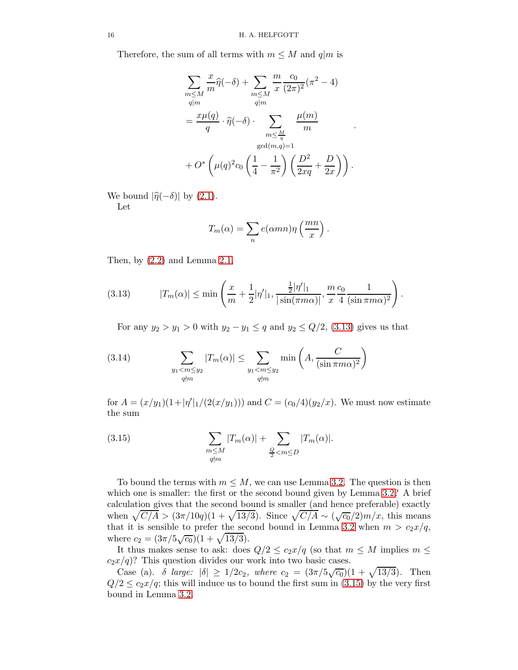Therefore, the sum of all terms with  $m \leq M$  and  $q|m$  is

$$
\sum_{m \le M} \frac{x}{m} \widehat{\eta}(-\delta) + \sum_{m \le M} \frac{m}{x} \frac{c_0}{(2\pi)^2} (\pi^2 - 4)
$$
  

$$
= \frac{x\mu(q)}{q} \cdot \widehat{\eta}(-\delta) \cdot \sum_{\substack{m \le \frac{M}{q} \\ \gcd(m,q)=1}} \frac{\mu(m)}{m}
$$
  
+  $O^* \left( \mu(q)^2 c_0 \left( \frac{1}{4} - \frac{1}{\pi^2} \right) \left( \frac{D^2}{2xq} + \frac{D}{2x} \right) \right).$ 

.

We bound  $|\hat{\eta}(-\delta)|$  by [\(2.1\)](#page-4-3). Let

$$
T_m(\alpha) = \sum_n e(\alpha mn) \eta\left(\frac{mn}{x}\right).
$$

Then, by [\(2.2\)](#page-4-4) and Lemma [2.1,](#page-5-1)

<span id="page-15-0"></span>(3.13) 
$$
|T_m(\alpha)| \le \min\left(\frac{x}{m} + \frac{1}{2}|\eta'|_1, \frac{\frac{1}{2}|\eta'|_1}{|\sin(\pi m\alpha)|}, \frac{m}{x}\frac{c_0}{4}\frac{1}{(\sin \pi m\alpha)^2}\right).
$$

<span id="page-15-2"></span>For any  $y_2 > y_1 > 0$  with  $y_2 - y_1 \leq q$  and  $y_2 \leq Q/2$ , [\(3.13\)](#page-15-0) gives us that

(3.14) 
$$
\sum_{\substack{y_1 < m \le y_2 \\ q \nmid m}} |T_m(\alpha)| \le \sum_{\substack{y_1 < m \le y_2 \\ q \nmid m}} \min\left(A, \frac{C}{(\sin \pi m\alpha)^2}\right)
$$

for  $A = (x/y_1)(1+|\eta'|_1/(2(x/y_1)))$  and  $C = (c_0/4)(y_2/x)$ . We must now estimate the sum

<span id="page-15-1"></span>(3.15) 
$$
\sum_{\substack{m \le M \\ q \nmid m}} |T_m(\alpha)| + \sum_{\substack{Q \\ 2 < m \le D}} |T_m(\alpha)|.
$$

To bound the terms with  $m \leq M$ , we can use Lemma [3.2.](#page-11-0) The question is then which one is smaller: the first or the second bound given by Lemma [3.2?](#page-11-0) A brief calculation gives that the second bound is smaller (and hence preferable) exactly when  $\sqrt{C/A} > (3\pi/10q)(1+\sqrt{13/3})$ . Since  $\sqrt{C/A} \sim (\sqrt{c_0}/2)m/x$ , this means that it is sensible to prefer the second bound in Lemma [3.2](#page-11-0) when  $m > c_2x/q$ , where  $c_2 = (3\pi/5\sqrt{c_0})(1+\sqrt{13/3}).$ 

It thus makes sense to ask: does  $Q/2 \leq c_2 x/q$  (so that  $m \leq M$  implies  $m \leq$  $c_2x/q$ ? This question divides our work into two basic cases.

Case (a).  $\delta$  large:  $|\delta| \ge 1/2c_2$ , where  $c_2 = (3\pi/5\sqrt{c_0})(1+\sqrt{13/3})$ . Then  $Q/2 \leq c_2x/q$ ; this will induce us to bound the first sum in [\(3.15\)](#page-15-1) by the very first bound in Lemma [3.2.](#page-11-0)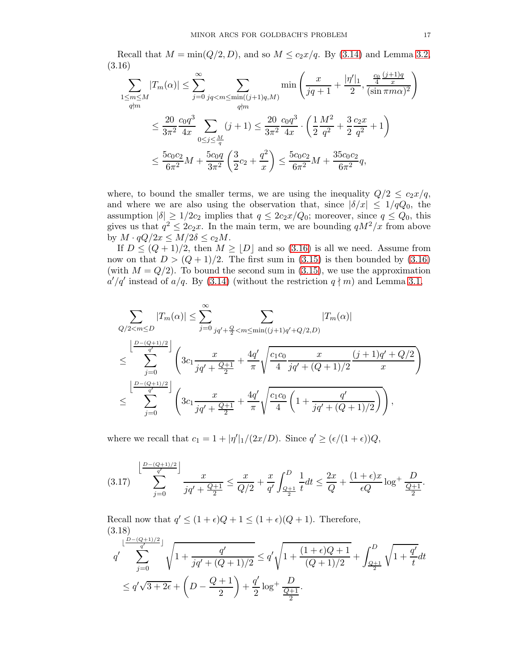Recall that  $M = min(Q/2, D)$ , and so  $M \leq c_2x/q$ . By [\(3.14\)](#page-15-2) and Lemma [3.2,](#page-11-0) (3.16)

<span id="page-16-0"></span>
$$
\sum_{\substack{1 \le m \le M \\ q \nmid m}} |T_m(\alpha)| \le \sum_{j=0}^{\infty} \sum_{\substack{jq < m \le \min((j+1)q,M) \\ q \nmid m}} \min\left(\frac{x}{jq+1} + \frac{|\eta'|_1}{2}, \frac{\frac{c_0}{4} \frac{(j+1)q}{x}}{(\sin \pi m\alpha)^2}\right)
$$
  

$$
\le \frac{20}{3\pi^2} \frac{c_0 q^3}{4x} \sum_{0 \le j \le \frac{M}{q}} (j+1) \le \frac{20}{3\pi^2} \frac{c_0 q^3}{4x} \cdot \left(\frac{1}{2} \frac{M^2}{q^2} + \frac{3}{2} \frac{c_2 x}{q^2} + 1\right)
$$
  

$$
\le \frac{5c_0 c_2}{6\pi^2} M + \frac{5c_0 q}{3\pi^2} \left(\frac{3}{2} c_2 + \frac{q^2}{x}\right) \le \frac{5c_0 c_2}{6\pi^2} M + \frac{35c_0 c_2}{6\pi^2} q,
$$

where, to bound the smaller terms, we are using the inequality  $Q/2 \leq c_2x/q$ , and where we are also using the observation that, since  $|\delta/x| \leq 1/qQ_0$ , the assumption  $|\delta| \geq 1/2c_2$  implies that  $q \leq 2c_2x/Q_0$ ; moreover, since  $q \leq Q_0$ , this gives us that  $q^2 \leq 2c_2x$ . In the main term, we are bounding  $qM^2/x$  from above by  $M \cdot qQ/2x \leq M/2\delta \leq c_2M$ .

If  $D \leq (Q+1)/2$ , then  $M \geq |D|$  and so [\(3.16\)](#page-16-0) is all we need. Assume from now on that  $D > (Q+1)/2$ . The first sum in [\(3.15\)](#page-15-1) is then bounded by [\(3.16\)](#page-16-0) (with  $M = Q/2$ ). To bound the second sum in [\(3.15\)](#page-15-1), we use the approximation  $a'/q'$  instead of  $a/q$ . By [\(3.14\)](#page-15-2) (without the restriction  $q \nmid m$ ) and Lemma [3.1,](#page-9-3)

$$
\begin{split} & \sum_{Q/2 < m \leq D} |T_m(\alpha)| \leq \sum_{j=0}^{\infty} \sum_{jq'+\frac{Q}{2} < m \leq \min((j+1)q'+Q/2,D)} |T_m(\alpha)| \\ & \leq \sum_{j=0}^{\left \lfloor \frac{D-(Q+1)/2}{q'} \right \rfloor} \left( 3c_1 \frac{x}{jq'+\frac{Q+1}{2}} + \frac{4q'}{\pi} \sqrt{\frac{c_1c_0}{4}} \frac{x}{jq'+(Q+1)/2} \frac{(j+1)q'+Q/2}{x} \right) \\ & \leq \sum_{j=0}^{\left \lfloor \frac{D-(Q+1)/2}{q'} \right \rfloor} \left( 3c_1 \frac{x}{jq'+\frac{Q+1}{2}} + \frac{4q'}{\pi} \sqrt{\frac{c_1c_0}{4} \left( 1 + \frac{q'}{jq'+(Q+1)/2} \right) } \right), \end{split}
$$

where we recall that  $c_1 = 1 + |\eta'|_1/(2x/D)$ . Since  $q' \geq (\epsilon/(1+\epsilon))Q$ ,

<span id="page-16-1"></span>
$$
(3.17) \sum_{j=0}^{\left\lfloor \frac{D-(Q+1)/2}{q'}\right\rfloor} \frac{x}{jq' + \frac{Q+1}{2}} \le \frac{x}{Q/2} + \frac{x}{q'} \int_{\frac{Q+1}{2}}^{D} \frac{1}{t} dt \le \frac{2x}{Q} + \frac{(1+\epsilon)x}{\epsilon Q} \log^+ \frac{D}{\frac{Q+1}{2}}.
$$

Recall now that  $q' \leq (1+\epsilon)Q + 1 \leq (1+\epsilon)(Q+1)$ . Therefore, (3.18)

<span id="page-16-2"></span>
$$
q' \sum_{j=0}^{\lfloor \frac{D-(Q+1)/2}{q'}\rfloor} \sqrt{1 + \frac{q'}{jq' + (Q+1)/2}} \le q' \sqrt{1 + \frac{(1+\epsilon)Q+1}{(Q+1)/2}} + \int_{\frac{Q+1}{2}}^{D} \sqrt{1 + \frac{q'}{t}} dt
$$
  

$$
\le q' \sqrt{3 + 2\epsilon} + \left(D - \frac{Q+1}{2}\right) + \frac{q'}{2} \log^+ \frac{D}{\frac{Q+1}{2}}.
$$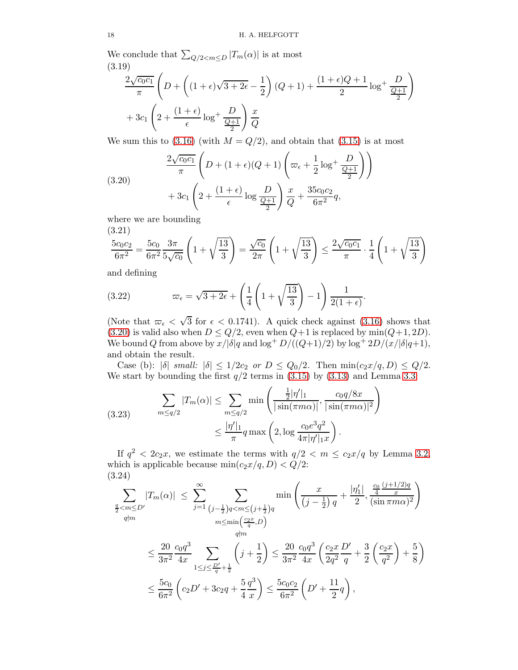We conclude that  $\sum_{Q/2 < m \leq D} |T_m(\alpha)|$  is at most (3.19)

<span id="page-17-3"></span>
$$
\frac{2\sqrt{c_0c_1}}{\pi} \left( D + \left( (1+\epsilon)\sqrt{3+2\epsilon} - \frac{1}{2} \right) (Q+1) + \frac{(1+\epsilon)Q+1}{2} \log^+ \frac{D}{\frac{Q+1}{2}} \right)
$$

$$
+ 3c_1 \left( 2 + \frac{(1+\epsilon)}{\epsilon} \log^+ \frac{D}{\frac{Q+1}{2}} \right) \frac{x}{Q}
$$

We sum this to  $(3.16)$  (with  $M = Q/2$ ), and obtain that  $(3.15)$  is at most

<span id="page-17-0"></span>(3.20)  

$$
\frac{2\sqrt{c_0c_1}}{\pi} \left( D + (1+\epsilon)(Q+1) \left( \varpi_{\epsilon} + \frac{1}{2} \log^+ \frac{D}{\frac{Q+1}{2}} \right) \right)
$$

$$
+ 3c_1 \left( 2 + \frac{(1+\epsilon)}{\epsilon} \log \frac{D}{\frac{Q+1}{2}} \right) \frac{x}{Q} + \frac{35c_0c_2}{6\pi^2} q,
$$

where we are bounding

(3.21)

<span id="page-17-4"></span>
$$
\frac{5c_0c_2}{6\pi^2} = \frac{5c_0}{6\pi^2} \frac{3\pi}{5\sqrt{c_0}} \left( 1 + \sqrt{\frac{13}{3}} \right) = \frac{\sqrt{c_0}}{2\pi} \left( 1 + \sqrt{\frac{13}{3}} \right) \le \frac{2\sqrt{c_0c_1}}{\pi} \cdot \frac{1}{4} \left( 1 + \sqrt{\frac{13}{3}} \right)
$$

and defining

<span id="page-17-5"></span>(3.22) 
$$
\varpi_{\epsilon} = \sqrt{3+2\epsilon} + \left(\frac{1}{4}\left(1+\sqrt{\frac{13}{3}}\right)-1\right)\frac{1}{2(1+\epsilon)}
$$

(Note that  $\omega_{\epsilon} < \sqrt{3}$  for  $\epsilon < 0.1741$ ). A quick check against [\(3.16\)](#page-16-0) shows that [\(3.20\)](#page-17-0) is valid also when  $D \leq Q/2$ , even when  $Q+1$  is replaced by min $(Q+1, 2D)$ . We bound Q from above by  $x/|\delta|q$  and  $\log^+ D/((Q+1)/2)$  by  $\log^+ 2D/(x/|\delta|q+1)$ , and obtain the result.

.

Case (b):  $|\delta|$  small:  $|\delta| \leq 1/2c_2$  or  $D \leq Q_0/2$ . Then  $\min(c_2x/q, D) \leq Q/2$ . We start by bounding the first  $q/2$  terms in [\(3.15\)](#page-15-1) by [\(3.13\)](#page-15-0) and Lemma [3.3:](#page-12-2)

<span id="page-17-1"></span>(3.23) 
$$
\sum_{m \le q/2} |T_m(\alpha)| \le \sum_{m \le q/2} \min \left( \frac{\frac{1}{2} |\eta'|_1}{|\sin(\pi m \alpha)|}, \frac{c_0 q/8x}{|\sin(\pi m \alpha)|^2} \right) \le \frac{|\eta'|_1}{\pi} q \max \left( 2, \log \frac{c_0 e^3 q^2}{4\pi |\eta'|_1 x} \right).
$$

If  $q^2 < 2c_2x$ , we estimate the terms with  $q/2 < m \leq c_2x/q$  by Lemma [3.2,](#page-11-0) which is applicable because  $min(c_2x/q, D) < Q/2$ : (3.24)

<span id="page-17-2"></span>
$$
\sum_{\substack{\frac{q}{2} < m \le D' \\ q \nmid m}} |T_m(\alpha)| \le \sum_{j=1}^{\infty} \sum_{\substack{(j-\frac{1}{2})q < m \le (j+\frac{1}{2})q}} \min\left(\frac{x}{(j-\frac{1}{2})q} + \frac{|\eta_1'|}{2}, \frac{\frac{c_0}{4} \frac{(j+1/2)q}{x}}{(\sin \pi m\alpha)^2}\right)
$$
  
\n
$$
\le \frac{20}{3\pi^2} \frac{c_0 q^3}{4x} \sum_{1 \le j \le \frac{D'}{q} + \frac{1}{2}} \left(j + \frac{1}{2}\right) \le \frac{20}{3\pi^2} \frac{c_0 q^3}{4x} \left(\frac{c_2 x}{2q^2} \frac{D'}{q} + \frac{3}{2} \left(\frac{c_2 x}{q^2}\right) + \frac{5}{8}\right)
$$
  
\n
$$
\le \frac{5c_0}{6\pi^2} \left(c_2 D' + 3c_2 q + \frac{5}{4} \frac{q^3}{x}\right) \le \frac{5c_0 c_2}{6\pi^2} \left(D' + \frac{11}{2}q\right),
$$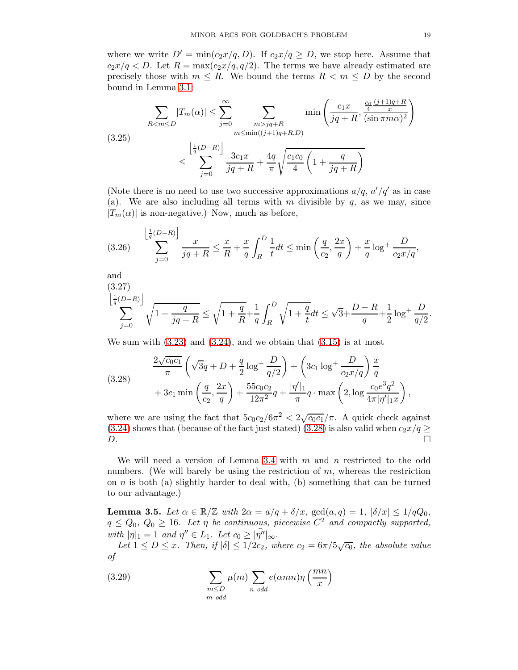where we write  $D' = min(c_2x/q, D)$ . If  $c_2x/q \ge D$ , we stop here. Assume that  $c_2x/q < D$ . Let  $R = \max(c_2x/q, q/2)$ . The terms we have already estimated are precisely those with  $m \leq R$ . We bound the terms  $R < m \leq D$  by the second bound in Lemma [3.1:](#page-9-3)

<span id="page-18-3"></span>
$$
\sum_{R < m \le D} |T_m(\alpha)| \le \sum_{j=0}^{\infty} \sum_{\substack{m > jq + R \\ m \le \min((j+1)q + R, D)}} \min\left(\frac{c_1 x}{jq + R}, \frac{\frac{c_0 (j+1)q + R}{4}}{(i \sin \pi m \alpha)^2}\right)
$$
\n
$$
\le \sum_{j=0}^{\left\lfloor \frac{1}{q}(D-R)\right\rfloor} \frac{3c_1 x}{jq + R} + \frac{4q}{\pi} \sqrt{\frac{c_1 c_0}{4} \left(1 + \frac{q}{jq + R}\right)}
$$

(Note there is no need to use two successive approximations  $a/q$ ,  $a'/q'$  as in case (a). We are also including all terms with m divisible by  $q$ , as we may, since  $|T_m(\alpha)|$  is non-negative.) Now, much as before,

<span id="page-18-1"></span>
$$
(3.26) \qquad \sum_{j=0}^{\left\lfloor \frac{1}{q}(D-R) \right\rfloor} \frac{x}{jq+R} \le \frac{x}{R} + \frac{x}{q} \int_{R}^{D} \frac{1}{t} dt \le \min\left(\frac{q}{c_2}, \frac{2x}{q}\right) + \frac{x}{q} \log^+\frac{D}{c_2x/q},
$$

and

<span id="page-18-4"></span>
$$
\sum_{j=0}^{\left\lfloor\frac{1}{q}(D-R)\right\rfloor}\sqrt{1+\frac{q}{jq+R}}\le\sqrt{1+\frac{q}{R}}+\frac{1}{q}\int_R^D\sqrt{1+\frac{q}{t}}dt\le\sqrt{3}+\frac{D-R}{q}+\frac{1}{2}\log^+\frac{D}{q/2}.
$$

We sum with  $(3.23)$  and  $(3.24)$ , and we obtain that  $(3.15)$  is at most

<span id="page-18-0"></span>(3.28) 
$$
\frac{2\sqrt{c_0c_1}}{\pi} \left(\sqrt{3}q + D + \frac{q}{2}\log^+\frac{D}{q/2}\right) + \left(3c_1\log^+\frac{D}{c_2x/q}\right)\frac{x}{q} + 3c_1\min\left(\frac{q}{c_2},\frac{2x}{q}\right) + \frac{55c_0c_2}{12\pi^2}q + \frac{|\eta'|_1}{\pi}q \cdot \max\left(2, \log\frac{c_0e^3q^2}{4\pi|\eta'|_{1}x}\right),
$$

where we are using the fact that  $5c_0c_2/6\pi^2 < 2\sqrt{c_0c_1}/\pi$ . A quick check against [\(3.24\)](#page-17-2) shows that (because of the fact just stated) [\(3.28\)](#page-18-0) is also valid when  $c_2x/q \geq D$ .  $D.$ 

We will need a version of Lemma [3.4](#page-13-2) with  $m$  and  $n$  restricted to the odd numbers. (We will barely be using the restriction of  $m$ , whereas the restriction on  $n$  is both (a) slightly harder to deal with, (b) something that can be turned to our advantage.)

<span id="page-18-2"></span>**Lemma 3.5.** Let  $\alpha \in \mathbb{R}/\mathbb{Z}$  with  $2\alpha = a/q + \delta/x$ ,  $gcd(a,q) = 1$ ,  $|\delta/x| \leq 1/qQ_0$ ,  $q \leq Q_0, Q_0 \geq 16$ . Let  $\eta$  be continuous, piecewise  $C^2$  and compactly supported, with  $|\eta|_1 = 1$  and  $\eta'' \in L_1$ . Let  $c_0 \geq |\eta''|_{\infty}$ .

Let  $1 \le D \le x$ . Then, if  $|\delta| \le 1/2c_2$ , where  $c_2 = 6\pi/5\sqrt{c_0}$ , the absolute value of

(3.29) 
$$
\sum_{\substack{m \le D \\ m \text{ odd}}} \mu(m) \sum_{n \text{ odd}} e(\alpha mn) \eta\left(\frac{mn}{x}\right)
$$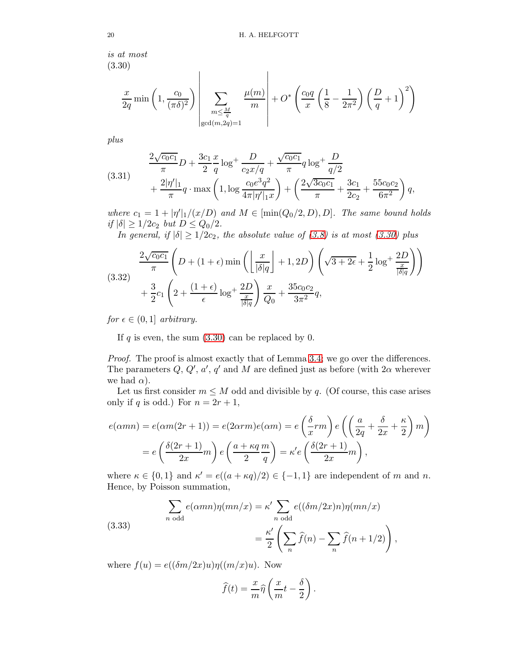is at most (3.30)

<span id="page-19-0"></span>
$$
\frac{x}{2q} \min\left(1, \frac{c_0}{(\pi \delta)^2}\right) \left| \sum_{\substack{m \leq \frac{M}{q} \\ \gcd(m, 2q) = 1}} \frac{\mu(m)}{m} \right| + O^* \left( \frac{c_0 q}{x} \left( \frac{1}{8} - \frac{1}{2\pi^2} \right) \left( \frac{D}{q} + 1 \right)^2 \right)
$$

plus

(3.31) 
$$
\frac{2\sqrt{c_0c_1}}{\pi}D + \frac{3c_1}{2}\frac{x}{q}\log^+\frac{D}{c_2x/q} + \frac{\sqrt{c_0c_1}}{\pi}q\log^+\frac{D}{q/2} + \frac{2|\eta'|_1}{\pi}q\cdot\max\left(1,\log\frac{c_0e^3q^2}{4\pi|\eta'|_1x}\right) + \left(\frac{2\sqrt{3c_0c_1}}{\pi} + \frac{3c_1}{2c_2} + \frac{55c_0c_2}{6\pi^2}\right)q,
$$

where  $c_1 = 1 + |\eta'|_1/(x/D)$  and  $M \in [\min(Q_0/2, D), D]$ . The same bound holds if  $|\delta| \ge 1/2c_2$  but  $D \le Q_0/2$ .

In general, if  $|\delta| \geq 1/2c_2$ , the absolute value of [\(3.8\)](#page-13-3) is at most [\(3.30\)](#page-19-0) plus

$$
(3.32) \frac{2\sqrt{c_0c_1}}{\pi} \left( D + (1+\epsilon)\min\left( \left\lfloor \frac{x}{|\delta|q} \right\rfloor + 1, 2D \right) \left( \sqrt{3+2\epsilon} + \frac{1}{2}\log^+ \frac{2D}{\frac{x}{|\delta|q}} \right) \right) + \frac{3}{2}c_1 \left( 2 + \frac{(1+\epsilon)}{\epsilon} \log^+ \frac{2D}{\frac{x}{|\delta|q}} \right) \frac{x}{Q_0} + \frac{35c_0c_2}{3\pi^2} q,
$$

for  $\epsilon \in (0,1]$  arbitrary.

If  $q$  is even, the sum  $(3.30)$  can be replaced by 0.

Proof. The proof is almost exactly that of Lemma [3.4;](#page-13-2) we go over the differences. The parameters  $Q, Q', a', q'$  and M are defined just as before (with  $2\alpha$  wherever we had  $\alpha$ ).

Let us first consider  $m \leq M$  odd and divisible by q. (Of course, this case arises only if q is odd.) For  $n = 2r + 1$ ,

$$
e(\alpha mn) = e(\alpha m(2r+1)) = e(2\alpha rm)e(\alpha m) = e\left(\frac{\delta}{x}rm\right)e\left(\left(\frac{a}{2q} + \frac{\delta}{2x} + \frac{\kappa}{2}\right)m\right)
$$

$$
= e\left(\frac{\delta(2r+1)}{2x}m\right)e\left(\frac{a+\kappa q}{2}\frac{m}{q}\right) = \kappa'e\left(\frac{\delta(2r+1)}{2x}m\right),
$$

where  $\kappa \in \{0,1\}$  and  $\kappa' = e((a + \kappa q)/2) \in \{-1,1\}$  are independent of m and n. Hence, by Poisson summation,

<span id="page-19-1"></span>(3.33) 
$$
\sum_{n \text{ odd}} e(\alpha mn)\eta(mn/x) = \kappa' \sum_{n \text{ odd}} e((\delta m/2x)n)\eta(mn/x)
$$

$$
= \frac{\kappa'}{2} \left( \sum_{n} \hat{f}(n) - \sum_{n} \hat{f}(n+1/2) \right),
$$

where  $f(u) = e((\delta m/2x)u)\eta((m/x)u)$ . Now

$$
\widehat{f}(t) = \frac{x}{m}\widehat{\eta}\left(\frac{x}{m}t - \frac{\delta}{2}\right).
$$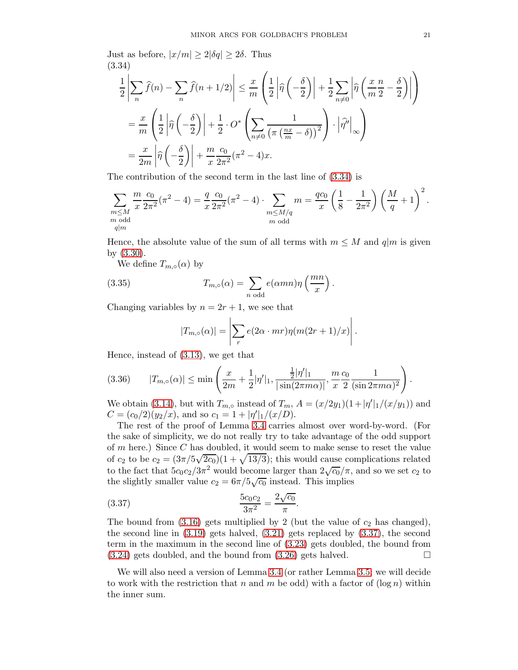Just as before,  $|x/m| \geq 2|\delta q| \geq 2\delta$ . Thus (3.34)

<span id="page-20-0"></span>
$$
\frac{1}{2}\left|\sum_{n}\widehat{f}(n) - \sum_{n}\widehat{f}(n+1/2)\right| \leq \frac{x}{m}\left(\frac{1}{2}\left|\widehat{\eta}\left(-\frac{\delta}{2}\right)\right| + \frac{1}{2}\sum_{n\neq 0}\left|\widehat{\eta}\left(\frac{x}{m}\frac{n}{2} - \frac{\delta}{2}\right)\right|\right)
$$

$$
= \frac{x}{m}\left(\frac{1}{2}\left|\widehat{\eta}\left(-\frac{\delta}{2}\right)\right| + \frac{1}{2}\cdot O^*\left(\sum_{n\neq 0}\frac{1}{\left(\pi\left(\frac{nx}{m} - \delta\right)\right)^2}\right)\cdot \left|\widehat{\eta}^{\prime\prime}\right|_{\infty}\right)
$$

$$
= \frac{x}{2m}\left|\widehat{\eta}\left(-\frac{\delta}{2}\right)\right| + \frac{m}{x}\frac{c_0}{2\pi^2}(\pi^2 - 4)x.
$$

The contribution of the second term in the last line of [\(3.34\)](#page-20-0) is

$$
\sum_{\substack{m \le M \\ m \text{ odd} \\ q|m}} \frac{m}{x} \frac{c_0}{2\pi^2} (\pi^2 - 4) = \frac{q}{x} \frac{c_0}{2\pi^2} (\pi^2 - 4) \cdot \sum_{\substack{m \le M/q \\ m \text{ odd}}} m = \frac{qc_0}{x} \left(\frac{1}{8} - \frac{1}{2\pi^2}\right) \left(\frac{M}{q} + 1\right)^2.
$$

Hence, the absolute value of the sum of all terms with  $m \leq M$  and  $q|m$  is given by [\(3.30\)](#page-19-0).

.

We define  $T_{m,\circ}(\alpha)$  by

(3.35) 
$$
T_{m,\circ}(\alpha) = \sum_{n \text{ odd}} e(\alpha mn)\eta\left(\frac{mn}{x}\right)
$$

Changing variables by  $n = 2r + 1$ , we see that

<span id="page-20-2"></span>
$$
|T_{m,\circ}(\alpha)| = \left| \sum_{r} e(2\alpha \cdot mr) \eta(m(2r+1)/x) \right|.
$$

Hence, instead of [\(3.13\)](#page-15-0), we get that

<span id="page-20-3"></span>
$$
(3.36) \t |T_{m,\circ}(\alpha)| \le \min\left(\frac{x}{2m} + \frac{1}{2}|\eta'|_1, \frac{\frac{1}{2}|\eta'|_1}{|\sin(2\pi m\alpha)|}, \frac{m}{x}\frac{c_0}{2}\frac{1}{(\sin 2\pi m\alpha)^2}\right).
$$

We obtain [\(3.14\)](#page-15-2), but with  $T_{m,\circ}$  instead of  $T_m$ ,  $A = (x/2y_1)(1+|\eta'|_1/(x/y_1))$  and  $C = (c_0/2)(y_2/x)$ , and so  $c_1 = 1 + |\eta'|_1/(x/D)$ .

The rest of the proof of Lemma [3.4](#page-13-2) carries almost over word-by-word. (For the sake of simplicity, we do not really try to take advantage of the odd support of m here.) Since C has doubled, it would seem to make sense to reset the value of  $c_2$  to be  $c_2 = (3\pi/5\sqrt{2c_0})(1+\sqrt{13/3})$ ; this would cause complications related to the fact that  $5c_0c_2/3\pi^2$  would become larger than  $2\sqrt{c_0}/\pi$ , and so we set  $c_2$  to the slightly smaller value  $c_2 = 6\pi/5\sqrt{c_0}$  instead. This implies

<span id="page-20-1"></span>(3.37) 
$$
\frac{5c_0c_2}{3\pi^2} = \frac{2\sqrt{c_0}}{\pi}.
$$

The bound from  $(3.16)$  gets multiplied by 2 (but the value of  $c_2$  has changed), the second line in  $(3.19)$  gets halved,  $(3.21)$  gets replaced by  $(3.37)$ , the second term in the maximum in the second line of [\(3.23\)](#page-17-1) gets doubled, the bound from  $(3.24)$  gets doubled, and the bound from  $(3.26)$  gets halved.

We will also need a version of Lemma [3.4](#page-13-2) (or rather Lemma [3.5;](#page-18-2) we will decide to work with the restriction that n and m be odd) with a factor of  $(\log n)$  within the inner sum.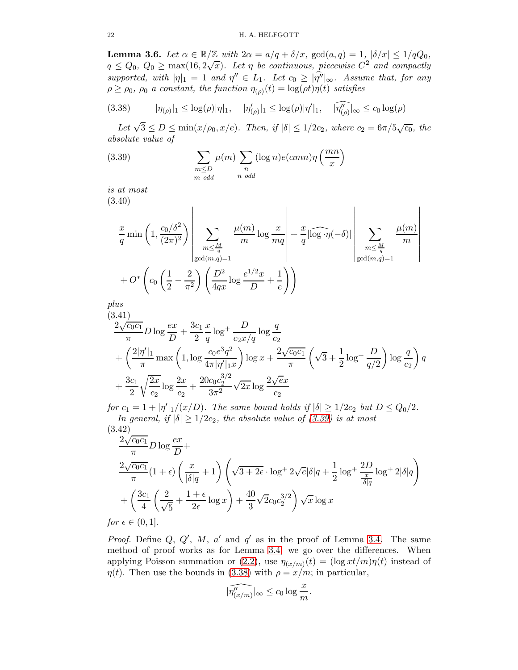**Lemma 3.6.** Let  $\alpha \in \mathbb{R}/\mathbb{Z}$  with  $2\alpha = a/q + \delta/x$ ,  $gcd(a,q) = 1$ ,  $|\delta/x| \leq 1/qQ_0$ ,  $q \leq Q_0, Q_0 \geq \max(16, 2\sqrt{x})$ . Let  $\eta$  be continuous, piecewise  $C^2$  and compactly supported, with  $|\eta|_1 = 1$  and  $\eta'' \in L_1$ . Let  $c_0 \geq |\eta''|_{\infty}$ . Assume that, for any  $\rho \ge \rho_0$ ,  $\rho_0$  a constant, the function  $\eta_{(\rho)}(t) = \log(\rho t) \eta(t)$  satisfies

<span id="page-21-1"></span>
$$
(3.38) \t\t |\eta_{(\rho)}|_1 \leq \log(\rho)|\eta|_1, \t |\eta'_{(\rho)}|_1 \leq \log(\rho)|\eta'|_1, \t |\widehat{\eta''_{(\rho)}}|_{\infty} \leq c_0 \log(\rho)
$$

Let  $\sqrt{3} \le D \le \min(x/\rho_0, x/e)$ . Then, if  $|\delta| \le 1/2c_2$ , where  $c_2 = 6\pi/5\sqrt{c_0}$ , the absolute value of

<span id="page-21-0"></span>(3.39) 
$$
\sum_{\substack{m \le D \\ m \text{ odd}}} \mu(m) \sum_{\substack{n \\ n \text{ odd}}} (\log n) e(\alpha mn) \eta\left(\frac{mn}{x}\right)
$$

is at most (3.40)

$$
\frac{x}{q} \min\left(1, \frac{c_0/\delta^2}{(2\pi)^2}\right) \left| \sum_{\substack{m \leq \frac{M}{q} \\ \gcd(m,q)=1}} \frac{\mu(m)}{m} \log \frac{x}{mq} \right| + \frac{x}{q} |\widehat{\log \eta}(-\delta)| \left| \sum_{\substack{m \leq \frac{M}{q} \\ \gcd(m,q)=1}} \frac{\mu(m)}{m} \right|
$$
  
+  $O^* \left( c_0 \left( \frac{1}{2} - \frac{2}{\pi^2} \right) \left( \frac{D^2}{4qx} \log \frac{e^{1/2}x}{D} + \frac{1}{e} \right) \right)$ 

plus

$$
(3.41)
$$
\n
$$
\frac{2\sqrt{c_0c_1}}{\pi}D\log\frac{ex}{D} + \frac{3c_1}{2}\frac{x}{q}\log^+\frac{D}{c_2x/q}\log\frac{q}{c_2}
$$
\n
$$
+ \left(\frac{2|\eta'|_1}{\pi}\max\left(1,\log\frac{c_0e^3q^2}{4\pi|\eta'|_{1x}}\right)\log x + \frac{2\sqrt{c_0c_1}}{\pi}\left(\sqrt{3} + \frac{1}{2}\log^+\frac{D}{q/2}\right)\log\frac{q}{c_2}\right)q + \frac{3c_1}{2}\sqrt{\frac{2x}{c_2}}\log\frac{2x}{c_2} + \frac{20c_0c_2^{3/2}}{3\pi^2}\sqrt{2x}\log\frac{2\sqrt{ex}}{c_2}
$$

for  $c_1 = 1 + |\eta'|_1/(x/D)$ . The same bound holds if  $|\delta| \ge 1/2c_2$  but  $D \le Q_0/2$ . In general, if  $|\delta| \geq 1/2c_2$ , the absolute value of [\(3.39\)](#page-21-0) is at most (3.42)

<span id="page-21-2"></span>
$$
\frac{2\sqrt{c_0c_1}}{\pi} D \log \frac{ex}{D} +
$$
\n
$$
\frac{2\sqrt{c_0c_1}}{\pi} (1+\epsilon) \left(\frac{x}{|\delta|q}+1\right) \left(\sqrt{3+2\epsilon} \cdot \log^+ 2\sqrt{e} |\delta|q + \frac{1}{2} \log^+ \frac{2D}{\frac{x}{|\delta|q}} \log^+ 2|\delta|q\right)
$$
\n
$$
+ \left(\frac{3c_1}{4} \left(\frac{2}{\sqrt{5}} + \frac{1+\epsilon}{2\epsilon} \log x\right) + \frac{40}{3} \sqrt{2}c_0c_2^{3/2}\right) \sqrt{x} \log x
$$

for  $\epsilon \in (0,1]$ .

*Proof.* Define  $Q, Q', M, a'$  and  $q'$  as in the proof of Lemma [3.4.](#page-13-2) The same method of proof works as for Lemma [3.4;](#page-13-2) we go over the differences. When applying Poisson summation or [\(2.2\)](#page-4-4), use  $\eta(x/m)(t) = (\log xt/m)\eta(t)$  instead of  $\eta(t)$ . Then use the bounds in [\(3.38\)](#page-21-1) with  $\rho = x/m$ ; in particular,

$$
|\widehat{\eta''_{(x/m)}}|_{\infty} \le c_0 \log \frac{x}{m}.
$$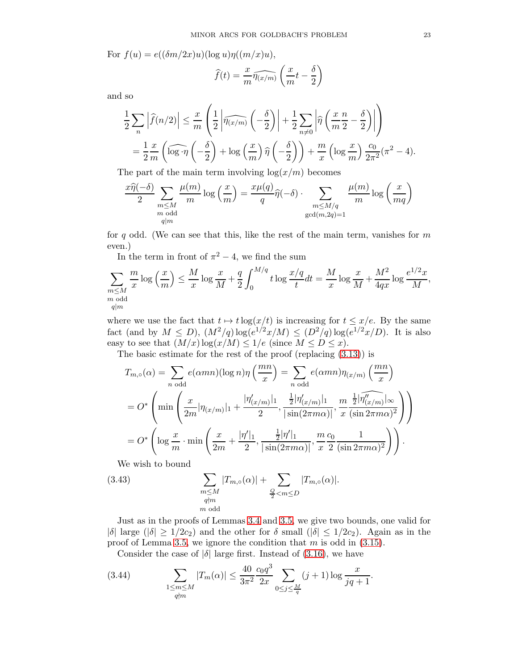For  $f(u) = e((\delta m/2x)u)(\log u)\eta((m/x)u)$ ,

$$
\widehat{f}(t) = \frac{x}{m} \widehat{\eta(x/m)} \left( \frac{x}{m} t - \frac{\delta}{2} \right)
$$

and so

$$
\frac{1}{2} \sum_{n} \left| \widehat{f}(n/2) \right| \leq \frac{x}{m} \left( \frac{1}{2} \left| \widehat{\eta(x/m)} \left( -\frac{\delta}{2} \right) \right| + \frac{1}{2} \sum_{n \neq 0} \left| \widehat{\eta} \left( \frac{x}{m} \frac{n}{2} - \frac{\delta}{2} \right) \right| \right)
$$
  
=  $\frac{1}{2} \frac{x}{m} \left( \widehat{\log} \cdot \widehat{\eta} \left( -\frac{\delta}{2} \right) + \log \left( \frac{x}{m} \right) \widehat{\eta} \left( -\frac{\delta}{2} \right) \right) + \frac{m}{x} \left( \log \frac{x}{m} \right) \frac{c_0}{2\pi^2} (\pi^2 - 4).$ 

The part of the main term involving  $log(x/m)$  becomes

$$
\frac{x\widehat{\eta}(-\delta)}{2} \sum_{\substack{m \le M \\ m \text{ odd} \\ q|m}} \frac{\mu(m)}{m} \log\left(\frac{x}{m}\right) = \frac{x\mu(q)}{q} \widehat{\eta}(-\delta) \cdot \sum_{\substack{m \le M/q \\ \gcd(m, 2q) = 1}} \frac{\mu(m)}{m} \log\left(\frac{x}{mq}\right)
$$

for q odd. (We can see that this, like the rest of the main term, vanishes for  $m$ even.)

In the term in front of  $\pi^2 - 4$ , we find the sum

$$
\sum_{\substack{m \le M \\ m \text{ odd} \\ q|m}} \frac{m}{x} \log\left(\frac{x}{m}\right) \le \frac{M}{x} \log\frac{x}{M} + \frac{q}{2} \int_0^{M/q} t \log\frac{x/q}{t} dt = \frac{M}{x} \log\frac{x}{M} + \frac{M^2}{4qx} \log\frac{e^{1/2}x}{M},
$$

where we use the fact that  $t \mapsto t \log(x/t)$  is increasing for  $t \leq x/e$ . By the same fact (and by  $M \le D$ ),  $(M^2/q) \log(e^{1/2}x/M) \le (D^2/q) \log(e^{1/2}x/D)$ . It is also easy to see that  $(M/x) \log(x/M) \leq 1/e$  (since  $M \leq D \leq x$ ).

The basic estimate for the rest of the proof (replacing [\(3.13\)](#page-15-0)) is

$$
T_{m,\circ}(\alpha) = \sum_{n \text{ odd}} e(\alpha mn)(\log n)\eta\left(\frac{mn}{x}\right) = \sum_{n \text{ odd}} e(\alpha mn)\eta_{(x/m)}\left(\frac{mn}{x}\right)
$$

$$
= O^* \left( \min \left( \frac{x}{2m} |\eta_{(x/m)}|_1 + \frac{|\eta'_{(x/m)}|_1}{2}, \frac{\frac{1}{2} |\eta'_{(x/m)}|_1}{|\sin(2\pi m\alpha)|}, \frac{m}{x} \frac{\frac{1}{2} |\eta''_{(x/m)}|_{\infty}}{(\sin 2\pi m\alpha)^2} \right) \right)
$$

$$
= O^* \left( \log \frac{x}{m} \cdot \min \left( \frac{x}{2m} + \frac{|\eta'|_1}{2}, \frac{\frac{1}{2} |\eta'|_1}{|\sin(2\pi m\alpha)|}, \frac{m}{x} \frac{c_0}{2} \frac{1}{(\sin 2\pi m\alpha)^2} \right) \right).
$$

<span id="page-22-0"></span>We wish to bound

(3.43) 
$$
\sum_{\substack{m \le M \\ q \nmid m}} |T_{m,\circ}(\alpha)| + \sum_{\substack{Q \\ 2 < m \le D}} |T_{m,\circ}(\alpha)|.
$$

Just as in the proofs of Lemmas [3.4](#page-13-2) and [3.5,](#page-18-2) we give two bounds, one valid for  $|\delta|$  large  $(|\delta| \geq 1/2c_2)$  and the other for  $\delta$  small  $(|\delta| \leq 1/2c_2)$ . Again as in the proof of Lemma [3.5,](#page-18-2) we ignore the condition that  $m$  is odd in  $(3.15)$ .

Consider the case of  $|\delta|$  large first. Instead of [\(3.16\)](#page-16-0), we have

(3.44) 
$$
\sum_{\substack{1 \le m \le M \\ q \nmid m}} |T_m(\alpha)| \le \frac{40}{3\pi^2} \frac{c_0 q^3}{2x} \sum_{0 \le j \le \frac{M}{q}} (j+1) \log \frac{x}{jq+1}.
$$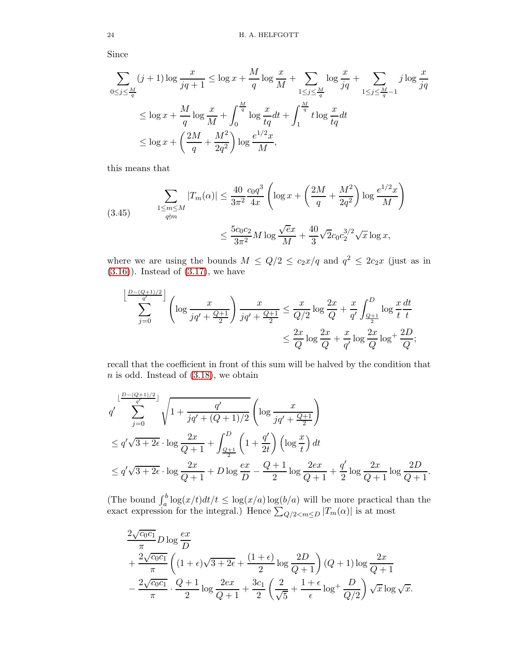Since

$$
\sum_{0 \le j \le \frac{M}{q}} (j+1) \log \frac{x}{jq+1} \le \log x + \frac{M}{q} \log \frac{x}{M} + \sum_{1 \le j \le \frac{M}{q}} \log \frac{x}{jq} + \sum_{1 \le j \le \frac{M}{q}-1} j \log \frac{x}{jq}
$$
  

$$
\le \log x + \frac{M}{q} \log \frac{x}{M} + \int_0^{\frac{M}{q}} \log \frac{x}{tq} dt + \int_1^{\frac{M}{q}} t \log \frac{x}{tq} dt
$$
  

$$
\le \log x + \left(\frac{2M}{q} + \frac{M^2}{2q^2}\right) \log \frac{e^{1/2}x}{M},
$$

this means that

<span id="page-23-0"></span>(3.45) 
$$
\sum_{\substack{1 \le m \le M \\ q \nmid m}} |T_m(\alpha)| \le \frac{40}{3\pi^2} \frac{c_0 q^3}{4x} \left( \log x + \left( \frac{2M}{q} + \frac{M^2}{2q^2} \right) \log \frac{e^{1/2} x}{M} \right)
$$

$$
\le \frac{5c_0 c_2}{3\pi^2} M \log \frac{\sqrt{e}x}{M} + \frac{40}{3} \sqrt{2} c_0 c_2^{3/2} \sqrt{x} \log x,
$$

where we are using the bounds  $M \leq Q/2 \leq c_2x/q$  and  $q^2 \leq 2c_2x$  (just as in  $(3.16)$ ). Instead of  $(3.17)$ , we have

$$
\sum_{j=0}^{\left\lfloor \frac{D-(Q+1)/2}{q'}\right\rfloor} \left( \log \frac{x}{jq' + \frac{Q+1}{2}} \right) \frac{x}{jq' + \frac{Q+1}{2}} \le \frac{x}{Q/2} \log \frac{2x}{Q} + \frac{x}{q'} \int_{\frac{Q+1}{2}}^{D} \log \frac{x}{t} \frac{dt}{t}
$$

$$
\le \frac{2x}{Q} \log \frac{2x}{Q} + \frac{x}{q'} \log \frac{2x}{Q} \log^+ \frac{2D}{Q};
$$

recall that the coefficient in front of this sum will be halved by the condition that  $n$  is odd. Instead of  $(3.18)$ , we obtain

$$
q' \sum_{j=0}^{\lfloor \frac{D-(Q+1)/2}{q'}\rfloor} \sqrt{1 + \frac{q'}{jq' + (Q+1)/2}} \left( \log \frac{x}{jq' + \frac{Q+1}{2}} \right)
$$
  

$$
\leq q' \sqrt{3 + 2\epsilon} \cdot \log \frac{2x}{Q+1} + \int_{\frac{Q+1}{2}}^{D} \left( 1 + \frac{q'}{2t} \right) \left( \log \frac{x}{t} \right) dt
$$
  

$$
\leq q' \sqrt{3 + 2\epsilon} \cdot \log \frac{2x}{Q+1} + D \log \frac{ex}{D} - \frac{Q+1}{2} \log \frac{2ex}{Q+1} + \frac{q'}{2} \log \frac{2x}{Q+1} \log \frac{2D}{Q+1}.
$$

(The bound  $\int_a^b \log(x/t) dt/t \leq \log(x/a) \log(b/a)$  will be more practical than the exact expression for the integral.) Hence  $\sum_{Q/2 \le m \le D} |T_m(\alpha)|$  is at most

$$
\frac{2\sqrt{c_0c_1}}{\pi}D\log\frac{ex}{D} \n+ \frac{2\sqrt{c_0c_1}}{\pi}\left((1+\epsilon)\sqrt{3+2\epsilon}+\frac{(1+\epsilon)}{2}\log\frac{2D}{Q+1}\right)(Q+1)\log\frac{2x}{Q+1} \n- \frac{2\sqrt{c_0c_1}}{\pi}\cdot\frac{Q+1}{2}\log\frac{2ex}{Q+1}+\frac{3c_1}{2}\left(\frac{2}{\sqrt{5}}+\frac{1+\epsilon}{\epsilon}\log^+\frac{D}{Q/2}\right)\sqrt{x}\log\sqrt{x}.
$$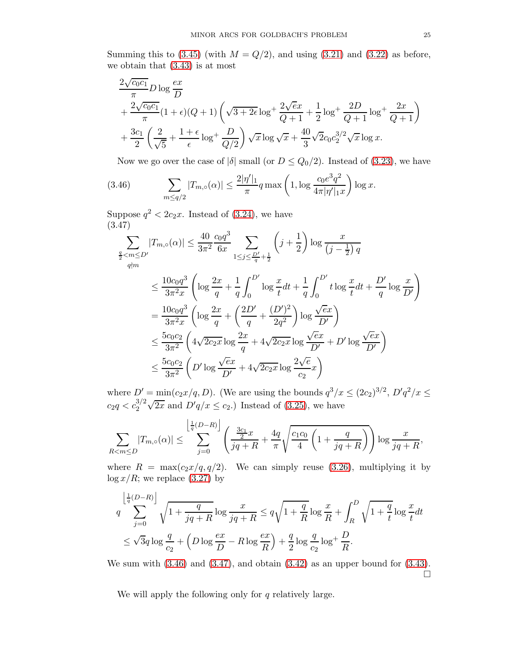Summing this to [\(3.45\)](#page-23-0) (with  $M = Q/2$ ), and using [\(3.21\)](#page-17-4) and [\(3.22\)](#page-17-5) as before, we obtain that [\(3.43\)](#page-22-0) is at most

$$
\frac{2\sqrt{c_0c_1}}{\pi} D \log \frac{ex}{D} \n+ \frac{2\sqrt{c_0c_1}}{\pi} (1+\epsilon)(Q+1) \left(\sqrt{3+2\epsilon} \log^+\frac{2\sqrt{ex}}{Q+1} + \frac{1}{2} \log^+\frac{2D}{Q+1} \log^+\frac{2x}{Q+1}\right) \n+ \frac{3c_1}{2} \left(\frac{2}{\sqrt{5}} + \frac{1+\epsilon}{\epsilon} \log^+\frac{D}{Q/2}\right) \sqrt{x} \log \sqrt{x} + \frac{40}{3} \sqrt{2} c_0 c_2^{3/2} \sqrt{x} \log x.
$$

<span id="page-24-0"></span>Now we go over the case of  $|\delta|$  small (or  $D \leq Q_0/2$ ). Instead of [\(3.23\)](#page-17-1), we have

(3.46) 
$$
\sum_{m \le q/2} |T_{m,\circ}(\alpha)| \le \frac{2|\eta'|_1}{\pi} q \max\left(1, \log \frac{c_0 e^3 q^2}{4\pi |\eta'|_1 x}\right) \log x.
$$

Suppose  $q^2 < 2c_2x$ . Instead of [\(3.24\)](#page-17-2), we have (3.47)

<span id="page-24-1"></span>
$$
\sum_{\substack{q \to \infty \\ q \nmid m}} |T_{m,\circ}(\alpha)| \le \frac{40}{3\pi^2} \frac{c_0 q^3}{6x} \sum_{1 \le j \le \frac{D'}{q} + \frac{1}{2}} \left( j + \frac{1}{2} \right) \log \frac{x}{\left( j - \frac{1}{2} \right) q}
$$
\n
$$
\le \frac{10c_0 q^3}{3\pi^2 x} \left( \log \frac{2x}{q} + \frac{1}{q} \int_0^{D'} \log \frac{x}{t} dt + \frac{1}{q} \int_0^{D'} t \log \frac{x}{t} dt + \frac{D'}{q} \log \frac{x}{D'} \right)
$$
\n
$$
= \frac{10c_0 q^3}{3\pi^2 x} \left( \log \frac{2x}{q} + \left( \frac{2D'}{q} + \frac{(D')^2}{2q^2} \right) \log \frac{\sqrt{e}x}{D'} \right)
$$
\n
$$
\le \frac{5c_0 c_2}{3\pi^2} \left( 4\sqrt{2c_2 x} \log \frac{2x}{q} + 4\sqrt{2c_2 x} \log \frac{\sqrt{e}x}{D'} + D' \log \frac{\sqrt{e}x}{D'} \right)
$$
\n
$$
\le \frac{5c_0 c_2}{3\pi^2} \left( D' \log \frac{\sqrt{e}x}{D'} + 4\sqrt{2c_2 x} \log \frac{2\sqrt{e}}{c_2} x \right)
$$

where  $D' = \min(c_2x/q, D)$ . (We are using the bounds  $q^3/x \leq (2c_2)^{3/2}$ ,  $D'q^2/x \leq$  $c_2q < c_2^{3/2}\sqrt{2x}$  and  $D'q/x \le c_2$ .) Instead of [\(3.25\)](#page-18-3), we have

$$
\sum_{R < m \le D} |T_{m, \circ}(\alpha)| \le \sum_{j=0}^{\left\lfloor \frac{1}{q}(D-R) \right\rfloor} \left( \frac{\frac{3c_1}{2}x}{jq+R} + \frac{4q}{\pi} \sqrt{\frac{c_1c_0}{4} \left( 1 + \frac{q}{jq+R} \right)} \right) \log \frac{x}{jq+R},
$$

where  $R = \max(c_2x/q, q/2)$ . We can simply reuse [\(3.26\)](#page-18-1), multiplying it by  $\log x/R$ ; we replace [\(3.27\)](#page-18-4) by

$$
q \sum_{j=0}^{\left\lfloor \frac{1}{q}(D-R)\right\rfloor} \sqrt{1 + \frac{q}{jq+R}} \log \frac{x}{jq+R} \le q\sqrt{1 + \frac{q}{R}} \log \frac{x}{R} + \int_R^D \sqrt{1 + \frac{q}{t}} \log \frac{x}{t} dt
$$
  

$$
\le \sqrt{3}q \log \frac{q}{c_2} + \left(D \log \frac{ex}{D} - R \log \frac{ex}{R}\right) + \frac{q}{2} \log \frac{q}{c_2} \log^+ \frac{D}{R}.
$$

We sum with  $(3.46)$  and  $(3.47)$ , and obtain  $(3.42)$  as an upper bound for  $(3.43)$ .  $\Box$ 

We will apply the following only for  $q$  relatively large.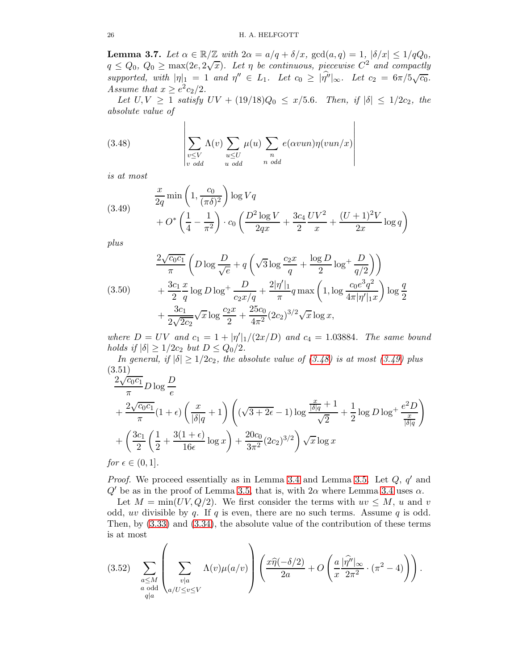**Lemma 3.7.** Let  $\alpha \in \mathbb{R}/\mathbb{Z}$  with  $2\alpha = a/q + \delta/x$ ,  $gcd(a,q) = 1$ ,  $|\delta/x| \leq 1/qQ_0$ ,  $q \leq Q_0, Q_0 \geq \max(2e, 2\sqrt{x})$ . Let  $\eta$  be continuous, piecewise  $C^2$  and compactly supported, with  $|\eta|_1 = 1$  and  $\eta'' \in L_1$ . Let  $c_0 \geq |\hat{\eta''}|_{\infty}$ . Let  $c_2 = 6\pi/5\sqrt{c_0}$ . Assume that  $x \geq e^2 c_2/2$ .

Let  $U, V \ge 1$  satisfy  $UV + (19/18)Q_0 \le x/5.6$ . Then, if  $|\delta| \le 1/2c_2$ , the absolute value of

<span id="page-25-0"></span>(3.48) 
$$
\sum_{\substack{v \le V \\ v \text{ odd}}} \Lambda(v) \sum_{\substack{u \le U \\ u \text{ odd}}} \mu(u) \sum_{\substack{n \\ n \text{ odd}}} e(\alpha vun) \eta(vun/x)
$$

is at most

<span id="page-25-1"></span>(3.49) 
$$
\frac{x}{2q} \min\left(1, \frac{c_0}{(\pi \delta)^2}\right) \log Vq + O^*\left(\frac{1}{4} - \frac{1}{\pi^2}\right) \cdot c_0 \left(\frac{D^2 \log V}{2qx} + \frac{3c_4}{2} \frac{UV^2}{x} + \frac{(U+1)^2 V}{2x} \log q\right)
$$

plus

$$
(3.50) \qquad \frac{2\sqrt{c_0c_1}}{\pi} \left( D \log \frac{D}{\sqrt{e}} + q \left( \sqrt{3} \log \frac{c_2 x}{q} + \frac{\log D}{2} \log^+ \frac{D}{q/2} \right) \right) \n+ \frac{3c_1}{2} \frac{x}{q} \log D \log^+ \frac{D}{c_2 x/q} + \frac{2|\eta'|_1}{\pi} q \max \left( 1, \log \frac{c_0 e^3 q^2}{4\pi |\eta'|_1 x} \right) \log \frac{q}{2} \n+ \frac{3c_1}{2\sqrt{2c_2}} \sqrt{x} \log \frac{c_2 x}{2} + \frac{25c_0}{4\pi^2} (2c_2)^{3/2} \sqrt{x} \log x,
$$

where  $D = UV$  and  $c_1 = 1 + |\eta'|_1/(2x/D)$  and  $c_4 = 1.03884$ . The same bound holds if  $|\delta| \geq 1/2c_2$  but  $D \leq Q_0/2$ .

In general, if  $|\delta| \geq 1/2c_2$ , the absolute value of  $(3.48)$  is at most  $(3.49)$  plus (3.51)

$$
\frac{2\sqrt{c_0c_1}}{\pi} D \log \frac{D}{e}
$$
  
+
$$
\frac{2\sqrt{c_0c_1}}{\pi} (1+\epsilon) \left(\frac{x}{|\delta|q}+1\right) \left((\sqrt{3+2\epsilon}-1) \log \frac{\frac{x}{|\delta|q}+1}{\sqrt{2}}+\frac{1}{2} \log D \log^2 \frac{e^2 D}{\frac{x}{|\delta|q}}\right)
$$
  
+
$$
\left(\frac{3c_1}{2} \left(\frac{1}{2}+\frac{3(1+\epsilon)}{16\epsilon} \log x\right)+\frac{20c_0}{3\pi^2} (2c_2)^{3/2}\right) \sqrt{x} \log x
$$

*for*  $\epsilon \in (0,1]$ .

*Proof.* We proceed essentially as in Lemma [3.4](#page-13-2) and Lemma [3.5.](#page-18-2) Let  $Q$ ,  $q'$  and  $Q'$  be as in the proof of Lemma [3.5,](#page-18-2) that is, with  $2\alpha$  where Lemma [3.4](#page-13-2) uses  $\alpha$ .

Let  $M = min(UV, Q/2)$ . We first consider the terms with  $uv \leq M$ , u and v odd, uv divisible by q. If q is even, there are no such terms. Assume q is odd. Then, by [\(3.33\)](#page-19-1) and [\(3.34\)](#page-20-0), the absolute value of the contribution of these terms is at most

<span id="page-25-2"></span>
$$
(3.52) \sum_{\substack{a \le M \\ a \text{ odd} \\ q|a}} \left( \sum_{\substack{v|a \\ v|a}} \Lambda(v) \mu(a/v) \right) \left( \frac{x\widehat{\eta}(-\delta/2)}{2a} + O\left(\frac{a}{x} \frac{|\widehat{\eta''}|_{\infty}}{2\pi^2} \cdot (\pi^2 - 4) \right) \right).
$$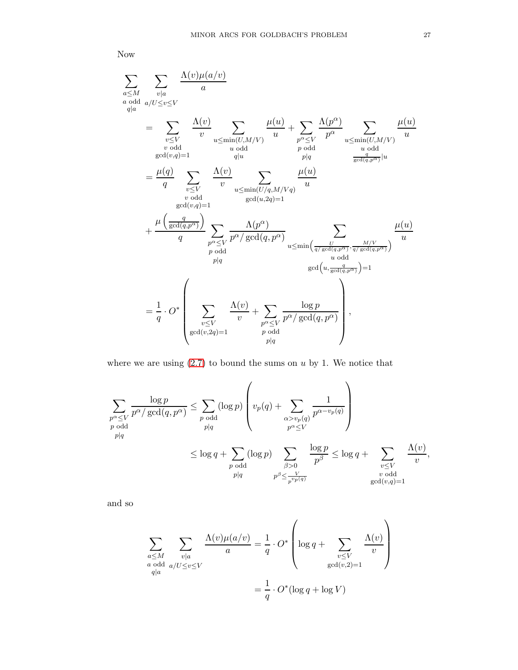Now

$$
\sum_{\substack{a \leq M \\ a|a}} \sum_{\substack{v|a \\ v|a \\ v \text{ odd}}} \frac{\Lambda(v)\mu(a/v)}{a}
$$
\n
$$
= \sum_{\substack{v \leq V \\ v \text{ odd}}} \frac{\Lambda(v)}{v} \sum_{u \leq \min(U,M/V)} \frac{\mu(u)}{u} + \sum_{\substack{p^{\alpha} \leq V \\ p \text{ odd}}} \frac{\Lambda(p^{\alpha})}{p^{\alpha}} \sum_{\substack{u \leq \min(U,M/V) \\ u \text{ odd}}} \frac{\mu(u)}{u}
$$
\n
$$
= \frac{\mu(q)}{q} \sum_{\substack{v \leq V \\ v \text{ odd}}} \frac{\Lambda(v)}{v} \sum_{\substack{u \leq \min(U/q, M/Vq) \\ \gcd(u, 2q) = 1}} \frac{\mu(u)}{u}
$$
\n
$$
+ \frac{\mu\left(\frac{q}{\gcd(q, p^{\alpha})}\right)}{q} \sum_{\substack{p^{\alpha} \leq V \\ p \text{ odd}}} \frac{\Lambda(p^{\alpha})}{p^{\alpha}/\gcd(q, p^{\alpha})} \sum_{\substack{u \leq \min(\frac{U}{q/\gcd(q, p^{\alpha})}, \frac{M/V}{q/\gcd(q, p^{\alpha}))} \\ u \text{ odd}}} \frac{\mu(u)}{u}
$$
\n
$$
= \frac{1}{q} \cdot O^* \left( \sum_{\substack{v \leq V \\ v \leq V}} \frac{\Lambda(v)}{v} + \sum_{\substack{p^{\alpha} \leq V \\ p^{\alpha} \neq v}} \frac{\log p}{p^{\alpha}/\gcd(q, p^{\alpha})} \right),
$$
\n
$$
= \frac{1}{q} \cdot O^* \left( \sum_{\substack{v \leq V \\ \gcd(v, 2q) = 1}} \frac{\Lambda(v)}{v} + \sum_{\substack{p^{\alpha} \leq V \\ p^{\alpha} \neq v}} \frac{\log p}{p^{\alpha}/\gcd(q, p^{\alpha})} \right),
$$

where we are using  $(2.7)$  to bound the sums on  $u$  by 1. We notice that

$$
\sum_{\substack{p^{\alpha} \leq V \\ p \text{ odd}}} \frac{\log p}{p^{\alpha}/\gcd(q, p^{\alpha})} \leq \sum_{\substack{p \text{ odd} \\ p \mid q}} (\log p) \left( v_p(q) + \sum_{\substack{\alpha > v_p(q) \\ p^{\alpha} \leq V}} \frac{1}{p^{\alpha - v_p(q)}} \right)
$$

$$
\leq \log q + \sum_{\substack{p \text{ odd} \\ p \mid q}} (\log p) \sum_{\substack{\beta > 0 \\ p^{\beta} \leq \frac{V}{p^{\alpha}(\beta)}}} \frac{\log p}{p^{\beta}} \leq \log q + \sum_{\substack{v \leq V \\ v \text{ odd} \\ \gcd(v,q)=1}} \frac{\Lambda(v)}{v},
$$

and so

$$
\sum_{\substack{a \le M \\ a \text{ odd}}} \sum_{\substack{v|a \\ a/dd}} \frac{\Lambda(v)\mu(a/v)}{a} = \frac{1}{q} \cdot O^* \left( \log q + \sum_{\substack{v \le V \\ \gcd(v,2)=1}} \frac{\Lambda(v)}{v} \right)
$$

$$
= \frac{1}{q} \cdot O^* (\log q + \log V)
$$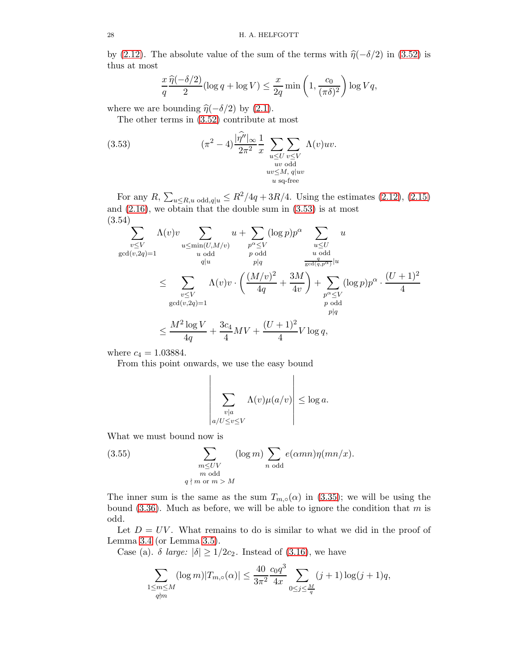by [\(2.12\)](#page-7-1). The absolute value of the sum of the terms with  $\hat{\eta}(-\delta/2)$  in [\(3.52\)](#page-25-2) is thus at most

<span id="page-27-0"></span>
$$
\frac{x}{q} \frac{\widehat{\eta}(-\delta/2)}{2} (\log q + \log V) \le \frac{x}{2q} \min\left(1, \frac{c_0}{(\pi \delta)^2}\right) \log Vq,
$$

where we are bounding  $\hat{\eta}(-\delta/2)$  by [\(2.1\)](#page-4-3).

The other terms in [\(3.52\)](#page-25-2) contribute at most

(3.53) 
$$
(\pi^2 - 4) \frac{|\hat{\eta''}|_{\infty}}{2\pi^2} \frac{1}{x} \sum_{\substack{u \leq U \\ uv \text{ odd} \\ uv \leq M, \ q|uv}} \Lambda(v)uv.
$$

$$
\lim_{\substack{uv \leq M \\ u \text{ sq-free}}} \Lambda(v)uv.
$$

For any  $R$ ,  $\sum_{u \le R, u \text{ odd}, q|u} \le R^2/4q + 3R/4$ . Using the estimates [\(2.12\)](#page-7-1), [\(2.15\)](#page-7-0) and  $(2.16)$ , we obtain that the double sum in  $(3.53)$  is at most (3.54)

$$
\sum_{\substack{v \le V \\ \gcd(v, 2q) = 1}} \Lambda(v)v \sum_{\substack{u \le \min(U, M/v) \\ u \text{ odd}}} u + \sum_{\substack{p^{\alpha} \le V \\ p \text{ odd}}} (\log p)p^{\alpha} \sum_{\substack{u \le U \\ u \text{ odd} \\ u \text{ odd}}} u
$$
\n
$$
\le \sum_{\substack{v \le V \\ \gcd(v, 2q) = 1}} \Lambda(v)v \cdot \left(\frac{(M/v)^2}{4q} + \frac{3M}{4v}\right) + \sum_{\substack{p^{\alpha} \le V \\ p \text{ odd}}} (\log p)p^{\alpha} \cdot \frac{(U+1)^2}{4}
$$
\n
$$
\le \frac{M^2 \log V}{4q} + \frac{3c_4}{4}MV + \frac{(U+1)^2}{4}V \log q,
$$

where  $c_4 = 1.03884$ .

From this point onwards, we use the easy bound

$$
\left|\sum_{\substack{v|a\\a/U \le v \le V}} \Lambda(v)\mu(a/v)\right| \le \log a.
$$

What we must bound now is

<span id="page-27-1"></span>(3.55) 
$$
\sum_{\substack{m \leq UV \\ m \text{ odd} \\ q \nmid m \text{ or } m > M}} (\log m) \sum_{n \text{ odd}} e(\alpha mn) \eta(mn/x).
$$

The inner sum is the same as the sum  $T_{m, o}(\alpha)$  in [\(3.35\)](#page-20-2); we will be using the bound  $(3.36)$ . Much as before, we will be able to ignore the condition that m is odd.

Let  $D = UV$ . What remains to do is similar to what we did in the proof of Lemma [3.4](#page-13-2) (or Lemma [3.5\)](#page-18-2).

Case (a).  $\delta$  large:  $|\delta| \geq 1/2c_2$ . Instead of [\(3.16\)](#page-16-0), we have

$$
\sum_{\substack{1 \le m \le M \\ q \nmid m}} (\log m)|T_{m,\circ}(\alpha)| \le \frac{40}{3\pi^2} \frac{c_0 q^3}{4x} \sum_{0 \le j \le \frac{M}{q}} (j+1) \log(j+1) q,
$$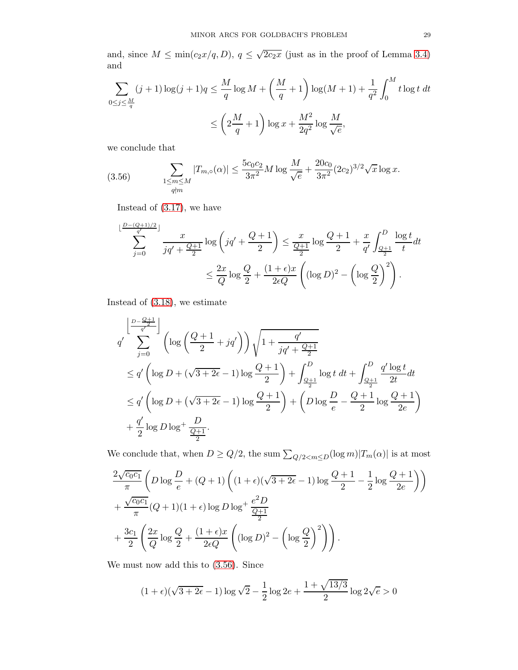and, since  $M \le \min(c_2 x/q, D)$ ,  $q \le \sqrt{2c_2 x}$  (just as in the proof of Lemma [3.4\)](#page-13-2) and

$$
\sum_{0 \le j \le \frac{M}{q}} (j+1) \log(j+1) q \le \frac{M}{q} \log M + \left(\frac{M}{q} + 1\right) \log(M+1) + \frac{1}{q^2} \int_0^M t \log t \, dt
$$
  

$$
\le \left(2\frac{M}{q} + 1\right) \log x + \frac{M^2}{2q^2} \log \frac{M}{\sqrt{e}},
$$

we conclude that

<span id="page-28-0"></span>(3.56) 
$$
\sum_{\substack{1 \le m \le M \\ q \nmid m}} |T_{m,\circ}(\alpha)| \le \frac{5c_0c_2}{3\pi^2} M \log \frac{M}{\sqrt{e}} + \frac{20c_0}{3\pi^2} (2c_2)^{3/2} \sqrt{x} \log x.
$$

Instead of [\(3.17\)](#page-16-1), we have

$$
\sum_{j=0}^{\lfloor \frac{D-(Q+1)/2}{q'}\rfloor} \frac{x}{jq' + \frac{Q+1}{2}} \log\left(jq' + \frac{Q+1}{2}\right) \le \frac{x}{\frac{Q+1}{2}} \log\frac{Q+1}{2} + \frac{x}{q'} \int_{\frac{Q+1}{2}}^D \frac{\log t}{t} dt
$$
  

$$
\le \frac{2x}{Q} \log\frac{Q}{2} + \frac{(1+\epsilon)x}{2\epsilon Q} \left( (\log D)^2 - \left(\log\frac{Q}{2}\right)^2 \right).
$$

Instead of [\(3.18\)](#page-16-2), we estimate

$$
q' \sum_{j=0}^{\left\lfloor \frac{D-\frac{Q+1}{q'}}{q'}\right\rfloor} \left( \log \left( \frac{Q+1}{2} + jq' \right) \right) \sqrt{1 + \frac{q'}{jq' + \frac{Q+1}{2}}} \n\le q' \left( \log D + (\sqrt{3+2\epsilon} - 1) \log \frac{Q+1}{2} \right) + \int_{\frac{Q+1}{2}}^{D} \log t \, dt + \int_{\frac{Q+1}{2}}^{D} \frac{q' \log t}{2t} dt \n\le q' \left( \log D + (\sqrt{3+2\epsilon} - 1) \log \frac{Q+1}{2} \right) + \left( D \log \frac{D}{e} - \frac{Q+1}{2} \log \frac{Q+1}{2e} \right) \n+ \frac{q'}{2} \log D \log^+ \frac{D}{\frac{Q+1}{2}}.
$$

We conclude that, when  $D \ge Q/2$ , the sum  $\sum_{Q/2 \le m \le D} (\log m) |T_m(\alpha)|$  is at most

$$
\frac{2\sqrt{c_0c_1}}{\pi} \left( D \log \frac{D}{e} + (Q+1) \left( (1+\epsilon)(\sqrt{3+2\epsilon}-1) \log \frac{Q+1}{2} - \frac{1}{2} \log \frac{Q+1}{2e} \right) \right)
$$
  
+ 
$$
\frac{\sqrt{c_0c_1}}{\pi} (Q+1)(1+\epsilon) \log D \log^+ \frac{e^2 D}{\frac{Q+1}{2}}
$$
  
+ 
$$
\frac{3c_1}{2} \left( \frac{2x}{Q} \log \frac{Q}{2} + \frac{(1+\epsilon)x}{2\epsilon Q} \left( (\log D)^2 - \left( \log \frac{Q}{2} \right)^2 \right) \right).
$$

We must now add this to [\(3.56\)](#page-28-0). Since

$$
(1 + \epsilon)(\sqrt{3 + 2\epsilon} - 1)\log\sqrt{2} - \frac{1}{2}\log 2e + \frac{1 + \sqrt{13/3}}{2}\log 2\sqrt{e} > 0
$$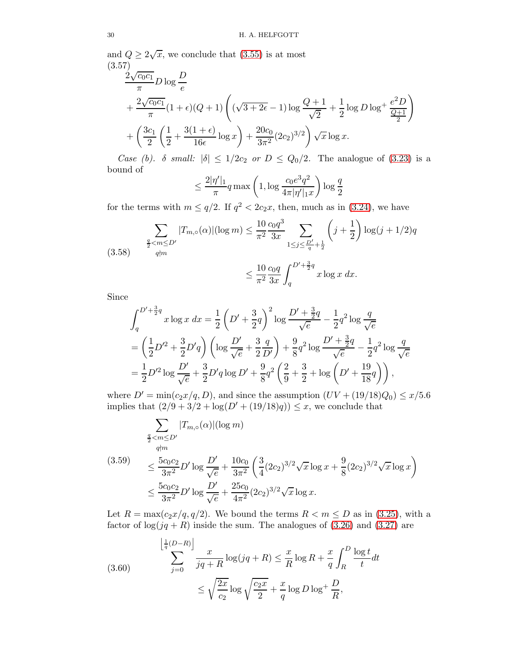and  $Q \ge 2\sqrt{x}$ , we conclude that [\(3.55\)](#page-27-1) is at most (3.57)

$$
\frac{2\sqrt{c_0c_1}}{\pi} D \log \frac{D}{e}
$$
  
+  $\frac{2\sqrt{c_0c_1}}{\pi} (1+\epsilon)(Q+1) \left( (\sqrt{3+2\epsilon}-1) \log \frac{Q+1}{\sqrt{2}} + \frac{1}{2} \log D \log^+ \frac{e^2 D}{\frac{Q+1}{2}} \right)$   
+  $\left( \frac{3c_1}{2} \left( \frac{1}{2} + \frac{3(1+\epsilon)}{16\epsilon} \log x \right) + \frac{20c_0}{3\pi^2} (2c_2)^{3/2} \right) \sqrt{x} \log x.$ 

Case (b). δ small:  $|\delta| \leq 1/2c_2$  or  $D \leq Q_0/2$ . The analogue of [\(3.23\)](#page-17-1) is a bound of

$$
\leq \frac{2|\eta'|_1}{\pi} q \max\left(1, \log \frac{c_0 e^3 q^2}{4\pi |\eta'|_1 x}\right) \log \frac{q}{2}
$$

for the terms with  $m \le q/2$ . If  $q^2 < 2c_2x$ , then, much as in [\(3.24\)](#page-17-2), we have

$$
\sum_{\substack{\frac{q}{2} < m \le D' \\ q \nmid m}} |T_{m,0}(\alpha)| (\log m) \le \frac{10}{\pi^2} \frac{c_0 q^3}{3x} \sum_{1 \le j \le \frac{D'}{q} + \frac{1}{2}} \left( j + \frac{1}{2} \right) \log(j + 1/2) q
$$
\n
$$
\le \frac{10}{\pi^2} \frac{c_0 q}{3x} \int_q^{D' + \frac{3}{2}q} x \log x \, dx.
$$

Since

$$
\int_{q}^{D'+\frac{3}{2}q} x \log x \, dx = \frac{1}{2} \left( D' + \frac{3}{2}q \right)^2 \log \frac{D' + \frac{3}{2}q}{\sqrt{e}} - \frac{1}{2} q^2 \log \frac{q}{\sqrt{e}}
$$
  
=  $\left( \frac{1}{2} D'^2 + \frac{3}{2} D'q \right) \left( \log \frac{D'}{\sqrt{e}} + \frac{3}{2} \frac{q}{D'} \right) + \frac{9}{8} q^2 \log \frac{D' + \frac{3}{2}q}{\sqrt{e}} - \frac{1}{2} q^2 \log \frac{q}{\sqrt{e}}$   
=  $\frac{1}{2} D'^2 \log \frac{D'}{\sqrt{e}} + \frac{3}{2} D'q \log D' + \frac{9}{8} q^2 \left( \frac{2}{9} + \frac{3}{2} + \log \left( D' + \frac{19}{18} q \right) \right),$ 

where  $D' = min(c_2x/q, D)$ , and since the assumption  $(UV + (19/18)Q_0) \leq x/5.6$ implies that  $(2/9 + 3/2 + \log(D' + (19/18)q)) \leq x$ , we conclude that

<span id="page-29-0"></span>
$$
\sum_{\substack{q \leq m \leq D' \\ q \nmid m}} |T_{m,\circ}(\alpha)| (\log m)
$$
\n
$$
\leq \frac{5c_0 c_2}{3\pi^2} D' \log \frac{D'}{\sqrt{e}} + \frac{10c_0}{3\pi^2} \left(\frac{3}{4} (2c_2)^{3/2} \sqrt{x} \log x + \frac{9}{8} (2c_2)^{3/2} \sqrt{x} \log x\right)
$$
\n
$$
\leq \frac{5c_0 c_2}{3\pi^2} D' \log \frac{D'}{\sqrt{e}} + \frac{25c_0}{4\pi^2} (2c_2)^{3/2} \sqrt{x} \log x.
$$

Let  $R = \max(c_2x/q, q/2)$ . We bound the terms  $R < m \le D$  as in [\(3.25\)](#page-18-3), with a factor of  $log(jq + R)$  inside the sum. The analogues of [\(3.26\)](#page-18-1) and [\(3.27\)](#page-18-4) are

<span id="page-29-1"></span>(3.60) 
$$
\sum_{j=0}^{\left\lfloor \frac{1}{q}(D-R) \right\rfloor} \frac{x}{jq+R} \log(jq+R) \le \frac{x}{R} \log R + \frac{x}{q} \int_{R}^{D} \frac{\log t}{t} dt
$$

$$
\le \sqrt{\frac{2x}{c_2}} \log \sqrt{\frac{c_2 x}{2}} + \frac{x}{q} \log D \log^+ \frac{D}{R},
$$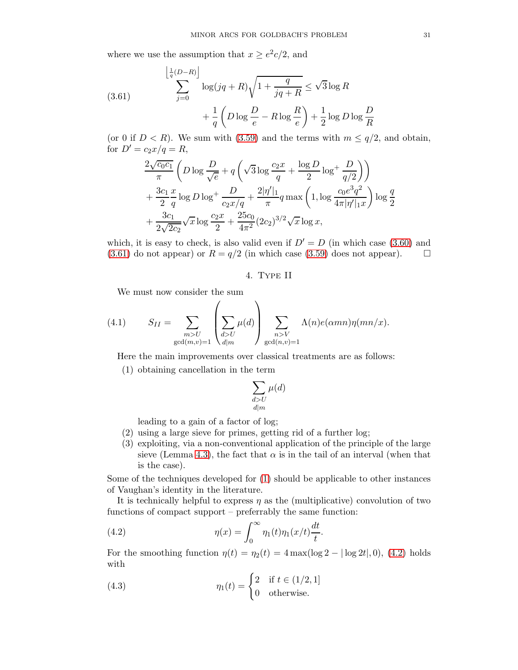where we use the assumption that  $x \geq e^2c/2$ , and

<span id="page-30-1"></span>(3.61)
$$
\sum_{j=0}^{\left\lfloor \frac{1}{q}(D-R)\right\rfloor} \log(jq+R)\sqrt{1+\frac{q}{jq+R}} \leq \sqrt{3}\log R + \frac{1}{q}\left(D\log\frac{D}{e} - R\log\frac{R}{e}\right) + \frac{1}{2}\log D\log\frac{D}{R}
$$

(or 0 if  $D < R$ ). We sum with [\(3.59\)](#page-29-0) and the terms with  $m \leq q/2$ , and obtain, for  $D' = c_2 x / q = R$ ,

$$
\frac{2\sqrt{c_0c_1}}{\pi} \left( D \log \frac{D}{\sqrt{e}} + q \left( \sqrt{3} \log \frac{c_2x}{q} + \frac{\log D}{2} \log^+ \frac{D}{q/2} \right) \right) \n+ \frac{3c_1}{2} \frac{x}{q} \log D \log^+ \frac{D}{c_2 x/q} + \frac{2|\eta'|_1}{\pi} q \max \left( 1, \log \frac{c_0 e^3 q^2}{4\pi |\eta'|_1 x} \right) \log \frac{q}{2} \n+ \frac{3c_1}{2\sqrt{2c_2}} \sqrt{x} \log \frac{c_2 x}{2} + \frac{25c_0}{4\pi^2} (2c_2)^{3/2} \sqrt{x} \log x,
$$

<span id="page-30-0"></span>which, it is easy to check, is also valid even if  $D' = D$  (in which case [\(3.60\)](#page-29-1) and [\(3.61\)](#page-30-1) do not appear) or  $R = q/2$  (in which case [\(3.59\)](#page-29-0) does not appear).  $\Box$ 

## 4. Type II

<span id="page-30-5"></span>We must now consider the sum

(4.1) 
$$
S_{II} = \sum_{\substack{m > U \\ \gcd(m,v)=1}} \left( \sum_{\substack{d > U \\ d|m}} \mu(d) \right) \sum_{\substack{n > V \\ \gcd(n,v)=1}} \Lambda(n) e(\alpha mn) \eta(mn/x).
$$

<span id="page-30-2"></span>Here the main improvements over classical treatments are as follows:

(1) obtaining cancellation in the term

$$
\sum_{\substack{d>U\\d|m}} \mu(d)
$$

leading to a gain of a factor of log;

- (2) using a large sieve for primes, getting rid of a further log;
- (3) exploiting, via a non-conventional application of the principle of the large sieve (Lemma [4.3\)](#page-43-1), the fact that  $\alpha$  is in the tail of an interval (when that is the case).

Some of the techniques developed for [\(1\)](#page-30-2) should be applicable to other instances of Vaughan's identity in the literature.

It is technically helpful to express  $\eta$  as the (multiplicative) convolution of two functions of compact support – preferrably the same function:

<span id="page-30-3"></span>(4.2) 
$$
\eta(x) = \int_0^\infty \eta_1(t) \eta_1(x/t) \frac{dt}{t}.
$$

For the smoothing function  $\eta(t) = \eta_2(t) = 4 \max(\log 2 - |\log 2t|, 0)$ , [\(4.2\)](#page-30-3) holds with

<span id="page-30-4"></span>(4.3) 
$$
\eta_1(t) = \begin{cases} 2 & \text{if } t \in (1/2, 1] \\ 0 & \text{otherwise.} \end{cases}
$$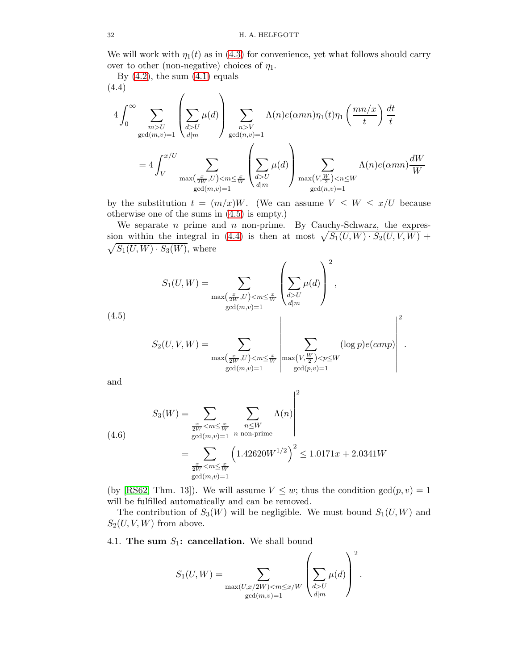We will work with  $\eta_1(t)$  as in [\(4.3\)](#page-30-4) for convenience, yet what follows should carry over to other (non-negative) choices of  $\eta_1$ .

By  $(4.2)$ , the sum  $(4.1)$  equals (4.4)

<span id="page-31-2"></span>
$$
4\int_0^\infty \sum_{\substack{m>U \text{gcd}(m,v)=1}} \left( \sum_{d>U} \mu(d) \right) \sum_{\substack{n>V \text{gcd}(n,v)=1}} \Lambda(n)e(\alpha mn)\eta_1(t)\eta_1\left(\frac{mn/x}{t}\right) \frac{dt}{t}
$$

$$
= 4\int_V^{x/U} \sum_{\substack{m \ge x \left(\frac{x}{2W},U\right) < m \le \frac{x}{W} \\ \gcd(m,v)=1}} \left( \sum_{d>U} \mu(d) \right) \sum_{\substack{m \ge x \left(\frac{W}{2V}\right) < n \le W \\ \gcd(n,v)=1}} \Lambda(n)e(\alpha mn) \frac{dW}{W}
$$

by the substitution  $t = (m/x)W$ . (We can assume  $V \leq W \leq x/U$  because otherwise one of the sums in [\(4.5\)](#page-31-1) is empty.)

We separate  $n$  prime and  $n$  non-prime. By Cauchy-Schwarz, the expres-sion within the integral in [\(4.4\)](#page-31-2) is then at most  $\sqrt{S_1(U, W) \cdot S_2(U, V, W)}$  +  $\sqrt{S_1(U,W) \cdot S_3(W)}$ , where

<span id="page-31-1"></span>
$$
S_{1}(U, W) = \sum_{\substack{\max(\frac{x}{2W}, U) < m \leq \frac{x}{W} \\ \gcd(m, v) = 1}} \left( \sum_{\substack{d > U \\ d|m}} \mu(d) \right)^{2},
$$
\n
$$
S_{2}(U, V, W) = \sum_{\substack{\max(\frac{x}{2W}, U) < m \leq \frac{x}{W} \\ \gcd(m, v) = 1}} \left| \sum_{\substack{\max(V, \frac{W}{2}) < p \leq W \\ \gcd(p, v) = 1}} (\log p) e(\alpha mp) \right|^{2}.
$$

and

(4.6)  
\n
$$
S_3(W) = \sum_{\substack{\frac{x}{2W} < m \le \frac{x}{W} \\ \gcd(m,v)=1}} \left| \sum_{\substack{n \le W \\ n \text{ non-prime}}} \Lambda(n) \right|^2
$$
\n
$$
= \sum_{\substack{\frac{x}{2W} < m \le \frac{x}{W} \\ \gcd(m,v)=1}} \left( 1.42620 W^{1/2} \right)^2 \le 1.0171x + 2.0341W
$$

(by [\[RS62,](#page-78-3) Thm. 13]). We will assume  $V \leq w$ ; thus the condition  $gcd(p, v) = 1$ will be fulfilled automatically and can be removed.

The contribution of  $S_3(W)$  will be negligible. We must bound  $S_1(U, W)$  and  $S_2(U, V, W)$  from above.

# <span id="page-31-0"></span>4.1. The sum  $S_1$ : cancellation. We shall bound

$$
S_1(U,W)=\sum_{\substack{\max(U,x/2W)U\\ d|m}}\mu(d)\right)^2.
$$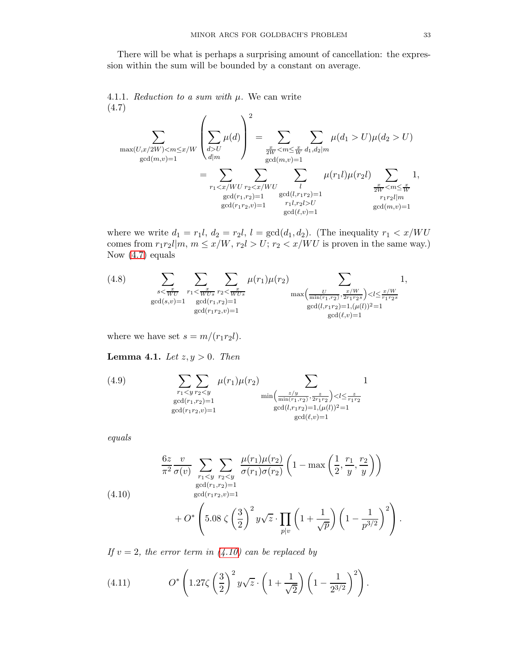There will be what is perhaps a surprising amount of cancellation: the expression within the sum will be bounded by a constant on average.

4.1.1. Reduction to a sum with  $\mu$ . We can write (4.7)

<span id="page-32-0"></span>
$$
\sum_{\substack{\max(U,x/2W)< m\leq x/W\\ \gcd(m,v)=1}}\left(\sum_{d>U}\mu(d)\right)^2 = \sum_{\substack{\frac{x}{2W}< m\leq \frac{x}{W}\\ \gcd(m,v)=1}}\sum_{\substack{d|m\\ \gcd(m,v)=1}}\mu(d_1 > U)\mu(d_2 > U)\\ \sum_{\substack{d|m\\ \gcd(r_1,r_2)=1}}\mu(d_1) \sum_{\substack{d|m\\ \gcd(l,r_1r_2)=1}}\mu(d_1) \mu(r_2l)\sum_{\substack{\frac{x}{2W}< m\leq \frac{x}{W}\\ \gcd(r_1,r_2)=1}}\mu(r_1l)\mu(r_2l)\sum_{\substack{\frac{x}{2W}< m\leq \frac{x}{W}\\ r_1r_2l|m\\ \gcd(r_1r_2,v)=1}}\frac{1}{\gcd(r_1r_2,v)=1} \pi_1l,r_2l > U
$$

where we write  $d_1 = r_1l$ ,  $d_2 = r_2l$ ,  $l = \gcd(d_1, d_2)$ . (The inequality  $r_1 < x/WU$ comes from  $r_1r_2l|m, m \leq x/W, r_2l > U; r_2 < x/WU$  is proven in the same way.) Now [\(4.7\)](#page-32-0) equals

<span id="page-32-4"></span>(4.8) 
$$
\sum_{\substack{s < \frac{x}{WU}}} \sum_{\substack{r_1 < \frac{x}{WUs} \ r_2 \le \frac{x}{WUs} \\ \gcd(s,v)=1}} \mu(r_1)\mu(r_2) \sum_{\substack{\max\left(\frac{U}{\min(r_1,r_2)}, \frac{x/W}{2r_1r_2s}\right) < l \le \frac{x/W}{r_1r_2s} \\ \gcd(r_1r_2,v)=1}} 1,
$$

where we have set  $s = m/(r_1r_2l)$ .

<span id="page-32-3"></span>**Lemma 4.1.** Let  $z, y > 0$ . Then

<span id="page-32-2"></span>(4.9) 
$$
\sum_{\substack{r_1 < y \ r_2 < y \\ \gcd(r_1, r_2) = 1}} \mu(r_1) \mu(r_2) \sum_{\substack{ \text{min}\left(\frac{z}{\min(r_1, r_2)}, \frac{z}{2r_1 r_2}\right) < l \le \frac{z}{r_1 r_2} \\ \gcd(l, r_1 r_2) = 1, (\mu(l))^2 = 1}} 1
$$
\n
$$
\sum_{\substack{ \gcd(r_1 r_2, v) = 1 \\ \gcd(l, v) = 1}} \mu(r_1) \mu(r_2) \sum_{\substack{ \text{min}(r_1, r_2) = 1, (\mu(l))^2 = 1 \\ \gcd(l, v) = 1}} 1
$$

equals

<span id="page-32-1"></span>
$$
\frac{6z}{\pi^2} \frac{v}{\sigma(v)} \sum_{r_1 < y} \sum_{r_2 < y} \frac{\mu(r_1)\mu(r_2)}{\sigma(r_1)\sigma(r_2)} \left(1 - \max\left(\frac{1}{2}, \frac{r_1}{y}, \frac{r_2}{y}\right)\right)
$$
\n
$$
\frac{\text{gcd}(r_1, r_2) = 1}{\text{gcd}(r_1, r_2, v) = 1}
$$
\n
$$
+ O^* \left(5.08 \zeta \left(\frac{3}{2}\right)^2 y\sqrt{z} \cdot \prod_{p|v} \left(1 + \frac{1}{\sqrt{p}}\right) \left(1 - \frac{1}{p^{3/2}}\right)^2\right).
$$

If  $v = 2$ , the error term in  $(4.10)$  can be replaced by

(4.11) 
$$
O^*\left(1.27\zeta\left(\frac{3}{2}\right)^2 y\sqrt{z} \cdot \left(1 + \frac{1}{\sqrt{2}}\right)\left(1 - \frac{1}{2^{3/2}}\right)^2\right).
$$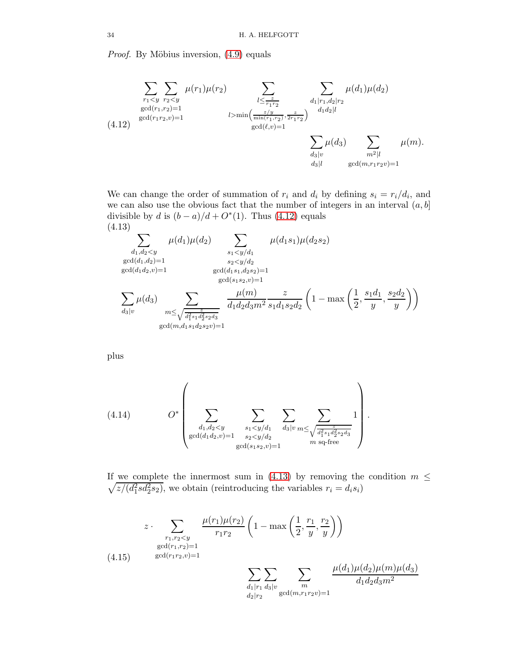*Proof.* By Möbius inversion,  $(4.9)$  equals

<span id="page-33-0"></span>
$$
\sum_{\substack{r_1 < y \\ \gcd(r_1, r_2) = 1}} \sum_{\substack{r_2 < y \\ \gcd(r_1, r_2) = 1}} \mu(r_1)\mu(r_2) \sum_{\substack{l \le \frac{z}{r_1 r_2} \\ \gcd(l, v) = 1}} \sum_{\substack{d_1 | r_1, d_2 | r_2 \\ d_1 d_2 | l}} \mu(d_1)\mu(d_2)
$$
\n
$$
\sum_{\substack{c_2 / y \\ \gcd(l, v) = 1}} \mu(d_1)\mu(d_2)
$$
\n
$$
\sum_{\substack{d_1 | r_1, d_2 | l \\ \gcd(l, v) = 1}} \mu(d_1)\mu(d_2)
$$
\n
$$
\sum_{\substack{d_1 | v \\ d_2 | l}} \mu(d_1)\mu(d_2)
$$
\n
$$
\sum_{\substack{d_1 | v \\ d_2 | l}} \mu(d_1)\mu(d_2)
$$
\n
$$
\sum_{\substack{d_1 | v \\ \gcd(m, r_1 r_2 v) = 1}} \mu(d_1)\mu(d_2)
$$

We can change the order of summation of  $r_i$  and  $d_i$  by defining  $s_i = r_i/d_i$ , and we can also use the obvious fact that the number of integers in an interval  $(a, b]$ divisible by d is  $(b-a)/d+O^*(1)$ . Thus [\(4.12\)](#page-33-0) equals (4.13)

<span id="page-33-1"></span>
$$
\sum_{\substack{d_1, d_2 < y \\ \gcd(d_1, d_2) = 1}} \mu(d_1)\mu(d_2) \sum_{\substack{s_1 < y/d_1 \\ s_2 < y/d_2 \\ \gcd(d_1d_2, v) = 1}} \mu(d_1s_1)\mu(d_2s_2)
$$
\n
$$
\sum_{\substack{s_2 < y/d_2 \\ \gcd(s_1s_2, v) = 1}} \mu(d_1s_1)\mu(d_2s_2)
$$
\n
$$
\sum_{\substack{s_2 < y/d_2 \\ \gcd(s_1s_2, v) = 1}} \mu(d_1s_1)\mu(d_2s_2)
$$
\n
$$
\sum_{\substack{s_2 < y/d_2 \\ \gcd(s_1s_2, v) = 1}} \mu(d_1s_1)\mu(d_2s_2)
$$
\n
$$
\sum_{\substack{s_2 < y/d_2 \\ \gcd(m,d_1s_1d_2s_2v) = 1}} \mu(d_1s_1)\mu(d_2s_2)
$$

plus

<span id="page-33-3"></span>(4.14) 
$$
O^* \left( \sum_{\substack{d_1, d_2 < y \\ \gcd(d_1 d_2, v) = 1}} \sum_{\substack{s_1 < y/d_1 \\ s_2 < y/d_2}} \sum_{\substack{d_3 | v \\ d_4 | v}} \sum_{m \le \sqrt{\frac{z}{d_1^2 s_1 d_2^2 s_2 d_3}}} 1 \right)
$$

 $\sqrt{z/(d_1^2 s d_2^2 s_2)}$  , we obtain (reintroducing the variables  $r_i = d_i s_i)$ If we complete the innermost sum in [\(4.13\)](#page-33-1) by removing the condition  $m \leq$ 

.

<span id="page-33-2"></span>
$$
z \cdot \sum_{\substack{r_1, r_2 < y \\ \gcd(r_1, r_2) = 1}} \frac{\mu(r_1)\mu(r_2)}{r_1 r_2} \left(1 - \max\left(\frac{1}{2}, \frac{r_1}{y}, \frac{r_2}{y}\right)\right)
$$
\n
$$
(4.15) \quad \gcd(r_1 r_2, v) = 1
$$
\n
$$
\sum_{\substack{d_1 | r_1 \ d_3 | v \\ d_2 | r_2}} \sum_{\substack{m \\ \gcd(m, r_1 r_2 v) = 1}} \frac{\mu(d_1)\mu(d_2)\mu(m)\mu(d_3)}{d_1 d_2 d_3 m^2}
$$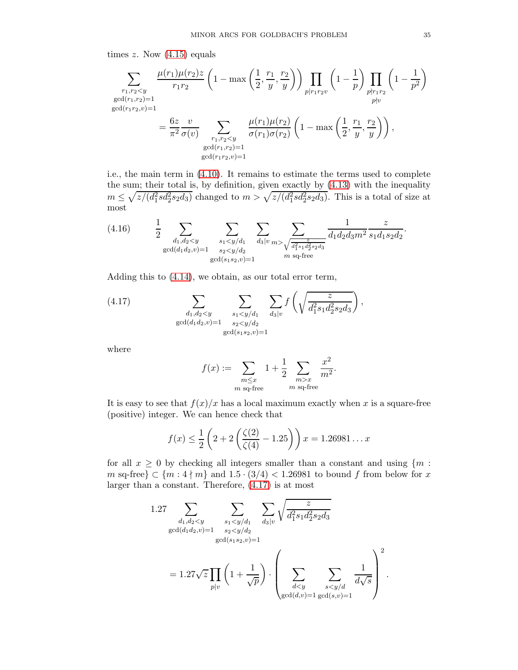times  $z$ . Now  $(4.15)$  equals

$$
\sum_{\substack{r_1, r_2 < y \\ \gcd(r_1, r_2) = 1}} \frac{\mu(r_1)\mu(r_2)z}{r_1r_2} \left(1 - \max\left(\frac{1}{2}, \frac{r_1}{y}, \frac{r_2}{y}\right)\right) \prod_{\substack{p | r_1 r_2 v \\ p \nmid v}} \left(1 - \frac{1}{p}\right) \prod_{\substack{p | r_1 r_2 \\ p \nmid v}} \left(1 - \frac{1}{p^2}\right)
$$
\n
$$
= \frac{6z}{\pi^2} \frac{v}{\sigma(v)} \sum_{\substack{r_1, r_2 < y \\ \gcd(r_1, r_2) = 1}} \frac{\mu(r_1)\mu(r_2)}{\sigma(r_1)\sigma(r_2)} \left(1 - \max\left(\frac{1}{2}, \frac{r_1}{y}, \frac{r_2}{y}\right)\right),
$$
\n
$$
\sum_{\substack{gcd(r_1, r_2) = 1 \\ \gcd(r_1 r_2, v) = 1}} \frac{\mu(r_1)\mu(r_2)}{\sigma(r_1)\sigma(r_2)} \left(1 - \max\left(\frac{1}{2}, \frac{r_1}{y}, \frac{r_2}{y}\right)\right),
$$

i.e., the main term in [\(4.10\)](#page-32-1). It remains to estimate the terms used to complete the sum; their total is, by definition, given exactly by [\(4.13\)](#page-33-1) with the inequality  $m \leq \sqrt{z/(d_1^2 s d_2^2 s_2 d_3)}$  changed to  $m > \sqrt{z/(d_1^2 s d_2^2 s_2 d_3)}$ . This is a total of size at most

(4.16) 
$$
\frac{1}{2} \sum_{\substack{d_1, d_2 < y \\ \gcd(d_1 d_2, v) = 1}} \sum_{\substack{s_1 < y/d_1 \\ s_2 < y/d_2}} \sum_{\substack{d_3 | v m > \sqrt{\frac{z}{d_1^2 s_1 d_2^2 s_2 d_3}^2}}} \frac{1}{d_1 d_2 d_3 m^2} \frac{z}{s_1 d_1 s_2 d_2}.
$$

Adding this to [\(4.14\)](#page-33-3), we obtain, as our total error term,

(4.17) 
$$
\sum_{\substack{d_1, d_2 < y \\ \gcd(d_1 d_2, v) = 1}} \sum_{\substack{s_1 < y/d_1 \\ s_2 < y/d_2 \\ \gcd(s_1 s_2, v) = 1}} \sum_{d_3 \mid v} f\left(\sqrt{\frac{z}{d_1^2 s_1 d_2^2 s_2 d_3}}\right),
$$

where

<span id="page-34-0"></span>
$$
f(x) := \sum_{\substack{m \le x \\ m \text{ sq-free}}} 1 + \frac{1}{2} \sum_{\substack{m > x \\ m \text{ sq-free}}} \frac{x^2}{m^2}.
$$

It is easy to see that  $f(x)/x$  has a local maximum exactly when x is a square-free (positive) integer. We can hence check that

$$
f(x) \le \frac{1}{2} \left( 2 + 2 \left( \frac{\zeta(2)}{\zeta(4)} - 1.25 \right) \right) x = 1.26981 \dots x
$$

for all  $x \geq 0$  by checking all integers smaller than a constant and using  $\{m :$ m sq-free}  $\subset \{m: 4 \nmid m\}$  and  $1.5 \cdot (3/4) < 1.26981$  to bound f from below for x larger than a constant. Therefore, [\(4.17\)](#page-34-0) is at most

1.27 
$$
\sum_{\substack{d_1, d_2 < y \\ \gcd(d_1 d_2, v) = 1}} \sum_{\substack{s_1 < y/d_1 \\ s_2 < y/d_2 \\ \gcd(s_1 s_2, v) = 1}} \sum_{\substack{d_3 \mid v \\ d_4 \mid v}} \sqrt{\frac{z}{d_1^2 s_1 d_2^2 s_2 d_3}}
$$

$$
= 1.27\sqrt{z} \prod_{p \mid v} \left(1 + \frac{1}{\sqrt{p}}\right) \cdot \left(\sum_{\substack{d < y \\ \gcd(d, v) = 1}} \sum_{\substack{s < y/d \\ \gcd(s, v) = 1}} \frac{1}{d\sqrt{s}}\right)^2.
$$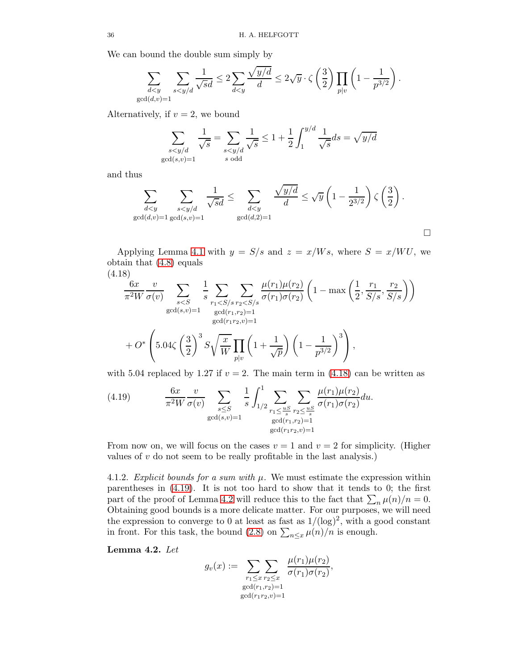We can bound the double sum simply by

$$
\sum_{\substack{d
$$

Alternatively, if  $v = 2$ , we bound

$$
\sum_{\substack{s
$$

and thus

$$
\sum_{\substack{d
$$

Applying Lemma [4.1](#page-32-3) with  $y = S/s$  and  $z = x/Ws$ , where  $S = x/WU$ , we obtain that [\(4.8\)](#page-32-4) equals (4.18)

<span id="page-35-0"></span>
$$
\frac{6x}{\pi^2 W} \frac{v}{\sigma(v)} \sum_{s < S} \frac{1}{s} \sum_{r_1 < S/s} \sum_{r_2 < S/s} \frac{\mu(r_1)\mu(r_2)}{\sigma(r_1)\sigma(r_2)} \left(1 - \max\left(\frac{1}{2}, \frac{r_1}{S/s}, \frac{r_2}{S/s}\right)\right)
$$
\n
$$
\frac{\text{gcd}(s,v)=1}{\text{gcd}(r_1,r_2,v)=1}
$$
\n
$$
+ O^* \left(5.04\zeta \left(\frac{3}{2}\right)^3 S \sqrt{\frac{x}{W}} \prod_{p|v} \left(1 + \frac{1}{\sqrt{p}}\right) \left(1 - \frac{1}{p^{3/2}}\right)^3\right),
$$

with 5.04 replaced by 1.27 if  $v = 2$ . The main term in [\(4.18\)](#page-35-0) can be written as

<span id="page-35-1"></span>(4.19) 
$$
\frac{6x}{\pi^2 W} \frac{v}{\sigma(v)} \sum_{\substack{s \leq S \\ \gcd(s,v)=1}} \frac{1}{s} \int_{1/2}^1 \sum_{\substack{r_1 \leq \frac{uS}{s} \\ \gcd(r_1,r_2)=1}} \sum_{\substack{r_2 \leq \frac{uS}{s} \\ \gcd(r_1,r_2)=1}} \frac{\mu(r_1)\mu(r_2)}{\sigma(r_1)\sigma(r_2)} du.
$$

From now on, we will focus on the cases  $v = 1$  and  $v = 2$  for simplicity. (Higher values of  $v$  do not seem to be really profitable in the last analysis.)

4.1.2. Explicit bounds for a sum with  $\mu$ . We must estimate the expression within parentheses in [\(4.19\)](#page-35-1). It is not too hard to show that it tends to 0; the first part of the proof of Lemma [4.2](#page-35-2) will reduce this to the fact that  $\sum_n \mu(n)/n = 0$ . Obtaining good bounds is a more delicate matter. For our purposes, we will need the expression to converge to 0 at least as fast as  $1/(\log)^2$ , with a good constant in front. For this task, the bound [\(2.8\)](#page-6-4) on  $\sum_{n \leq x} \mu(n)/n$  is enough.

<span id="page-35-2"></span>Lemma 4.2. Let

$$
g_{v}(x) := \sum_{\substack{r_1 \le x}} \sum_{\substack{r_2 \le x \\ \gcd(r_1, r_2) = 1}} \frac{\mu(r_1)\mu(r_2)}{\sigma(r_1)\sigma(r_2)},
$$
  
 
$$
\gcd(r_1r_2,v) = 1
$$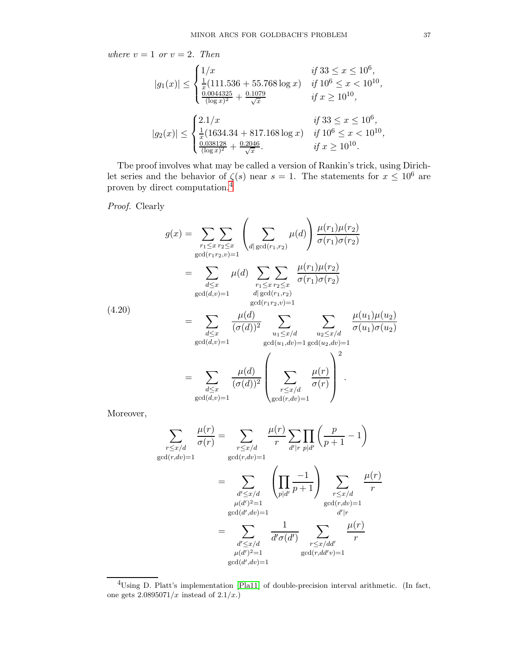where  $v = 1$  or  $v = 2$ . Then

$$
|g_1(x)| \le \begin{cases} 1/x & \text{if } 33 \le x \le 10^6, \\ \frac{1}{x}(111.536 + 55.768 \log x) & \text{if } 10^6 \le x < 10^{10}, \\ \frac{0.0044325}{(\log x)^2} + \frac{0.1079}{\sqrt{x}} & \text{if } x \ge 10^{10}, \end{cases}
$$
  

$$
|g_2(x)| \le \begin{cases} 2.1/x & \text{if } 33 \le x \le 10^6, \\ \frac{1}{x}(1634.34 + 817.168 \log x) & \text{if } 10^6 \le x < 10^{10}, \\ \frac{0.038128}{(\log x)^2} + \frac{0.2046}{\sqrt{x}}. & \text{if } x \ge 10^{10}. \end{cases}
$$

Tbe proof involves what may be called a version of Rankin's trick, using Dirichlet series and the behavior of  $\zeta(s)$  near  $s = 1$ . The statements for  $x \leq 10^6$  are proven by direct computation.<sup>[4](#page-36-0)</sup>

Proof. Clearly

$$
g(x) = \sum_{\substack{r_1 \leq x}} \sum_{\substack{r_2 \leq x}} \left( \sum_{d | \gcd(r_1, r_2)} \mu(d) \right) \frac{\mu(r_1)\mu(r_2)}{\sigma(r_1)\sigma(r_2)}
$$
  
\n
$$
= \sum_{\substack{d \leq x}} \mu(d) \sum_{\substack{r_1 \leq x}} \sum_{\substack{r_2 \leq x}} \frac{\mu(r_1)\mu(r_2)}{\sigma(r_1)\sigma(r_2)}
$$
  
\n
$$
\gcd(d,v) = 1 \qquad \deg(d(r_1, r_2, v)) = 1
$$
  
\n
$$
= \sum_{\substack{d \leq x}} \frac{\mu(d)}{(\sigma(d))^2} \sum_{\substack{u_1 \leq x/d \\ \gcd(u_1, dv) = 1}} \sum_{\substack{u_2 \leq x/d \\ \gcd(u_2, dv) = 1}} \frac{\mu(u_1)\mu(u_2)}{\sigma(u_1)\sigma(u_2)}
$$
  
\n
$$
= \sum_{\substack{d \leq x}} \frac{\mu(d)}{(\sigma(d))^2} \left( \sum_{\substack{r \leq x/d \\ \gcd(r, dv) = 1}} \frac{\mu(r)}{\sigma(r)} \right)^2.
$$

Moreover,

$$
\sum_{r \leq x/d} \frac{\mu(r)}{\sigma(r)} = \sum_{\substack{r \leq x/d \\ \gcd(r, dv) = 1}} \frac{\mu(r)}{r} \sum_{d'|r} \prod_{p|d'} \left(\frac{p}{p+1} - 1\right)
$$

$$
= \sum_{\substack{d' \leq x/d \\ \mu(d')^2 = 1}} \left(\prod_{p|d'} \frac{-1}{p+1}\right) \sum_{\substack{r \leq x/d \\ \gcd(r, dv) = 1}} \frac{\mu(r)}{r}
$$

$$
= \sum_{\substack{d' \leq x/d \\ \mu(d')^2 = 1}} \frac{1}{d' \sigma(d')} \sum_{\substack{r \leq x/dd' \\ \gcd(r, dd'v) = 1}} \frac{\mu(r)}{r}
$$

$$
= \sum_{\substack{d' \leq x/d \\ \mu(d')^2 = 1}} \frac{1}{d' \sigma(d')} \sum_{\substack{r \leq x/dd' \\ \gcd(r, dd'v) = 1}} \frac{\mu(r)}{r}
$$

<span id="page-36-0"></span> $^4\!{\rm Using}$  D. Platt's implementation [\[Pla11\]](#page-77-0) of double-precision interval arithmetic. (In fact, one gets  $2.0895071/x$  instead of  $2.1/x$ .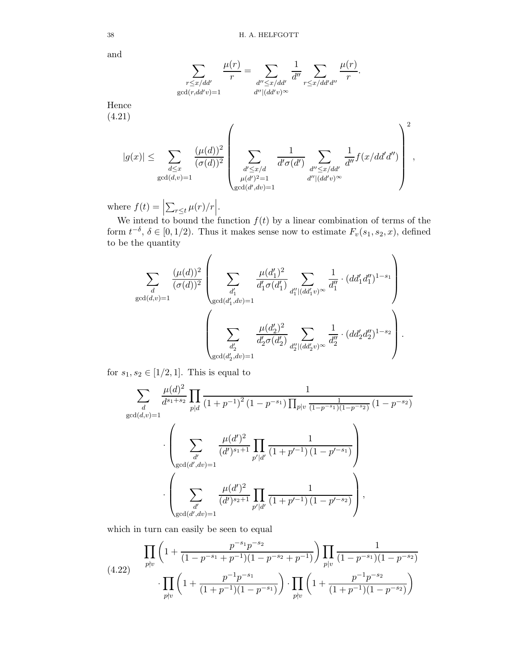and

$$
\sum_{\substack{r \leq x/dd' \\ \gcd(r, dd'v)=1}} \frac{\mu(r)}{r} = \sum_{\substack{d'' \leq x/dd' \\ d''|(dd'v)^\infty}} \frac{1}{d''} \sum_{r \leq x/dd'd''} \frac{\mu(r)}{r}.
$$

Hence

(4.21)

<span id="page-37-0"></span>
$$
|g(x)| \leq \sum_{\substack{d \leq x \\ \gcd(d,v)=1}} \frac{(\mu(d))^2}{(\sigma(d))^2} \left( \sum_{\substack{d' \leq x/d \\ \mu(d')^2 = 1 \\ \gcd(d',dv)=1}} \frac{1}{d' \sigma(d')} \sum_{\substack{d'' \leq x/dd' \\ d'' | (dd'v)^{\infty}}} \frac{1}{d''} f(x/dd'd'') \right)^2,
$$

where  $f(t) =$  $\sum_{r\leq t}\mu(r)/r\Big|$ .

We intend to bound the function  $f(t)$  by a linear combination of terms of the form  $t^{-\delta}$ ,  $\delta \in [0, 1/2)$ . Thus it makes sense now to estimate  $F_v(s_1, s_2, x)$ , defined to be the quantity

$$
\sum_{\substack{d \\ \gcd(d,v)=1}} \frac{(\mu(d))^2}{(\sigma(d))^2} \left( \sum_{\substack{d'_1 \\ \gcd(d'_1, dv)=1}} \frac{\mu(d'_1)^2}{d'_1 \sigma(d'_1)} \sum_{\substack{d''_1 | (dd'_1 v)^\infty \\ d''_1}} \frac{1}{d''_1} \cdot (dd'_1 d''_1)^{1-s_1} \right) \cdot \left( \sum_{\substack{d'_2 \\ \gcd(d'_2, dv)=1}} \frac{\mu(d'_2)^2}{d'_2 \sigma(d'_2)} \sum_{\substack{d''_2 | (dd'_2 v)^\infty}} \frac{1}{d''_2} \cdot (dd'_2 d''_2)^{1-s_2} \right).
$$

for  $s_1, s_2 \in [1/2, 1]$ . This is equal to

$$
\sum_{d} \frac{\mu(d)^2}{d^{s_1+s_2}} \prod_{p|d} \frac{1}{(1+p^{-1})^2 (1-p^{-s_1}) \prod_{p|v} \frac{1}{(1-p^{-s_1})(1-p^{-s_2})} (1-p^{-s_2})}
$$

$$
\cdot \left(\sum_{\substack{d' \\ \gcd(d',dv)=1}} \frac{\mu(d')^2}{(d')^{s_1+1}} \prod_{p'|d'} \frac{1}{(1+p'^{-1})(1-p'^{-s_1})}\right)
$$

$$
\cdot \left(\sum_{\substack{d' \\ \gcd(d',dv)=1}} \frac{\mu(d')^2}{(d')^{s_2+1}} \prod_{p'|d'} \frac{1}{(1+p'^{-1})(1-p'^{-s_2})}\right),
$$

which in turn can easily be seen to equal

(4.22) 
$$
\prod_{p \nmid v} \left( 1 + \frac{p^{-s_1} p^{-s_2}}{(1 - p^{-s_1} + p^{-1})(1 - p^{-s_2} + p^{-1})} \right) \prod_{p \mid v} \frac{1}{(1 - p^{-s_1})(1 - p^{-s_2})} \cdot \prod_{p \nmid v} \left( 1 + \frac{p^{-1} p^{-s_1}}{(1 + p^{-1})(1 - p^{-s_1})} \right) \cdot \prod_{p \nmid v} \left( 1 + \frac{p^{-1} p^{-s_2}}{(1 + p^{-1})(1 - p^{-s_2})} \right)
$$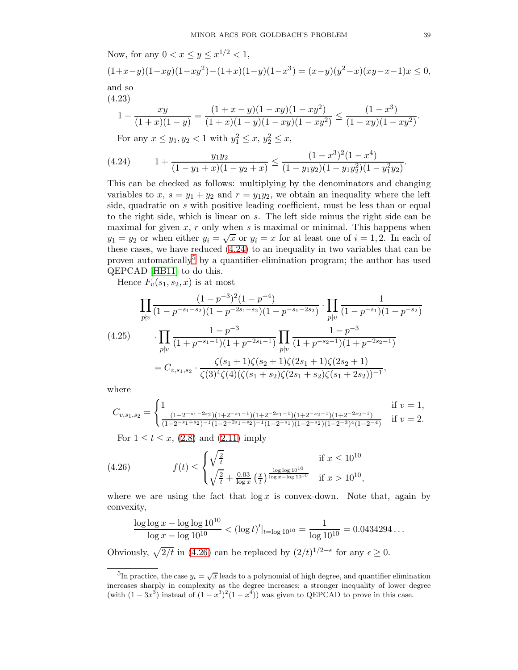Now, for any  $0 < x \le y \le x^{1/2} < 1$ ,

$$
(1+x-y)(1-xy)(1-xy^2)-(1+x)(1-y)(1-x^3)=(x-y)(y^2-x)(xy-x-1)x\leq 0,
$$
  
and so

(4.23)

$$
1 + \frac{xy}{(1+x)(1-y)} = \frac{(1+x-y)(1-xy)(1-xy^2)}{(1+x)(1-y)(1-xy)(1-xy^2)} \le \frac{(1-x^3)}{(1-xy)(1-xy^2)}
$$

<span id="page-38-0"></span>For any  $x \le y_1, y_2 < 1$  with  $y_1^2 \le x, y_2^2 \le x$ ,

$$
(4.24) \t 1 + \frac{y_1 y_2}{(1 - y_1 + x)(1 - y_2 + x)} \le \frac{(1 - x^3)^2 (1 - x^4)}{(1 - y_1 y_2)(1 - y_1 y_2^2)(1 - y_1^2 y_2)}.
$$

This can be checked as follows: multiplying by the denominators and changing variables to x,  $s = y_1 + y_2$  and  $r = y_1y_2$ , we obtain an inequality where the left side, quadratic on s with positive leading coefficient, must be less than or equal to the right side, which is linear on s. The left side minus the right side can be maximal for given  $x$ ,  $r$  only when  $s$  is maximal or minimal. This happens when  $y_1 = y_2$  or when either  $y_i = \sqrt{x}$  or  $y_i = x$  for at least one of  $i = 1, 2$ . In each of these cases, we have reduced [\(4.24\)](#page-38-0) to an inequality in two variables that can be proven automatically<sup>[5](#page-38-1)</sup> by a quantifier-elimination program; the author has used QEPCAD [\[HB11\]](#page-77-1) to do this.

Hence  $F_v(s_1, s_2, x)$  is at most

<span id="page-38-3"></span>
$$
\prod_{p \nmid v} \frac{(1-p^{-3})^2 (1-p^{-4})}{(1-p^{-s_1-s_2})(1-p^{-2s_1-s_2})(1-p^{-s_1-2s_2})} \cdot \prod_{p \mid v} \frac{1}{(1-p^{-s_1})(1-p^{-s_2})}
$$
\n
$$
\cdot \prod_{p \nmid v} \frac{1-p^{-3}}{(1+p^{-s_1-1})(1+p^{-2s_1-1})} \prod_{p \nmid v} \frac{1-p^{-3}}{(1+p^{-s_2-1})(1+p^{-2s_2-1})}
$$
\n
$$
= C_{v,s_1,s_2} \cdot \frac{\zeta(s_1+1)\zeta(s_2+1)\zeta(2s_1+1)\zeta(2s_2+1)}{\zeta(3)^4\zeta(4)(\zeta(s_1+s_2)\zeta(2s_1+s_2)\zeta(s_1+2s_2))^{-1}},
$$

where

$$
C_{v,s_1,s_2} = \begin{cases} 1 & \text{if } v = 1, \\ \frac{(1-2^{-s_1-2s_2})(1+2^{-s_1-1})(1+2^{-2s_1-1})(1+2^{-s_2-1})(1+2^{-2s_2-1})}{(1-2^{-s_1+s_2})^{-1}(1-2^{-2s_1-s_2})^{-1}(1-2^{-s_1})(1-2^{-s_2})(1-2^{-3})^4(1-2^{-4})} & \text{if } v = 2. \end{cases}
$$

<span id="page-38-2"></span>For  $1 \le t \le x$ , [\(2.8\)](#page-6-0) and [\(2.11\)](#page-6-1) imply

(4.26) 
$$
f(t) \le \begin{cases} \sqrt{\frac{2}{t}} & \text{if } x \le 10^{10} \\ \sqrt{\frac{2}{t}} + \frac{0.03}{\log x} \left(\frac{x}{t}\right)^{\frac{\log \log 10^{10}}{\log x - \log 10^{10}}} & \text{if } x > 10^{10}, \end{cases}
$$

where we are using the fact that  $\log x$  is convex-down. Note that, again by convexity,

$$
\frac{\log \log x - \log \log 10^{10}}{\log x - \log 10^{10}} < (\log t)'|_{t = \log 10^{10}} = \frac{1}{\log 10^{10}} = 0.0434294\ldots
$$

Obviously,  $\sqrt{2/t}$  in [\(4.26\)](#page-38-2) can be replaced by  $(2/t)^{1/2-\epsilon}$  for any  $\epsilon \ge 0$ .

.

<span id="page-38-1"></span><sup>&</sup>lt;sup>5</sup>In practice, the case  $y_i = \sqrt{x}$  leads to a polynomial of high degree, and quantifier elimination increases sharply in complexity as the degree increases; a stronger inequality of lower degree (with  $(1 - 3x^3)$  instead of  $(1 - x^3)^2 (1 - x^4)$ ) was given to QEPCAD to prove in this case.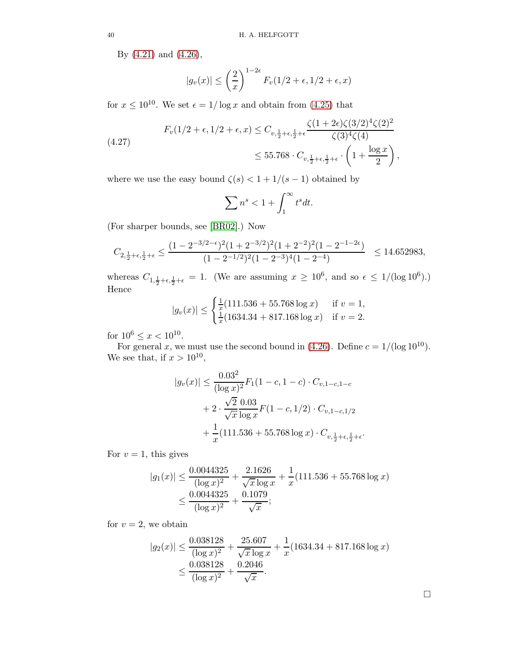By [\(4.21\)](#page-37-0) and [\(4.26\)](#page-38-2),

$$
|g_v(x)| \le \left(\frac{2}{x}\right)^{1-2\epsilon} F_v(1/2 + \epsilon, 1/2 + \epsilon, x)
$$

for  $x \le 10^{10}$ . We set  $\epsilon = 1/\log x$  and obtain from [\(4.25\)](#page-38-3) that

(4.27) 
$$
F_v(1/2 + \epsilon, 1/2 + \epsilon, x) \leq C_{v, \frac{1}{2} + \epsilon, \frac{1}{2} + \epsilon} \frac{\zeta(1 + 2\epsilon)\zeta(3/2)^4 \zeta(2)^2}{\zeta(3)^4 \zeta(4)} \leq 55.768 \cdot C_{v, \frac{1}{2} + \epsilon, \frac{1}{2} + \epsilon} \cdot \left(1 + \frac{\log x}{2}\right),
$$

where we use the easy bound  $\zeta(s) < 1 + 1/(s-1)$  obtained by

$$
\sum n^s < 1 + \int_1^\infty t^s dt.
$$

(For sharper bounds, see [\[BR02\]](#page-76-0).) Now

$$
C_{2,\frac{1}{2}+\epsilon,\frac{1}{2}+\epsilon} \le \frac{(1-2^{-3/2-\epsilon})^2(1+2^{-3/2})^2(1+2^{-2})^2(1-2^{-1-2\epsilon})}{(1-2^{-1/2})^2(1-2^{-3})^4(1-2^{-4})} \le 14.652983,
$$

whereas  $C_{1,\frac{1}{2}+\epsilon,\frac{1}{2}+\epsilon} = 1$ . (We are assuming  $x \ge 10^6$ , and so  $\epsilon \le 1/(\log 10^6)$ .) Hence

$$
|g_v(x)| \le \begin{cases} \frac{1}{x}(111.536 + 55.768 \log x) & \text{if } v = 1, \\ \frac{1}{x}(1634.34 + 817.168 \log x) & \text{if } v = 2. \end{cases}
$$

for  $10^6 \le x < 10^{10}$ .

For general x, we must use the second bound in [\(4.26\)](#page-38-2). Define  $c = 1/(\log 10^{10})$ . We see that, if  $x > 10^{10}$ ,

$$
|g_v(x)| \le \frac{0.03^2}{(\log x)^2} F_1(1 - c, 1 - c) \cdot C_{v, 1 - c, 1 - c}
$$

$$
+ 2 \cdot \frac{\sqrt{2}}{\sqrt{x}} \frac{0.03}{\log x} F(1 - c, 1/2) \cdot C_{v, 1 - c, 1/2}
$$

$$
+ \frac{1}{x} (111.536 + 55.768 \log x) \cdot C_{v, \frac{1}{2} + \epsilon, \frac{1}{2} + \epsilon}
$$

For  $v = 1$ , this gives

$$
|g_1(x)| \le \frac{0.0044325}{(\log x)^2} + \frac{2.1626}{\sqrt{x}\log x} + \frac{1}{x}(111.536 + 55.768 \log x)
$$
  

$$
\le \frac{0.0044325}{(\log x)^2} + \frac{0.1079}{\sqrt{x}};
$$

for  $v = 2$ , we obtain

$$
|g_2(x)| \le \frac{0.038128}{(\log x)^2} + \frac{25.607}{\sqrt{x} \log x} + \frac{1}{x} (1634.34 + 817.168 \log x)
$$
  

$$
\le \frac{0.038128}{(\log x)^2} + \frac{0.2046}{\sqrt{x}}.
$$

.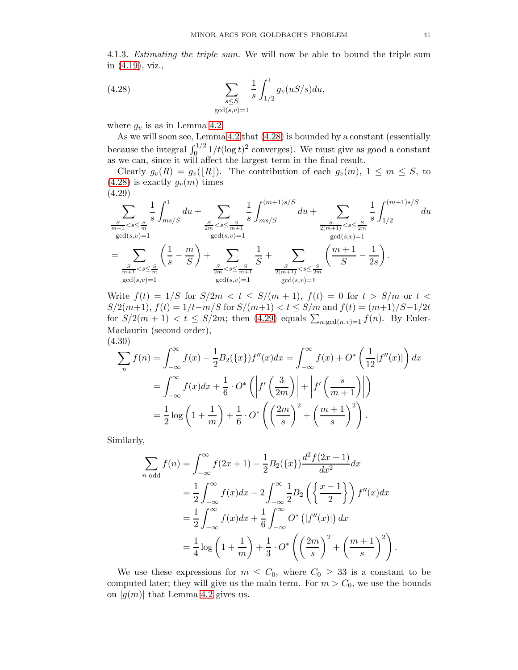4.1.3. Estimating the triple sum. We will now be able to bound the triple sum in [\(4.19\)](#page-35-0), viz.,

<span id="page-40-0"></span>(4.28) 
$$
\sum_{\substack{s \le S \\ \gcd(s,v)=1}} \frac{1}{s} \int_{1/2}^1 g_v(uS/s) du,
$$

where  $g_v$  is as in Lemma [4.2.](#page-35-1)

As we will soon see, Lemma [4.2](#page-35-1) that [\(4.28\)](#page-40-0) is bounded by a constant (essentially because the integral  $\int_0^{1/2} 1/t(\log t)^2$  converges). We must give as good a constant as we can, since it will affect the largest term in the final result.

Clearly  $g_v(R) = g_v([R])$ . The contribution of each  $g_v(m)$ ,  $1 \leq m \leq S$ , to  $(4.28)$  is exactly  $g_v(m)$  times (4.29)

<span id="page-40-1"></span>X S <sup>m</sup>+1 <s<sup>≤</sup> <sup>S</sup> m 1 s gcd(s,v)=1 Z <sup>1</sup> ms/S du + X S <sup>2</sup><sup>m</sup> <s<sup>≤</sup> <sup>S</sup> m+1 1 s gcd(s,v)=1 Z (m+1)s/S ms/S du + X S 2(m+1) <s<sup>≤</sup> <sup>S</sup> 2m 1 s gcd(s,v)=1 Z (m+1)s/S 1/2 du = X S <sup>m</sup>+1 <s≤ S m gcd(s,v)=1 1 s − m S + X S <sup>2</sup><sup>m</sup> <s≤ S m+1 gcd(s,v)=1 1 S + X S 2(m+1) <s≤ S 2m gcd(s,v)=1 m + 1 S − 1 2s .

Write  $f(t) = 1/S$  for  $S/2m < t \leq S/(m+1)$ ,  $f(t) = 0$  for  $t > S/m$  or  $t <$  $S/2(m+1)$ ,  $f(t) = 1/t - m/S$  for  $S/(m+1) < t \leq S/m$  and  $f(t) = (m+1)/S - 1/2t$ for  $S/2(m+1) < t \leq S/2m$ ; then  $(4.29)$  equals  $\sum_{n:\gcd(n,v)=1} f(n)$ . By Euler-Maclaurin (second order), (4.30)

<span id="page-40-2"></span>
$$
\sum_{n} f(n) = \int_{-\infty}^{\infty} f(x) - \frac{1}{2} B_2(\{x\}) f''(x) dx = \int_{-\infty}^{\infty} f(x) + O^* \left( \frac{1}{12} |f''(x)| \right) dx
$$

$$
= \int_{-\infty}^{\infty} f(x) dx + \frac{1}{6} \cdot O^* \left( \left| f' \left( \frac{3}{2m} \right) \right| + \left| f' \left( \frac{s}{m+1} \right) \right| \right)
$$

$$
= \frac{1}{2} \log \left( 1 + \frac{1}{m} \right) + \frac{1}{6} \cdot O^* \left( \left( \frac{2m}{s} \right)^2 + \left( \frac{m+1}{s} \right)^2 \right).
$$

Similarly,

$$
\sum_{n \text{ odd}} f(n) = \int_{-\infty}^{\infty} f(2x+1) - \frac{1}{2} B_2(\{x\}) \frac{d^2 f(2x+1)}{dx^2} dx \n= \frac{1}{2} \int_{-\infty}^{\infty} f(x) dx - 2 \int_{-\infty}^{\infty} \frac{1}{2} B_2 \left( \left\{ \frac{x-1}{2} \right\} \right) f''(x) dx \n= \frac{1}{2} \int_{-\infty}^{\infty} f(x) dx + \frac{1}{6} \int_{-\infty}^{\infty} O^* \left( |f''(x)| \right) dx \n= \frac{1}{4} \log \left( 1 + \frac{1}{m} \right) + \frac{1}{3} \cdot O^* \left( \left( \frac{2m}{s} \right)^2 + \left( \frac{m+1}{s} \right)^2 \right).
$$

We use these expressions for  $m \leq C_0$ , where  $C_0 \geq 33$  is a constant to be computed later; they will give us the main term. For  $m > C_0$ , we use the bounds on  $|g(m)|$  that Lemma [4.2](#page-35-1) gives us.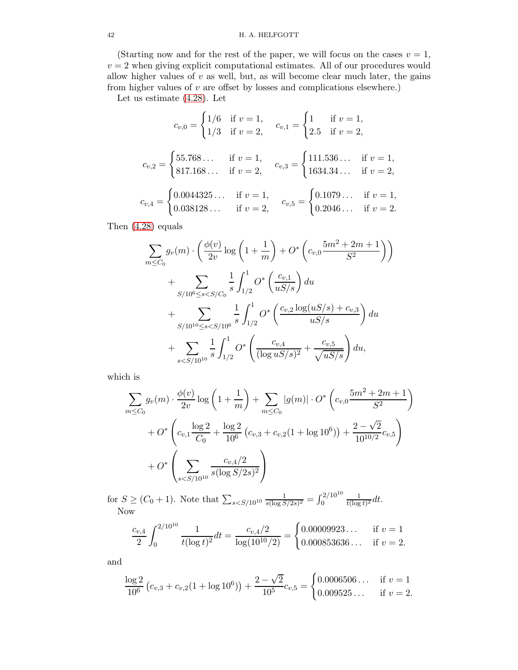### 42 H. A. HELFGOTT

(Starting now and for the rest of the paper, we will focus on the cases  $v = 1$ ,  $v = 2$  when giving explicit computational estimates. All of our procedures would allow higher values of  $v$  as well, but, as will become clear much later, the gains from higher values of  $v$  are offset by losses and complications elsewhere.)

Let us estimate [\(4.28\)](#page-40-0). Let

$$
c_{v,0} = \begin{cases} 1/6 & \text{if } v = 1, \\ 1/3 & \text{if } v = 2, \end{cases} \quad c_{v,1} = \begin{cases} 1 & \text{if } v = 1, \\ 2.5 & \text{if } v = 2, \end{cases}
$$

$$
c_{v,2} = \begin{cases} 55.768 \dots & \text{if } v = 1, \\ 817.168 \dots & \text{if } v = 2, \end{cases} \quad c_{v,3} = \begin{cases} 111.536 \dots & \text{if } v = 1, \\ 1634.34 \dots & \text{if } v = 2, \end{cases}
$$

$$
c_{v,4} = \begin{cases} 0.0044325 \dots & \text{if } v = 1, \\ 0.038128 \dots & \text{if } v = 2, \end{cases} \quad c_{v,5} = \begin{cases} 0.1079 \dots & \text{if } v = 1, \\ 0.2046 \dots & \text{if } v = 2. \end{cases}
$$

Then [\(4.28\)](#page-40-0) equals

$$
\sum_{m \leq C_0} g_v(m) \cdot \left(\frac{\phi(v)}{2v} \log \left(1 + \frac{1}{m}\right) + O^* \left(c_{v,0} \frac{5m^2 + 2m + 1}{S^2}\right)\right)
$$
  
+ 
$$
\sum_{S/10^6 \leq s < S/C_0} \frac{1}{s} \int_{1/2}^1 O^* \left(\frac{c_{v,1}}{uS/s}\right) du
$$
  
+ 
$$
\sum_{S/10^{10} \leq s < S/10^6} \frac{1}{s} \int_{1/2}^1 O^* \left(\frac{c_{v,2} \log(uS/s) + c_{v,3}}{uS/s}\right) du
$$
  
+ 
$$
\sum_{s < S/10^{10}} \frac{1}{s} \int_{1/2}^1 O^* \left(\frac{c_{v,4}}{(\log uS/s)^2} + \frac{c_{v,5}}{\sqrt{uS/s}}\right) du,
$$

which is

$$
\sum_{m \leq C_0} g_v(m) \cdot \frac{\phi(v)}{2v} \log \left( 1 + \frac{1}{m} \right) + \sum_{m \leq C_0} |g(m)| \cdot O^* \left( c_{v,0} \frac{5m^2 + 2m + 1}{S^2} \right)
$$
  
+  $O^* \left( c_{v,1} \frac{\log 2}{C_0} + \frac{\log 2}{10^6} \left( c_{v,3} + c_{v,2} (1 + \log 10^6) \right) + \frac{2 - \sqrt{2}}{10^{10/2}} c_{v,5} \right)$   
+  $O^* \left( \sum_{s < S/10^{10}} \frac{c_{v,4/2}}{s (\log S/2s)^2} \right)$ 

for  $S \ge (C_0 + 1)$ . Note that  $\sum_{s \le S/10^{10}} \frac{1}{s(\log S)}$  $\frac{1}{s(\log S/2s)^2}=\int_0^{\frac{2}{10^{10}}}$ 1  $\frac{1}{t(\log t)^2}dt$ . Now

$$
\frac{c_{v,4}}{2} \int_0^{2/10^{10}} \frac{1}{t(\log t)^2} dt = \frac{c_{v,4}/2}{\log(10^{10}/2)} = \begin{cases} 0.00009923\dots & \text{if } v = 1\\ 0.000853636\dots & \text{if } v = 2. \end{cases}
$$

and

$$
\frac{\log 2}{10^6} (c_{v,3} + c_{v,2}(1 + \log 10^6)) + \frac{2 - \sqrt{2}}{10^5} c_{v,5} = \begin{cases} 0.0006506 \dots & \text{if } v = 1\\ 0.009525 \dots & \text{if } v = 2. \end{cases}
$$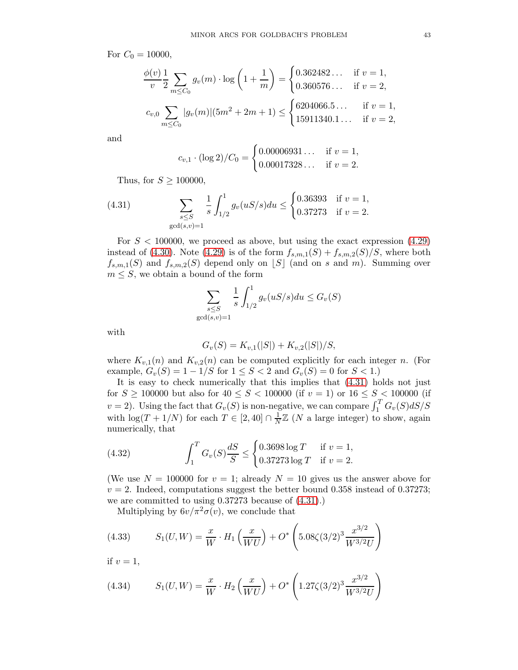For  $C_0 = 10000$ ,

$$
\frac{\phi(v)}{v} \frac{1}{2} \sum_{m \le C_0} g_v(m) \cdot \log\left(1 + \frac{1}{m}\right) = \begin{cases} 0.362482 \dots & \text{if } v = 1, \\ 0.360576 \dots & \text{if } v = 2, \end{cases}
$$
  

$$
c_{v,0} \sum_{m \le C_0} |g_v(m)| (5m^2 + 2m + 1) \le \begin{cases} 6204066.5 \dots & \text{if } v = 1, \\ 15911340.1 \dots & \text{if } v = 2, \end{cases}
$$

and

$$
c_{v,1} \cdot (\log 2)/C_0 = \begin{cases} 0.00006931\ldots & \text{if } v = 1, \\ 0.00017328\ldots & \text{if } v = 2. \end{cases}
$$

<span id="page-42-0"></span>Thus, for  $S \geq 100000$ ,

(4.31) 
$$
\sum_{s \le S} \frac{1}{s} \int_{1/2}^1 g_v(uS/s) du \le \begin{cases} 0.36393 & \text{if } v = 1, \\ 0.37273 & \text{if } v = 2. \end{cases}
$$
gcd(s,v)=1

For  $S < 100000$ , we proceed as above, but using the exact expression  $(4.29)$ instead of [\(4.30\)](#page-40-2). Note [\(4.29\)](#page-40-1) is of the form  $f_{s,m,1}(S) + f_{s,m,2}(S)/S$ , where both  $f_{s,m,1}(S)$  and  $f_{s,m,2}(S)$  depend only on  $\lfloor S \rfloor$  (and on s and m). Summing over  $m \leq S$ , we obtain a bound of the form

$$
\sum_{\substack{s \le S \\ \gcd(s,v)=1}} \frac{1}{s} \int_{1/2}^1 g_v(uS/s) du \le G_v(S)
$$

with

$$
G_v(S) = K_{v,1}(|S|) + K_{v,2}(|S|)/S,
$$

where  $K_{v,1}(n)$  and  $K_{v,2}(n)$  can be computed explicitly for each integer n. (For example,  $G_v(S) = 1 - 1/S$  for  $1 \le S < 2$  and  $G_v(S) = 0$  for  $S < 1$ .

It is easy to check numerically that this implies that [\(4.31\)](#page-42-0) holds not just for  $S \ge 100000$  but also for  $40 \le S < 100000$  (if  $v = 1$ ) or  $16 \le S < 100000$  (if  $v = 2$ ). Using the fact that  $G_v(S)$  is non-negative, we can compare  $\int_1^T G_v(S) dS/S$ with  $\log(T + 1/N)$  for each  $T \in [2, 40] \cap \frac{1}{N}$  $\frac{1}{N}\mathbb{Z}$  (N a large integer) to show, again numerically, that

<span id="page-42-1"></span>(4.32) 
$$
\int_{1}^{T} G_{v}(S) \frac{dS}{S} \leq \begin{cases} 0.3698 \log T & \text{if } v = 1, \\ 0.37273 \log T & \text{if } v = 2. \end{cases}
$$

(We use  $N = 100000$  for  $v = 1$ ; already  $N = 10$  gives us the answer above for  $v = 2$ . Indeed, computations suggest the better bound 0.358 instead of 0.37273; we are committed to using 0.37273 because of [\(4.31\)](#page-42-0).)

<span id="page-42-2"></span>Multiplying by  $6v/\pi^2 \sigma(v)$ , we conclude that

(4.33) 
$$
S_1(U, W) = \frac{x}{W} \cdot H_1\left(\frac{x}{WU}\right) + O^*\left(5.08\zeta(3/2)^3 \frac{x^{3/2}}{W^{3/2}U}\right)
$$

if  $v = 1$ ,

<span id="page-42-3"></span>(4.34) 
$$
S_1(U, W) = \frac{x}{W} \cdot H_2\left(\frac{x}{WU}\right) + O^*\left(1.27\zeta(3/2)^3 \frac{x^{3/2}}{W^{3/2}U}\right)
$$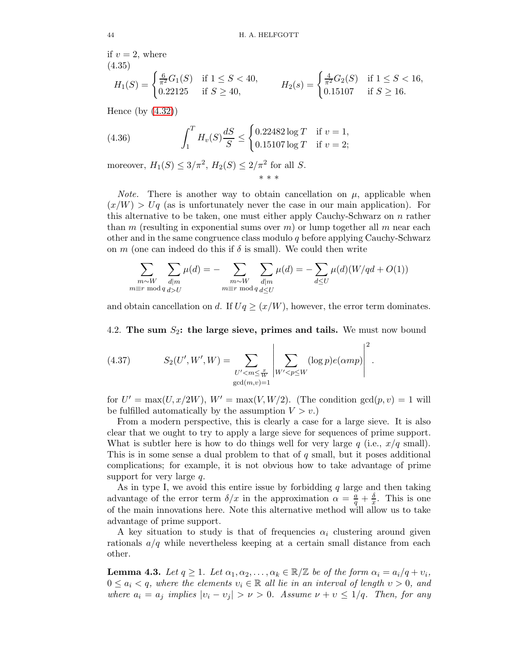if  $v = 2$ , where (4.35)

<span id="page-43-3"></span>
$$
H_1(S) = \begin{cases} \frac{6}{\pi^2} G_1(S) & \text{if } 1 \le S < 40, \\ 0.22125 & \text{if } S \ge 40, \end{cases} \qquad H_2(s) = \begin{cases} \frac{4}{\pi^2} G_2(S) & \text{if } 1 \le S < 16, \\ 0.15107 & \text{if } S \ge 16. \end{cases}
$$

Hence (by [\(4.32\)](#page-42-1))

<span id="page-43-2"></span>(4.36) 
$$
\int_{1}^{T} H_{v}(S) \frac{dS}{S} \leq \begin{cases} 0.22482 \log T & \text{if } v = 1, \\ 0.15107 \log T & \text{if } v = 2; \end{cases}
$$

moreover,  $H_1(S) \leq 3/\pi^2$ ,  $H_2(S) \leq 2/\pi^2$  for all S. \* \* \*

*Note.* There is another way to obtain cancellation on  $\mu$ , applicable when  $(x/W) > Uq$  (as is unfortunately never the case in our main application). For this alternative to be taken, one must either apply Cauchy-Schwarz on  $n$  rather than m (resulting in exponential sums over  $m$ ) or lump together all m near each other and in the same congruence class modulo q before applying Cauchy-Schwarz on m (one can indeed do this if  $\delta$  is small). We could then write

$$
\sum_{\substack{m\sim W\\m\equiv r \bmod q}} \sum_{\substack{d|m\\d>U}} \mu(d) = -\sum_{\substack{m\sim W\\m\equiv r \bmod q}} \sum_{\substack{d|m\\d\leq U}} \mu(d) = -\sum_{d\leq U} \mu(d) (W/qd + O(1))
$$

and obtain cancellation on d. If  $Uq \geq (x/W)$ , however, the error term dominates.

# 4.2. The sum  $S_2$ : the large sieve, primes and tails. We must now bound

<span id="page-43-1"></span>(4.37) 
$$
S_2(U', W', W) = \sum_{\substack{U' < m \leq \frac{x}{W} \\ \gcd(m, v) = 1}} \left| \sum_{W' < p \leq W} (\log p) e(\alpha m p) \right|^2.
$$

for  $U' = \max(U, x/2W), W' = \max(V, W/2)$ . (The condition  $gcd(p, v) = 1$  will be fulfilled automatically by the assumption  $V > v$ .

From a modern perspective, this is clearly a case for a large sieve. It is also clear that we ought to try to apply a large sieve for sequences of prime support. What is subtler here is how to do things well for very large q (i.e.,  $x/q$  small). This is in some sense a dual problem to that of  $q$  small, but it poses additional complications; for example, it is not obvious how to take advantage of prime support for very large q.

As in type I, we avoid this entire issue by forbidding  $q$  large and then taking advantage of the error term  $\delta/x$  in the approximation  $\alpha = \frac{a}{q} + \frac{\delta}{x}$ . This is one of the main innovations here. Note this alternative method will allow us to take advantage of prime support.

A key situation to study is that of frequencies  $\alpha_i$  clustering around given rationals  $a/q$  while nevertheless keeping at a certain small distance from each other.

<span id="page-43-0"></span>**Lemma 4.3.** Let  $q \ge 1$ . Let  $\alpha_1, \alpha_2, \ldots, \alpha_k \in \mathbb{R}/\mathbb{Z}$  be of the form  $\alpha_i = a_i/q + v_i$ ,  $0 \leq a_i < q$ , where the elements  $v_i \in \mathbb{R}$  all lie in an interval of length  $v > 0$ , and where  $a_i = a_j$  implies  $|v_i - v_j| > \nu > 0$ . Assume  $\nu + \nu \leq 1/q$ . Then, for any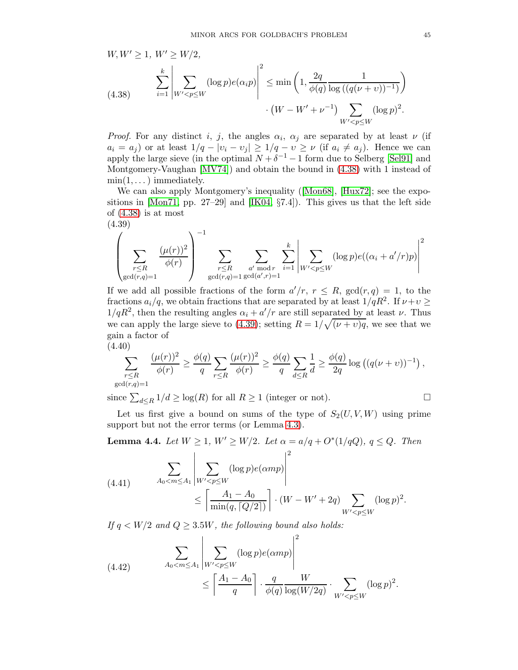<span id="page-44-0"></span>
$$
W, W' \ge 1, W' \ge W/2,
$$
  
\n(4.38) 
$$
\sum_{i=1}^{k} \left| \sum_{W' < p \le W} (\log p) e(\alpha_i p) \right|^2 \le \min \left( 1, \frac{2q}{\phi(q)} \frac{1}{\log ((q(\nu + \nu))^{-1})} \right) \cdot (W - W' + \nu^{-1}) \sum_{W' < p \le W} (\log p)^2.
$$

*Proof.* For any distinct i, j, the angles  $\alpha_i$ ,  $\alpha_j$  are separated by at least  $\nu$  (if  $a_i = a_j$  or at least  $1/q - |v_i - v_j| \ge 1/q - v \ge \nu$  (if  $a_i \ne a_j$ ). Hence we can apply the large sieve (in the optimal  $N + \delta^{-1} - 1$  form due to Selberg [\[Sel91\]](#page-78-0) and Montgomery-Vaughan [\[MV74\]](#page-77-2)) and obtain the bound in [\(4.38\)](#page-44-0) with 1 instead of  $min(1, \ldots)$  immediately.

We can also apply Montgomery's inequality ([\[Mon68\]](#page-77-3), [\[Hux72\]](#page-77-4); see the expo-sitions in [\[Mon71,](#page-77-5) pp. 27–29] and [\[IK04,](#page-77-6)  $\S7.4$ ]). This gives us that the left side of  $(4.38)$  is at most

<span id="page-44-1"></span>(4.39)  

$$
\left(\sum_{\substack{r\leq R\\ \gcd(r,q)=1}}\frac{(\mu(r))^2}{\phi(r)}\right)^{-1}\sum_{\substack{r\leq R\\ \gcd(r,q)=1}}\sum_{\substack{a'\bmod r\\ \gcd(a',r)=1}}\sum_{i=1}^k\left|\sum_{W'
$$

If we add all possible fractions of the form  $a'/r$ ,  $r \leq R$ ,  $gcd(r, q) = 1$ , to the fractions  $a_i/q$ , we obtain fractions that are separated by at least  $1/qR^2$ . If  $\nu+\nu \geq$  $1/qR^2$ , then the resulting angles  $\alpha_i + a'/r$  are still separated by at least  $\nu$ . Thus we can apply the large sieve to [\(4.39\)](#page-44-1); setting  $R = 1/\sqrt{(\nu + \nu)q}$ , we see that we gain a factor of (4.40)

$$
\sum_{\substack{r \le R \\ \gcd(r,q)=1}} \frac{(\mu(r))^2}{\phi(r)} \ge \frac{\phi(q)}{q} \sum_{r \le R} \frac{(\mu(r))^2}{\phi(r)} \ge \frac{\phi(q)}{q} \sum_{d \le R} \frac{1}{d} \ge \frac{\phi(q)}{2q} \log((q(\nu+\nu))^{-1}),
$$

since  $\sum_{d\leq R} 1/d \geq \log(R)$  for all  $R \geq 1$  (integer or not).

Let us first give a bound on sums of the type of  $S_2(U, V, W)$  using prime support but not the error terms (or Lemma [4.3\)](#page-43-0).

<span id="page-44-4"></span>**Lemma 4.4.** Let 
$$
W \ge 1
$$
,  $W' \ge W/2$ . Let  $\alpha = a/q + O^*(1/qQ)$ ,  $q \le Q$ . Then  
\n
$$
\sum_{A_0 < m \le A_1} \left| \sum_{W' < p \le W} (\log p) e(\alpha m p) \right|^2
$$
\n
$$
\le \left[ \frac{A_1 - A_0}{\min(q, \lceil Q/2 \rceil)} \right] \cdot (W - W' + 2q) \sum_{W' < p \le W} (\log p)^2.
$$

<span id="page-44-3"></span>If  $q \lt W/2$  and  $Q \geq 3.5W$ , the following bound also holds:

<span id="page-44-2"></span>(4.42) 
$$
\sum_{A_0 < m \le A_1} \left| \sum_{W' < p \le W} (\log p) e(\alpha m p) \right|^2 \le \left\lceil \frac{A_1 - A_0}{q} \right\rceil \cdot \frac{q}{\phi(q)} \frac{W}{\log(W/2q)} \cdot \sum_{W' < p \le W} (\log p)^2.
$$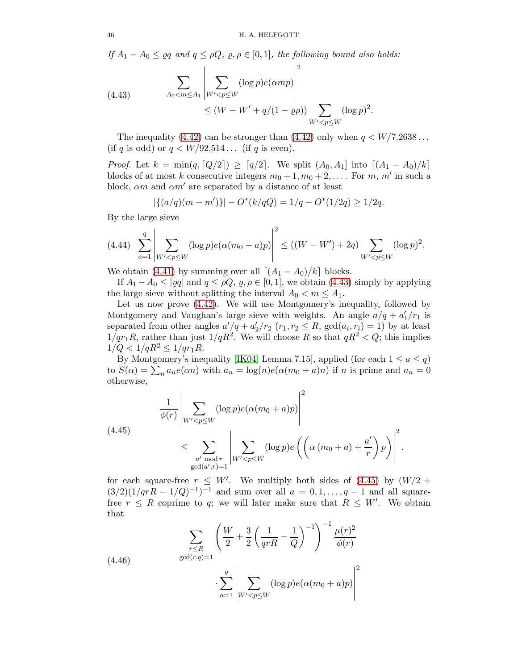If  $A_1 - A_0 \leq \varrho q$  and  $q \leq \rho Q$ ,  $\varrho$ ,  $\rho \in [0,1]$ , the following bound also holds:

<span id="page-45-0"></span>(4.43) 
$$
\sum_{A_0 < m \le A_1} \left| \sum_{W' < p \le W} (\log p) e(\alpha m p) \right|^2 \le (W - W' + q/(1 - \varrho \rho)) \sum_{W' < p \le W} (\log p)^2.
$$

The inequality [\(4.42\)](#page-44-2) can be stronger than (4.42) only when  $q \lt W/7.2638...$ (if q is odd) or  $q \lt W/92.514...$  (if q is even).

*Proof.* Let  $k = \min(q, [Q/2]) \geq [q/2]$ . We split  $(A_0, A_1]$  into  $[(A_1 - A_0)/k]$ blocks of at most k consecutive integers  $m_0 + 1, m_0 + 2, \ldots$  For  $m, m'$  in such a block,  $\alpha m$  and  $\alpha m'$  are separated by a distance of at least

$$
|\{(a/q)(m-m')\}| - O^*(k/qQ) = 1/q - O^*(1/2q) \ge 1/2q.
$$

By the large sieve

$$
(4.44) \sum_{a=1}^{q} \left| \sum_{W' < p \le W} (\log p) e(\alpha (m_0 + a)p) \right|^2 \le ((W - W') + 2q) \sum_{W' < p \le W} (\log p)^2.
$$

We obtain [\(4.41\)](#page-44-3) by summing over all  $[(A_1 - A_0)/k]$  blocks.

If  $A_1 - A_0 \leq |\varrho q|$  and  $q \leq \rho Q$ ,  $\varrho, \varrho \in [0, 1]$ , we obtain [\(4.43\)](#page-45-0) simply by applying the large sieve without splitting the interval  $A_0 < m \leq A_1$ .

Let us now prove [\(4.42\)](#page-44-2). We will use Montgomery's inequality, followed by Montgomery and Vaughan's large sieve with weights. An angle  $a/q + a'_1/r_1$  is separated from other angles  $a'/q + a'_2/r_2$   $(r_1, r_2 \le R, \gcd(a_i, r_i) = 1)$  by at least  $1/qr_1R$ , rather than just  $1/qR^2$ . We will choose R so that  $qR^2 < Q$ ; this implies  $1/Q < 1/qR^2 \leq 1/qr_1R$ .

By Montgomery's inequality [\[IK04,](#page-77-6) Lemma 7.15], applied (for each  $1 \le a \le q$ ) to  $S(\alpha) = \sum_n a_n e(\alpha n)$  with  $a_n = \log(n)e(\alpha(m_0 + a)n)$  if n is prime and  $a_n = 0$ otherwise,

<span id="page-45-1"></span>(4.45)  

$$
\frac{1}{\phi(r)} \left| \sum_{W' < p \le W} (\log p) e(\alpha(m_0 + a)p) \right|^2
$$

$$
\le \sum_{\substack{a' \bmod r \\ \gcd(a', r) = 1}} \left| \sum_{W' < p \le W} (\log p) e\left(\left(\alpha(m_0 + a) + \frac{a'}{r}\right)p\right) \right|^2.
$$

for each square-free  $r \leq W'$ . We multiply both sides of [\(4.45\)](#page-45-1) by  $(W/2 +$  $(3/2)(1/qrR - 1/Q)^{-1}$  and sum over all  $a = 0, 1, ..., q - 1$  and all squarefree  $r \leq R$  coprime to q; we will later make sure that  $R \leq W'$ . We obtain that

<span id="page-45-2"></span>(4.46) 
$$
\sum_{\substack{r \leq R \\ \gcd(r,q)=1}} \left( \frac{W}{2} + \frac{3}{2} \left( \frac{1}{qrR} - \frac{1}{Q} \right)^{-1} \right)^{-1} \frac{\mu(r)^2}{\phi(r)}
$$

$$
\cdot \sum_{a=1}^q \left| \sum_{W' < p \leq W} (\log p) e(\alpha(m_0 + a)p) \right|^2
$$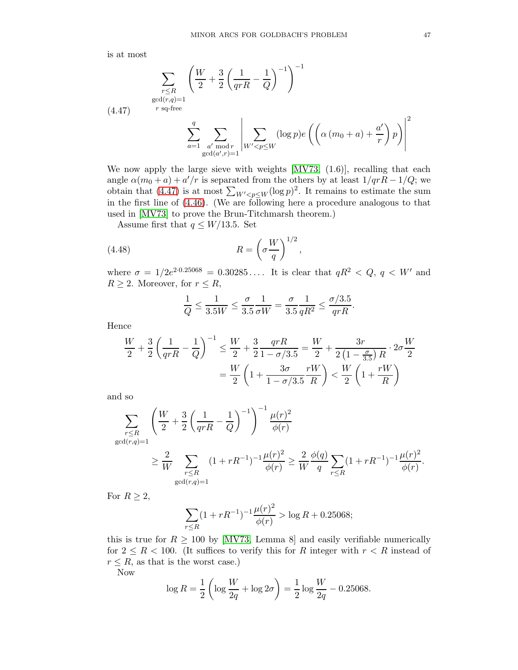is at most

<span id="page-46-0"></span>
$$
\sum_{\substack{r \le R \\ \gcd(r,q)=1}} \left( \frac{W}{2} + \frac{3}{2} \left( \frac{1}{qrR} - \frac{1}{Q} \right)^{-1} \right)^{-1}
$$
\n
$$
(4.47) \qquad \text{r sq-free}
$$
\n
$$
\sum_{a=1}^{q} \sum_{\substack{a' \bmod r \\ \gcd(a',r)=1}} \left| \sum_{W' < p \le W} (\log p) e\left( \left( \alpha \left( m_0 + a \right) + \frac{a'}{r} \right) p \right) \right|^2
$$

We now apply the large sieve with weights  $\text{[MV73, (1.6)]}$ , recalling that each angle  $\alpha(m_0 + a) + a'/r$  is separated from the others by at least  $1/qrR - 1/Q$ ; we obtain that [\(4.47\)](#page-46-0) is at most  $\sum_{W' < p \leq W} (\log p)^2$ . It remains to estimate the sum in the first line of  $(4.46)$ . (We are following here a procedure analogous to that used in [\[MV73\]](#page-77-7) to prove the Brun-Titchmarsh theorem.)

Assume first that  $q \leq W/13.5$ . Set

(4.48) 
$$
R = \left(\sigma \frac{W}{q}\right)^{1/2},
$$

where  $\sigma = 1/2e^{2.0.25068} = 0.30285...$  It is clear that  $qR^2 < Q, q < W'$  and  $R \geq 2$ . Moreover, for  $r \leq R$ ,

$$
\frac{1}{Q} \le \frac{1}{3.5W} \le \frac{\sigma}{3.5} \frac{1}{\sigma W} = \frac{\sigma}{3.5} \frac{1}{qR^2} \le \frac{\sigma/3.5}{qrR}.
$$

Hence

$$
\frac{W}{2} + \frac{3}{2} \left( \frac{1}{qrR} - \frac{1}{Q} \right)^{-1} \le \frac{W}{2} + \frac{3}{2} \frac{qrR}{1 - \sigma/3.5} = \frac{W}{2} + \frac{3r}{2(1 - \frac{\sigma}{3.5})R} \cdot 2\sigma \frac{W}{2}
$$

$$
= \frac{W}{2} \left( 1 + \frac{3\sigma}{1 - \sigma/3.5} \frac{rW}{R} \right) < \frac{W}{2} \left( 1 + \frac{rW}{R} \right)
$$

and so

$$
\sum_{\substack{r \le R \\ \gcd(r,q)=1}} \left( \frac{W}{2} + \frac{3}{2} \left( \frac{1}{qrR} - \frac{1}{Q} \right)^{-1} \right)^{-1} \frac{\mu(r)^2}{\phi(r)} \n\ge \frac{2}{W} \sum_{\substack{r \le R \\ \gcd(r,q)=1}} (1 + rR^{-1})^{-1} \frac{\mu(r)^2}{\phi(r)} \ge \frac{2}{W} \frac{\phi(q)}{q} \sum_{r \le R} (1 + rR^{-1})^{-1} \frac{\mu(r)^2}{\phi(r)}.
$$

For  $R \geq 2$ ,

$$
\sum_{r \le R} (1 + rR^{-1})^{-1} \frac{\mu(r)^2}{\phi(r)} > \log R + 0.25068;
$$

this is true for  $R \ge 100$  by [\[MV73,](#page-77-7) Lemma 8] and easily verifiable numerically for  $2 \leq R < 100$ . (It suffices to verify this for R integer with  $r < R$  instead of  $r \leq R$ , as that is the worst case.)

Now

$$
\log R = \frac{1}{2} \left( \log \frac{W}{2q} + \log 2\sigma \right) = \frac{1}{2} \log \frac{W}{2q} - 0.25068.
$$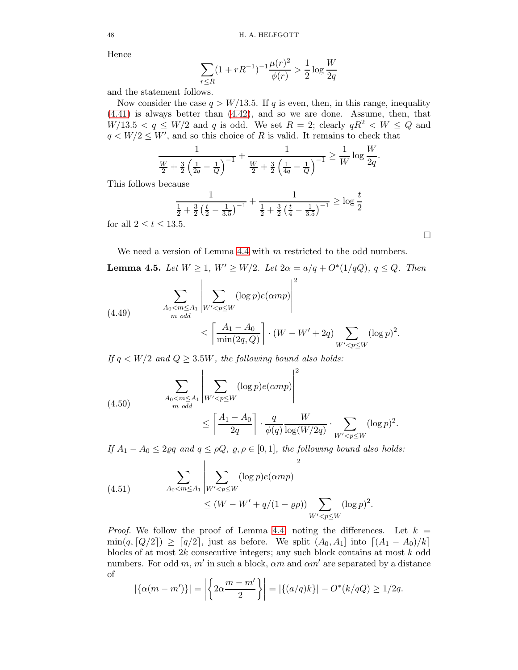Hence

$$
\sum_{r \le R} (1 + rR^{-1})^{-1} \frac{\mu(r)^2}{\phi(r)} > \frac{1}{2} \log \frac{W}{2q}
$$

and the statement follows.

Now consider the case  $q > W/13.5$ . If q is even, then, in this range, inequality [\(4.41\)](#page-44-3) is always better than [\(4.42\)](#page-44-2), and so we are done. Assume, then, that  $W/13.5 < q \leq W/2$  and q is odd. We set  $R = 2$ ; clearly  $qR^2 < W \leq Q$  and  $q \lt W/2 \leq W'$ , and so this choice of R is valid. It remains to check that

$$
\frac{1}{\frac{W}{2} + \frac{3}{2} \left(\frac{1}{2q} - \frac{1}{Q}\right)^{-1}} + \frac{1}{\frac{W}{2} + \frac{3}{2} \left(\frac{1}{4q} - \frac{1}{Q}\right)^{-1}} \ge \frac{1}{W} \log \frac{W}{2q}.
$$

This follows because

$$
\frac{1}{\frac{1}{2} + \frac{3}{2} \left(\frac{t}{2} - \frac{1}{3.5}\right)^{-1}} + \frac{1}{\frac{1}{2} + \frac{3}{2} \left(\frac{t}{4} - \frac{1}{3.5}\right)^{-1}} \ge \log \frac{t}{2}
$$
all  $2 \le t \le 13.5$ .

for  $\varepsilon$ 

We need a version of Lemma [4.4](#page-44-4) with m restricted to the odd numbers.

**Lemma 4.5.** Let  $W \ge 1$ ,  $W' \ge W/2$ . Let  $2\alpha = a/q + O^*(1/qQ)$ ,  $q \le Q$ . Then

<span id="page-47-0"></span>(4.49) 
$$
\sum_{\substack{A_0 < m \le A_1 \\ m \text{ odd}}} \left| \sum_{W' < p \le W} (\log p) e(\alpha m p) \right|^2
$$
\n
$$
\le \left[ \frac{A_1 - A_0}{\min(2q, Q)} \right] \cdot (W - W' + 2q) \sum_{W' < p \le W} (\log p)^2.
$$

If  $q \lt W/2$  and  $Q \geq 3.5W$ , the following bound also holds:

<span id="page-47-2"></span>(4.50) 
$$
\sum_{\substack{A_0 < m \le A_1 \\ m \text{ odd}}} \left| \sum_{W' < p \le W} (\log p) e(\alpha m p) \right|^2
$$
\n
$$
\le \left\lceil \frac{A_1 - A_0}{2q} \right\rceil \cdot \frac{q}{\phi(q)} \frac{W}{\log(W/2q)} \cdot \sum_{W' < p \le W} (\log p)^2.
$$

If  $A_1 - A_0 \leq 2\varrho q$  and  $q \leq \rho Q$ ,  $\varrho$ ,  $\rho \in [0, 1]$ , the following bound also holds:

<span id="page-47-1"></span>(4.51) 
$$
\sum_{A_0 < m \le A_1} \left| \sum_{W' < p \le W} (\log p) e(\alpha m p) \right|^2 \le (W - W' + q/(1 - \varrho \rho)) \sum_{W' < p \le W} (\log p)^2.
$$

*Proof.* We follow the proof of Lemma [4.4,](#page-44-4) noting the differences. Let  $k =$  $\min(q, [Q/2]) \geq [q/2]$ , just as before. We split  $(A_0, A_1]$  into  $[(A_1 - A_0)/k]$ blocks of at most 2k consecutive integers; any such block contains at most k odd numbers. For odd m, m' in such a block,  $\alpha m$  and  $\alpha m'$  are separated by a distance of

$$
|\{\alpha(m-m')\}| = |\left\{2\alpha \frac{m-m'}{2}\right\}| = |\{(a/q)k\}| - O^*(k/qQ) \ge 1/2q.
$$

$$
\Box
$$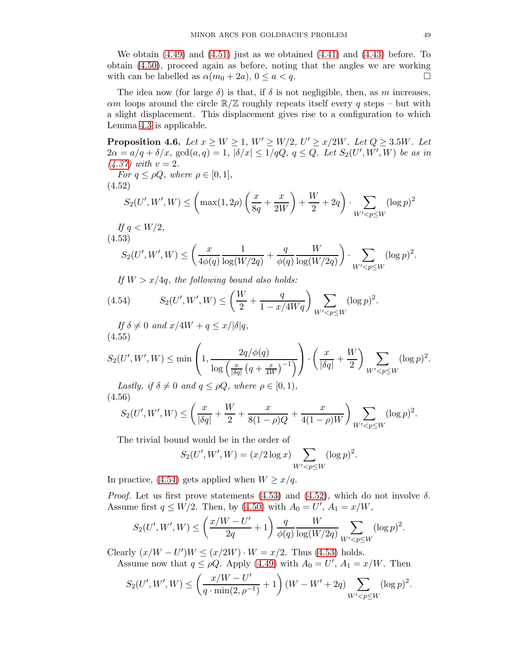We obtain  $(4.49)$  and  $(4.51)$  just as we obtained  $(4.41)$  and  $(4.43)$  before. To obtain [\(4.50\)](#page-47-2), proceed again as before, noting that the angles we are working with can be labelled as  $\alpha(m_0 + 2a)$ ,  $0 \le a < q$ .

The idea now (for large  $\delta$ ) is that, if  $\delta$  is not negligible, then, as m increases,  $\alpha$ m loops around the circle  $\mathbb{R}/\mathbb{Z}$  roughly repeats itself every q steps – but with a slight displacement. This displacement gives rise to a configuration to which Lemma [4.3](#page-43-0) is applicable.

<span id="page-48-4"></span>**Proposition 4.6.** Let  $x \geq W \geq 1$ ,  $W' \geq W/2$ ,  $U' \geq x/2W$ . Let  $Q \geq 3.5W$ . Let  $2\alpha = a/q + \delta/x$ ,  $gcd(a,q) = 1, |\delta/x| \leq 1/qQ$ ,  $q \leq Q$ . Let  $S_2(U',W',W)$  be as in  $(4.37)$  with  $v = 2$ .

For 
$$
q \le \rho Q
$$
, where  $\rho \in [0, 1]$ ,  
(4.52)  

$$
S_2(U', W', W) \le \left( \max(1, 2\rho) \left( \frac{x}{8q} + \frac{x}{2W} \right) + \frac{W}{2} + 2q \right) \cdot \sum_{W' < p \le W} (\log p)^2
$$

<span id="page-48-2"></span>If  $q \langle W/2, \rangle$ (4.53)

<span id="page-48-1"></span>
$$
S_2(U',W',W) \le \left(\frac{x}{4\phi(q)}\frac{1}{\log(W/2q)} + \frac{q}{\phi(q)}\frac{W}{\log(W/2q)}\right) \cdot \sum_{W' < p \le W} (\log p)^2.
$$

<span id="page-48-0"></span>If  $W > x/4q$ , the following bound also holds:

(4.54) 
$$
S_2(U', W', W) \le \left(\frac{W}{2} + \frac{q}{1 - x/4Wq}\right) \sum_{W' < p \le W} (\log p)^2.
$$

If  $\delta \neq 0$  and  $x/4W + q \leq x/|\delta|q$ , (4.55)

<span id="page-48-5"></span>
$$
S_2(U',W',W) \le \min\left(1,\frac{2q/\phi(q)}{\log\left(\frac{x}{|\delta q|}\left(q+\frac{x}{4W}\right)^{-1}\right)}\right) \cdot \left(\frac{x}{|\delta q|}+\frac{W}{2}\right) \sum_{W' < p \le W} (\log p)^2.
$$

Lastly, if  $\delta \neq 0$  and  $q \leq \rho Q$ , where  $\rho \in [0,1)$ , (4.56)

<span id="page-48-3"></span>
$$
S_2(U',W',W) \le \left(\frac{x}{|\delta q|} + \frac{W}{2} + \frac{x}{8(1-\rho)Q} + \frac{x}{4(1-\rho)W}\right) \sum_{W' < p \le W} (\log p)^2.
$$

The trivial bound would be in the order of

$$
S_2(U', W', W) = (x/2 \log x) \sum_{W' < p \le W} (\log p)^2.
$$

In practice, [\(4.54\)](#page-48-0) gets applied when  $W \ge x/q$ .

*Proof.* Let us first prove statements [\(4.53\)](#page-48-1) and [\(4.52\)](#page-48-2), which do not involve  $\delta$ . Assume first  $q \leq W/2$ . Then, by [\(4.50\)](#page-47-2) with  $A_0 = U', A_1 = x/W$ ,

$$
S_2(U',W',W) \leq \left(\frac{x/W - U'}{2q} + 1\right) \frac{q}{\phi(q)} \frac{W}{\log(W/2q)} \sum_{W' < p \leq W} (\log p)^2.
$$

Clearly  $(x/W - U')W \le (x/2W) \cdot W = x/2$ . Thus [\(4.53\)](#page-48-1) holds.

Assume now that  $q \leq \rho Q$ . Apply [\(4.49\)](#page-47-0) with  $A_0 = U'$ ,  $A_1 = x/W$ . Then

$$
S_2(U',W',W) \le \left(\frac{x/W - U'}{q \cdot \min(2,\rho^{-1})} + 1\right)(W - W' + 2q) \sum_{W' < p \le W} (\log p)^2.
$$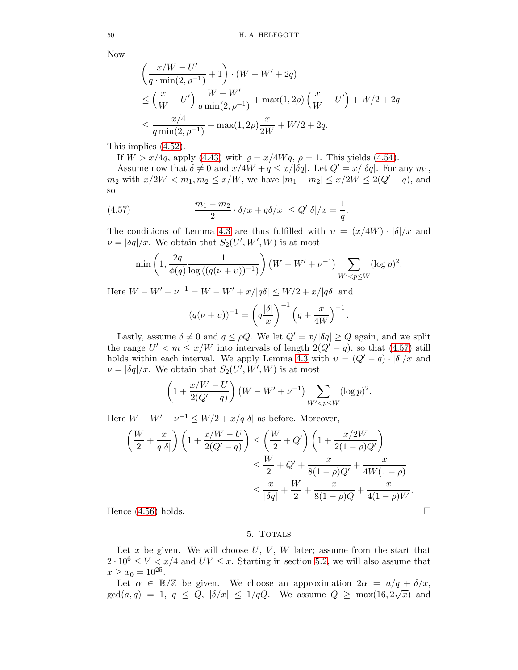Now

$$
\left(\frac{x/W - U'}{q \cdot \min(2, \rho^{-1})} + 1\right) \cdot (W - W' + 2q)
$$
\n
$$
\leq \left(\frac{x}{W} - U'\right) \frac{W - W'}{q \min(2, \rho^{-1})} + \max(1, 2\rho) \left(\frac{x}{W} - U'\right) + W/2 + 2q
$$
\n
$$
\leq \frac{x/4}{q \min(2, \rho^{-1})} + \max(1, 2\rho) \frac{x}{2W} + W/2 + 2q.
$$

This implies [\(4.52\)](#page-48-2).

If  $W > x/4q$ , apply [\(4.43\)](#page-45-0) with  $\rho = x/4Wq$ ,  $\rho = 1$ . This yields [\(4.54\)](#page-48-0).

Assume now that  $\delta \neq 0$  and  $x/4W + q \leq x/\delta q$ . Let  $Q' = x/\delta q$ . For any  $m_1$ ,  $m_2$  with  $x/2W < m_1, m_2 \le x/W$ , we have  $|m_1 - m_2| \le x/2W \le 2(Q' - q)$ , and so

(4.57) 
$$
\left| \frac{m_1 - m_2}{2} \cdot \delta/x + q \delta/x \right| \leq Q' |\delta|/x = \frac{1}{q}.
$$

The conditions of Lemma [4.3](#page-43-0) are thus fulfilled with  $v = (x/4W) \cdot |\delta|/x$  and  $\nu = |\delta q|/x$ . We obtain that  $S_2(U', W', W)$  is at most

<span id="page-49-0"></span>
$$
\min\left(1, \frac{2q}{\phi(q)}\frac{1}{\log((q(\nu+\nu))^{-1})}\right)(W - W' + \nu^{-1})\sum_{W' < p \le W} (\log p)^2.
$$

Here  $W - W' + \nu^{-1} = W - W' + x/|q\delta| \leq W/2 + x/|q\delta|$  and

$$
(q(\nu+\nu))^{-1} = \left(q\frac{|\delta|}{x}\right)^{-1} \left(q+\frac{x}{4W}\right)^{-1}.
$$

Lastly, assume  $\delta \neq 0$  and  $q \leq \rho Q$ . We let  $Q' = x/|\delta q| \geq Q$  again, and we split the range  $U' < m \le x/W$  into intervals of length  $2(Q'-q)$ , so that [\(4.57\)](#page-49-0) still holds within each interval. We apply Lemma [4.3](#page-43-0) with  $v = (Q' - q) \cdot |\delta|/x$  and  $\nu = |\delta q|/x$ . We obtain that  $S_2(U', W', W)$  is at most

$$
\left(1 + \frac{x/W - U}{2(Q' - q)}\right)(W - W' + \nu^{-1}) \sum_{W' < p \le W} (\log p)^2.
$$

Here  $W - W' + \nu^{-1} \leq W/2 + x/q|\delta|$  as before. Moreover,

$$
\left(\frac{W}{2} + \frac{x}{q|\delta|}\right)\left(1 + \frac{x/W - U}{2(Q' - q)}\right) \le \left(\frac{W}{2} + Q'\right)\left(1 + \frac{x/2W}{2(1 - \rho)Q'}\right)
$$

$$
\le \frac{W}{2} + Q' + \frac{x}{8(1 - \rho)Q'} + \frac{x}{4W(1 - \rho)}
$$

$$
\le \frac{x}{|\delta q|} + \frac{W}{2} + \frac{x}{8(1 - \rho)Q} + \frac{x}{4(1 - \rho)W}.
$$
Hence (4.56) holds.

<span id="page-49-1"></span>

#### 5. TOTALS

Let x be given. We will choose  $U, V, W$  later; assume from the start that  $2 \cdot 10^6 \le V \le x/4$  and  $UV \le x$ . Starting in section [5.2,](#page-61-0) we will also assume that  $x \geq x_0 = 10^{25}$ .

Let  $\alpha \in \mathbb{R}/\mathbb{Z}$  be given. We choose an approximation  $2\alpha = a/q + \delta/x$ ,  $gcd(a,q) = 1, q \leq Q, |\delta/x| \leq 1/qQ.$  We assume  $Q \geq \max(16, 2\sqrt{x})$  and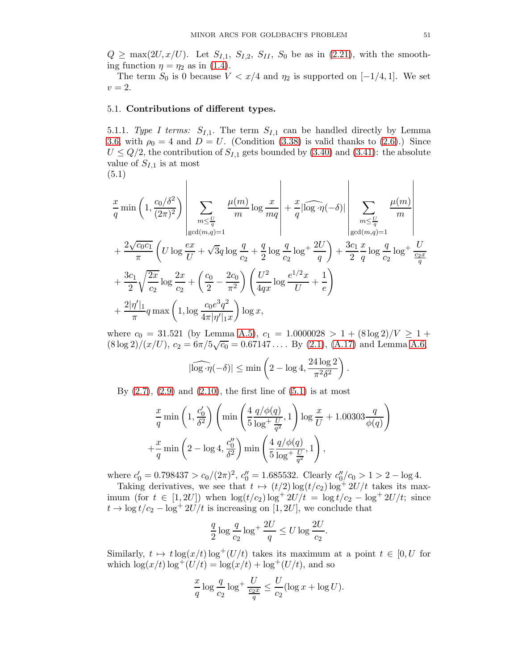$Q \ge \max(2U, x/U)$ . Let  $S_{I,1}$ ,  $S_{I,2}$ ,  $S_{II}$ ,  $S_0$  be as in [\(2.21\)](#page-8-0), with the smoothing function  $\eta = \eta_2$  as in [\(1.4\)](#page-2-0).

The term  $S_0$  is 0 because  $V < x/4$  and  $\eta_2$  is supported on  $[-1/4, 1]$ . We set  $v=2.$ 

### <span id="page-50-2"></span><span id="page-50-1"></span>5.1. Contributions of different types.

 $\overline{1}$ 

5.1.1. Type I terms:  $S_{I,1}$ . The term  $S_{I,1}$  can be handled directly by Lemma [3.6,](#page-21-0) with  $\rho_0 = 4$  and  $D = U$ . (Condition [\(3.38\)](#page-21-1) is valid thanks to [\(2.6\)](#page-6-2).) Since  $U \leq Q/2$ , the contribution of  $S_{I,1}$  gets bounded by [\(3.40\)](#page-21-2) and [\(3.41\)](#page-21-3): the absolute value of  $S_{I,1}$  is at most

 $\mathbf{r}$ 

$$
(5.1)
$$

<span id="page-50-0"></span>
$$
\frac{x}{q} \min\left(1, \frac{c_0/\delta^2}{(2\pi)^2}\right) \left| \sum_{\substack{m \leq \frac{U}{q} \\ \gcd(m,q)=1}} \frac{\mu(m)}{m} \log \frac{x}{mq} \right| + \frac{x}{q} |\widehat{\log \cdot \eta}(-\delta)| \left| \sum_{\substack{m \leq \frac{U}{q} \\ \gcd(m,q)=1}} \frac{\mu(m)}{m} \right|
$$
  
+  $\frac{2\sqrt{c_0 c_1}}{\pi} \left( U \log \frac{ex}{U} + \sqrt{3}q \log \frac{q}{c_2} + \frac{q}{2} \log \frac{q}{c_2} \log^4 \frac{2U}{q} \right) + \frac{3c_1}{2} \frac{x}{q} \log \frac{q}{c_2} \log^4 \frac{U}{\frac{c_2 x}{q}} + \frac{3c_1}{2} \sqrt{\frac{2x}{c_2}} \log \frac{2x}{c_2} + \left(\frac{c_0}{2} - \frac{2c_0}{\pi^2}\right) \left(\frac{U^2}{4qx} \log \frac{e^{1/2}x}{U} + \frac{1}{e}\right) + \frac{2|\eta'|_1}{\pi} q \max\left(1, \log \frac{c_0 e^3 q^2}{4\pi |\eta'|_{1} x}\right) \log x,$ 

where  $c_0 = 31.521$  (by Lemma [A.5\)](#page-75-0),  $c_1 = 1.0000028 > 1 + (8 \log 2)/V \ge 1 +$  $(8 \log 2)/(x/U), c_2 = 6\pi/5\sqrt{c_0} = 0.67147...$  By [\(2.1\)](#page-4-0), [\(A.17\)](#page-76-1) and Lemma [A.6,](#page-76-2)

$$
|\widehat{\log \cdot \eta}(-\delta)| \le \min \left(2 - \log 4, \frac{24 \log 2}{\pi^2 \delta^2}\right).
$$

By  $(2.7)$ ,  $(2.9)$  and  $(2.10)$ , the first line of  $(5.1)$  is at most

$$
\frac{x}{q}\min\left(1,\frac{c'_0}{\delta^2}\right)\left(\min\left(\frac{4}{5}\frac{q/\phi(q)}{\log^+\frac{U}{q^2}},1\right)\log\frac{x}{U}+1.00303\frac{q}{\phi(q)}\right) +\frac{x}{q}\min\left(2-\log 4,\frac{c''_0}{\delta^2}\right)\min\left(\frac{4}{5}\frac{q/\phi(q)}{\log^+\frac{U}{q^2}},1\right),\right)
$$

where  $c'_0 = 0.798437 > c_0/(2\pi)^2$ ,  $c''_0 = 1.685532$ . Clearly  $c''_0/c_0 > 1 > 2 - \log 4$ .

Taking derivatives, we see that  $t \mapsto (t/2) \log(t/c_2) \log^+ 2U/t$  takes its maximum (for  $t \in [1, 2U]$ ) when  $\log(t/c_2) \log^+ 2U/t = \log t/c_2 - \log^+ 2U/t$ ; since  $t \to \log t/c_2 - \log^+ 2U/t$  is increasing on [1, 2U], we conclude that

$$
\frac{q}{2}\log\frac{q}{c_2}\log^+\frac{2U}{q}\leq U\log\frac{2U}{c_2}.
$$

Similarly,  $t \mapsto t \log(x/t) \log^+(U/t)$  takes its maximum at a point  $t \in [0, U$  for which  $\log(x/t) \log^+(U/t) = \log(x/t) + \log^+(U/t)$ , and so

$$
\frac{x}{q} \log \frac{q}{c_2} \log^+ \frac{U}{\frac{c_2 x}{q}} \le \frac{U}{c_2} (\log x + \log U).
$$

 $\mathbf{I}$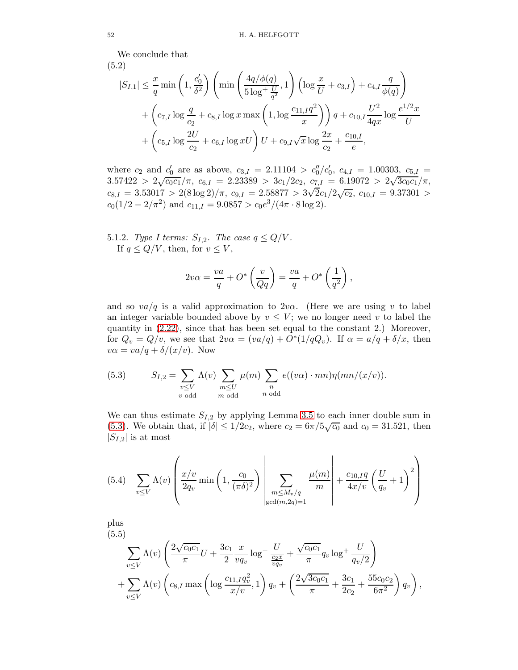We conclude that

$$
(5.2)
$$

<span id="page-51-3"></span>
$$
|S_{I,1}| \leq \frac{x}{q} \min\left(1, \frac{c'_0}{\delta^2}\right) \left(\min\left(\frac{4q/\phi(q)}{5\log^+\frac{U}{q^2}}, 1\right) \left(\log\frac{x}{U} + c_{3,I}\right) + c_{4,I} \frac{q}{\phi(q)}\right) + \left(c_{7,I} \log\frac{q}{c_2} + c_{8,I} \log x \max\left(1, \log\frac{c_{11,I}q^2}{x}\right)\right) q + c_{10,I} \frac{U^2}{4qx} \log\frac{e^{1/2}x}{U} + \left(c_{5,I} \log\frac{2U}{c_2} + c_{6,I} \log xU\right) U + c_{9,I}\sqrt{x} \log\frac{2x}{c_2} + \frac{c_{10,I}}{e},
$$

where  $c_2$  and  $c'_0$  are as above,  $c_{3,I} = 2.11104 > c''_0/c'_0$ ,  $c_{4,I} = 1.00303$ ,  $c_{5,I} =$  $3.57422 > 2\sqrt{c_0c_1}/\pi$ ,  $c_{6,I} = 2.23389 > 3c_1/2c_2$ ,  $c_{7,I} = 6.19072 > 2\sqrt{3c_0c_1}/\pi$ ,  $c_{8,I} = 3.53017 > 2(8 \log 2)/\pi$ ,  $c_{9,I} = 2.58877 > 3\sqrt{2}c_1/2\sqrt{c_2}$ ,  $c_{10,I} = 9.37301 >$  $c_0(1/2 - 2/\pi^2)$  and  $c_{11,I} = 9.0857 > c_0 e^3/(4\pi \cdot 8 \log 2)$ .

5.1.2. Type I terms:  $S_{I,2}$ . The case  $q \leq Q/V$ . If  $q \leq Q/V$ , then, for  $v \leq V$ ,

$$
2v\alpha = \frac{va}{q} + O^* \left( \frac{v}{Qq} \right) = \frac{va}{q} + O^* \left( \frac{1}{q^2} \right),
$$

and so  $va/q$  is a valid approximation to  $2v\alpha$ . (Here we are using v to label an integer variable bounded above by  $v \leq V$ ; we no longer need v to label the quantity in [\(2.22\)](#page-8-1), since that has been set equal to the constant 2.) Moreover, for  $Q_v = Q/v$ , we see that  $2v\alpha = (va/q) + O^*(1/qQ_v)$ . If  $\alpha = a/q + \delta/x$ , then  $v\alpha = va/q + \delta/(x/v)$ . Now

<span id="page-51-0"></span>(5.3) 
$$
S_{I,2} = \sum_{\substack{v \le V \\ v \text{ odd}}} \Lambda(v) \sum_{\substack{m \le U \\ m \text{ odd}}} \mu(m) \sum_{\substack{n \\ n \text{ odd}}} e((v\alpha) \cdot mn)\eta(mn/(x/v)).
$$

We can thus estimate  $S_{I,2}$  by applying Lemma [3.5](#page-18-0) to each inner double sum in [\(5.3\)](#page-51-0). We obtain that, if  $|\delta| \le 1/2c_2$ , where  $c_2 = 6\pi/5\sqrt{c_0}$  and  $c_0 = 31.521$ , then  $|S_{I,2}|$  is at most

<span id="page-51-1"></span>(5.4) 
$$
\sum_{v \leq V} \Lambda(v) \left( \frac{x/v}{2q_v} \min\left(1, \frac{c_0}{(\pi \delta)^2}\right) \left| \sum_{\substack{m \leq M_v/q \\ \gcd(m, 2q) = 1}} \frac{\mu(m)}{m} \right| + \frac{c_{10,I}q}{4x/v} \left(\frac{U}{q_v} + 1\right)^2 \right)
$$

plus (5.5)

<span id="page-51-2"></span>
$$
\sum_{v \leq V} \Lambda(v) \left( \frac{2\sqrt{c_0 c_1}}{\pi} U + \frac{3c_1}{2} \frac{x}{vq_v} \log^+ \frac{U}{\frac{c_2 x}{vq_v}} + \frac{\sqrt{c_0 c_1}}{\pi} q_v \log^+ \frac{U}{q_v/2} \right) + \sum_{v \leq V} \Lambda(v) \left( c_{8,I} \max \left( \log \frac{c_{11,I} q_v^2}{x/v}, 1 \right) q_v + \left( \frac{2\sqrt{3c_0 c_1}}{\pi} + \frac{3c_1}{2c_2} + \frac{55c_0 c_2}{6\pi^2} \right) q_v \right),
$$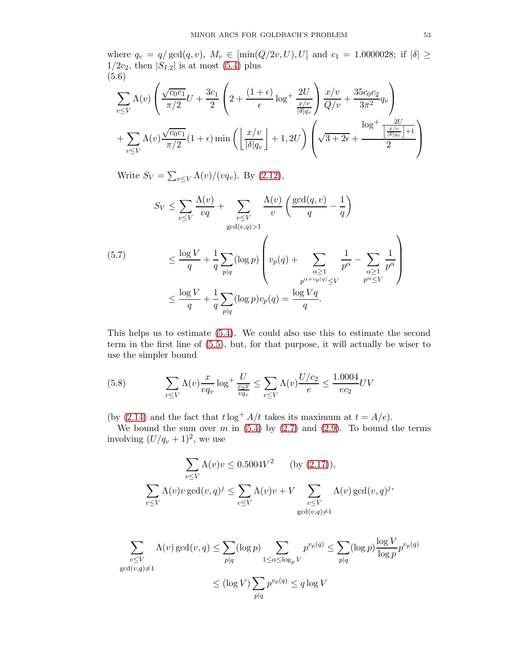where  $q_v = q/\gcd(q, v)$ ,  $M_v \in [\min(Q/2v, U), U]$  and  $c_1 = 1.0000028$ ; if  $|\delta| \ge$  $1/2c_2$ , then  $|S_{I,2}|$  is at most  $(5.4)$  plus (5.6)

<span id="page-52-2"></span>
$$
\sum_{v \le V} \Lambda(v) \left( \frac{\sqrt{c_0 c_1}}{\pi/2} U + \frac{3c_1}{2} \left( 2 + \frac{(1+\epsilon)}{\epsilon} \log^+ \frac{2U}{\frac{x/v}{|\delta|q_v}} \right) \frac{x/v}{Q/v} + \frac{35c_0 c_2}{3\pi^2} q_v \right) + \sum_{v \le V} \Lambda(v) \frac{\sqrt{c_0 c_1}}{\pi/2} (1+\epsilon) \min \left( \left\lfloor \frac{x/v}{|\delta|q_v} \right\rfloor + 1, 2U \right) \left( \sqrt{3+2\epsilon} + \frac{\log^+ \frac{2U}{\lfloor \frac{x/v}{|\delta|q_v} \rfloor + 1}}{2} \right)
$$

Write  $S_V = \sum_{v \leq V} \Lambda(v)/(vq_v)$ . By [\(2.12\)](#page-7-0),

<span id="page-52-0"></span>
$$
S_V \le \sum_{v \le V} \frac{\Lambda(v)}{vq} + \sum_{\substack{v \le V \\ \gcd(v,q) > 1}} \frac{\Lambda(v)}{v} \left( \frac{\gcd(q,v)}{q} - \frac{1}{q} \right)
$$
\n
$$
\le \frac{\log V}{q} + \frac{1}{q} \sum_{p|q} (\log p) \left( v_p(q) + \sum_{\substack{\alpha \ge 1 \\ p^{\alpha + v_p(q)} \le V}} \frac{1}{p^{\alpha}} - \sum_{\substack{\alpha \ge 1 \\ p^{\alpha} \le V}} \frac{1}{p^{\alpha}} \right)
$$
\n
$$
\le \frac{\log V}{q} + \frac{1}{q} \sum_{p|q} (\log p) v_p(q) = \frac{\log Vq}{q}.
$$

This helps us to estimate [\(5.4\)](#page-51-1). We could also use this to estimate the second term in the first line of [\(5.5\)](#page-51-2), but, for that purpose, it will actually be wiser to use the simpler bound

<span id="page-52-1"></span>(5.8) 
$$
\sum_{v \le V} \Lambda(v) \frac{x}{vq_v} \log^+ \frac{U}{\frac{c_2 x}{vq_v}} \le \sum_{v \le V} \Lambda(v) \frac{U/c_2}{e} \le \frac{1.0004}{ec_2} UV
$$

(by [\(2.14\)](#page-7-1) and the fact that  $t \log^+ A/t$  takes its maximum at  $t = A/e$ ).

We bound the sum over m in  $(5.4)$  by  $(2.7)$  and  $(2.9)$ . To bound the terms involving  $(U/q_v + 1)^2$ , we use

$$
\sum_{v \le V} \Lambda(v)v \le 0.5004V^2 \qquad \text{(by (2.17))},
$$
\n
$$
\sum_{v \le V} \Lambda(v)v \gcd(v, q)^j \le \sum_{v \le V} \Lambda(v)v + V \sum_{\substack{v \le V \\ \gcd(v, q) \ne 1}} \Lambda(v) \gcd(v, q)^j
$$

$$
\sum_{\substack{v \le V \\ \gcd(v,q) \ne 1}} \Lambda(v) \gcd(v,q) \le \sum_{p|q} (\log p) \sum_{1 \le \alpha \le \log_p V} p^{v_p(q)} \le \sum_{p|q} (\log p) \frac{\log V}{\log p} p^{v_p(q)}
$$
  

$$
\le (\log V) \sum_{p|q} p^{v_p(q)} \le q \log V
$$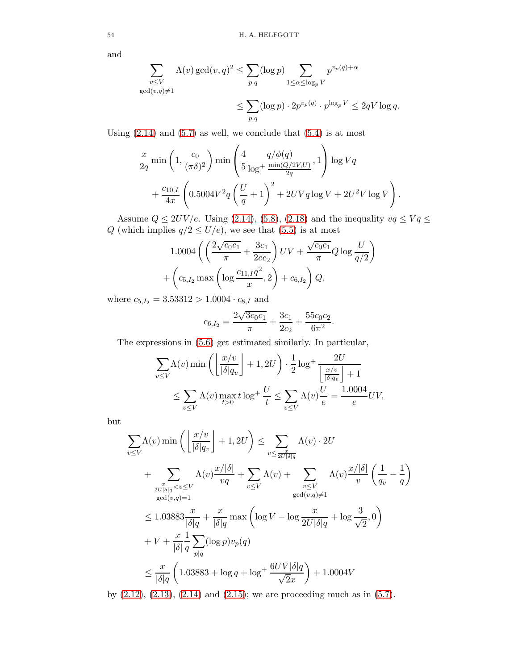and

$$
\sum_{\substack{v \le V \\ \gcd(v,q) \ne 1}} \Lambda(v) \gcd(v,q)^2 \le \sum_{p|q} (\log p) \sum_{1 \le \alpha \le \log_p V} p^{v_p(q) + \alpha}
$$
  

$$
\le \sum_{p|q} (\log p) \cdot 2p^{v_p(q)} \cdot p^{\log_p V} \le 2qV \log q.
$$

Using  $(2.14)$  and  $(5.7)$  as well, we conclude that  $(5.4)$  is at most

$$
\label{eq:11} \begin{split} &\frac{x}{2q}\min\left(1,\frac{c_0}{(\pi\delta)^2}\right)\min\left(\frac{4}{5}\frac{q/\phi(q)}{\log^+\frac{\min(Q/2V,U)}{2q}},1\right)\log Vq\\ &+\frac{c_{10,I}}{4x}\left(0.5004V^2q\left(\frac{U}{q}+1\right)^2+2UVq\log V+2U^2V\log V\right). \end{split}
$$

Assume  $Q \leq 2UV/e$ . Using [\(2.14\)](#page-7-1), [\(5.8\)](#page-52-1), [\(2.18\)](#page-8-2) and the inequality  $vq \leq Vq \leq$ Q (which implies  $q/2 \le U/e$ ), we see that [\(5.5\)](#page-51-2) is at most

$$
1.0004\left(\left(\frac{2\sqrt{c_0c_1}}{\pi} + \frac{3c_1}{2ec_2}\right)UV + \frac{\sqrt{c_0c_1}}{\pi}Q\log\frac{U}{q/2}\right) + \left(c_{5,I_2}\max\left(\log\frac{c_{11,I}q^2}{x}, 2\right) + c_{6,I_2}\right)Q,
$$

where  $c_{5,I_2} = 3.53312 > 1.0004 \cdot c_{8,I}$  and

$$
c_{6,I_2} = \frac{2\sqrt{3c_0c_1}}{\pi} + \frac{3c_1}{2c_2} + \frac{55c_0c_2}{6\pi^2}.
$$

The expressions in [\(5.6\)](#page-52-2) get estimated similarly. In particular,

$$
\sum_{v \le V} \Lambda(v) \min \left( \left\lfloor \frac{x/v}{|\delta|q_v} \right\rfloor + 1, 2U \right) \cdot \frac{1}{2} \log^+ \frac{2U}{\left\lfloor \frac{x/v}{|\delta|q_v} \right\rfloor + 1}
$$
  

$$
\le \sum_{v \le V} \Lambda(v) \max_{t > 0} t \log^+ \frac{U}{t} \le \sum_{v \le V} \Lambda(v) \frac{U}{e} = \frac{1.0004}{e} UV,
$$

but

$$
\sum_{v \le V} \Lambda(v) \min \left( \left\lfloor \frac{x/v}{|\delta|q_v} \right\rfloor + 1, 2U \right) \le \sum_{v \le \frac{x}{2U|\delta|q}} \Lambda(v) \cdot 2U
$$
\n
$$
+ \sum_{\frac{x}{2U|\delta|q} < v \le V} \Lambda(v) \frac{x/|\delta|}{vq} + \sum_{v \le V} \Lambda(v) + \sum_{v \le V} \Lambda(v) \frac{x/|\delta|}{v} \left( \frac{1}{q_v} - \frac{1}{q} \right)
$$
\n
$$
\le 1.03883 \frac{x}{|\delta|q} + \frac{x}{|\delta|q} \max \left( \log V - \log \frac{x}{2U|\delta|q} + \log \frac{3}{\sqrt{2}}, 0 \right)
$$
\n
$$
+ V + \frac{x}{|\delta|q} \sum_{p|q} (\log p)v_p(q)
$$
\n
$$
\le \frac{x}{|\delta|q} \left( 1.03883 + \log q + \log^+ \frac{6UV|\delta|q}{\sqrt{2}x} \right) + 1.0004V
$$

by  $(2.12)$ ,  $(2.13)$ ,  $(2.14)$  and  $(2.15)$ ; we are proceeding much as in  $(5.7)$ .

$$
^{54}
$$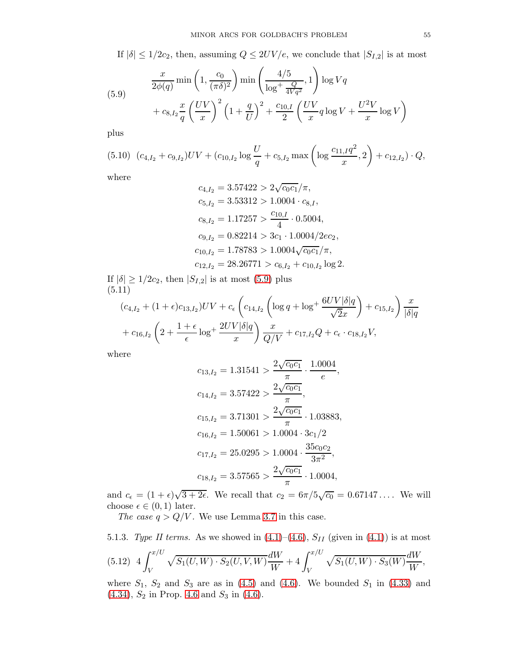If  $|\delta| \leq 1/2c_2$ , then, assuming  $Q \leq 2UV/e$ , we conclude that  $|S_{I,2}|$  is at most

<span id="page-54-0"></span>(5.9) 
$$
\frac{x}{2\phi(q)} \min\left(1, \frac{c_0}{(\pi \delta)^2}\right) \min\left(\frac{4/5}{\log^+ \frac{Q}{4Vq^2}}, 1\right) \log Vq + c_{8, I_2} \frac{x}{q} \left(\frac{UV}{x}\right)^2 \left(1 + \frac{q}{U}\right)^2 + \frac{c_{10,I}}{2} \left(\frac{UV}{x} q \log V + \frac{U^2 V}{x} \log V\right)
$$

plus

<span id="page-54-2"></span>
$$
(5.10) (c_{4,I_2} + c_{9,I_2})UV + (c_{10,I_2} \log \frac{U}{q} + c_{5,I_2} \max \left( \log \frac{c_{11,I}q^2}{x}, 2 \right) + c_{12,I_2}) \cdot Q,
$$

where

$$
c_{4,I_2} = 3.57422 > 2\sqrt{c_0 c_1}/\pi,
$$
  
\n
$$
c_{5,I_2} = 3.53312 > 1.0004 \cdot c_{8,I},
$$
  
\n
$$
c_{8,I_2} = 1.17257 > \frac{c_{10,I}}{4} \cdot 0.5004,
$$
  
\n
$$
c_{9,I_2} = 0.82214 > 3c_1 \cdot 1.0004/2ec_2,
$$
  
\n
$$
c_{10,I_2} = 1.78783 > 1.0004\sqrt{c_0 c_1}/\pi,
$$
  
\n
$$
c_{12,I_2} = 28.26771 > c_{6,I_2} + c_{10,I_2} \log 2.
$$

If  $|\delta| \geq 1/2c_2$ , then  $|S_{I,2}|$  is at most [\(5.9\)](#page-54-0) plus (5.11)  $\sim$  $\overline{ }$ 

<span id="page-54-3"></span>
$$
(c_{4,I_2} + (1+\epsilon)c_{13,I_2})UV + c_{\epsilon} \left(c_{14,I_2} \left(\log q + \log^+ \frac{6UV|\delta|q}{\sqrt{2}x}\right) + c_{15,I_2}\right) \frac{x}{|\delta|q} + c_{16,I_2} \left(2 + \frac{1+\epsilon}{\epsilon} \log^+ \frac{2UV|\delta|q}{x}\right) \frac{x}{Q/V} + c_{17,I_2}Q + c_{\epsilon} \cdot c_{18,I_2}V,
$$

where

$$
c_{13,I_2} = 1.31541 > \frac{2\sqrt{c_0c_1}}{\pi} \cdot \frac{1.0004}{e},
$$
  
\n
$$
c_{14,I_2} = 3.57422 > \frac{2\sqrt{c_0c_1}}{\pi},
$$
  
\n
$$
c_{15,I_2} = 3.71301 > \frac{2\sqrt{c_0c_1}}{\pi} \cdot 1.03883,
$$
  
\n
$$
c_{16,I_2} = 1.50061 > 1.0004 \cdot 3c_1/2
$$
  
\n
$$
c_{17,I_2} = 25.0295 > 1.0004 \cdot \frac{35c_0c_2}{3\pi^2},
$$
  
\n
$$
c_{18,I_2} = 3.57565 > \frac{2\sqrt{c_0c_1}}{\pi} \cdot 1.0004,
$$

and  $c_{\epsilon} = (1 + \epsilon)\sqrt{3 + 2\epsilon}$ . We recall that  $c_2 = 6\pi/5\sqrt{c_0} = 0.67147...$  We will choose  $\epsilon \in (0,1)$  later.

The case  $q > Q/V$ . We use Lemma [3.7](#page-25-0) in this case.

<span id="page-54-1"></span>5.1.3. *Type II terms.* As we showed in (4.1)–(4.6), 
$$
S_{II}
$$
 (given in (4.1)) is at most  
(5.12)  $4 \int_{V}^{x/U} \sqrt{S_1(U,W) \cdot S_2(U,V,W)} \frac{dW}{W} + 4 \int_{V}^{x/U} \sqrt{S_1(U,W) \cdot S_3(W)} \frac{dW}{W},$ 

where  $S_1$ ,  $S_2$  and  $S_3$  are as in [\(4.5\)](#page-31-1) and [\(4.6\)](#page-31-0). We bounded  $S_1$  in [\(4.33\)](#page-42-2) and [\(4.34\)](#page-42-3),  $S_2$  in Prop. [4.6](#page-48-4) and  $S_3$  in [\(4.6\)](#page-31-0).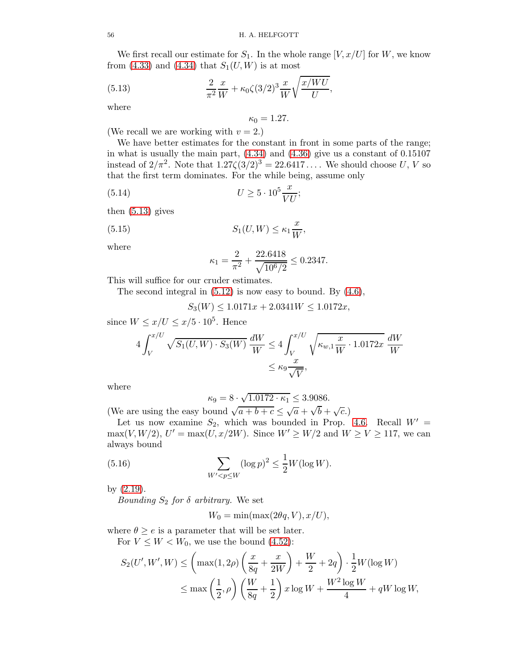We first recall our estimate for  $S_1$ . In the whole range  $[V, x/U]$  for W, we know from  $(4.33)$  and  $(4.34)$  that  $S_1(U, W)$  is at most

(5.13) 
$$
\frac{2}{\pi^2} \frac{x}{W} + \kappa_0 \zeta (3/2)^3 \frac{x}{W} \sqrt{\frac{x/WU}{U}},
$$

where

<span id="page-55-0"></span>
$$
\kappa_0=1.27.
$$

(We recall we are working with  $v = 2$ .)

We have better estimates for the constant in front in some parts of the range; in what is usually the main part,  $(4.34)$  and  $(4.36)$  give us a constant of  $0.15107$ instead of  $2/\pi^2$ . Note that  $1.27\zeta(3/2)^3 = 22.6417...$  We should choose U, V so that the first term dominates. For the while being, assume only

$$
(5.14) \t\t U \ge 5 \cdot 10^5 \frac{x}{VU};
$$

then [\(5.13\)](#page-55-0) gives

(5.15) 
$$
S_1(U, W) \leq \kappa_1 \frac{x}{W},
$$

where

<span id="page-55-2"></span><span id="page-55-1"></span>
$$
\kappa_1 = \frac{2}{\pi^2} + \frac{22.6418}{\sqrt{10^6/2}} \le 0.2347.
$$

This will suffice for our cruder estimates.

The second integral in [\(5.12\)](#page-54-1) is now easy to bound. By [\(4.6\)](#page-31-0),

 $S_3(W) \le 1.0171x + 2.0341W \le 1.0172x$ ,

since  $W \le x/U \le x/5 \cdot 10^5$ . Hence

$$
4\int_{V}^{x/U} \sqrt{S_1(U,W) \cdot S_3(W)} \frac{dW}{W} \le 4\int_{V}^{x/U} \sqrt{\kappa_{w,1} \frac{x}{W} \cdot 1.0172x} \frac{dW}{W}
$$

$$
\le \kappa_9 \frac{x}{\sqrt{V}},
$$

where

$$
\kappa_9 = 8 \cdot \sqrt{1.0172 \cdot \kappa_1} \le 3.9086.
$$

(We are using the easy bound  $\sqrt{a+b+c} \leq \sqrt{a} + \sqrt{b} + \sqrt{c}$ .)

Let us now examine  $S_2$ , which was bounded in Prop. [4.6.](#page-48-4) Recall  $W' =$  $\max(V,W/2), U' = \max(U,x/2W).$  Since  $W' \ge W/2$  and  $W \ge V \ge 117$ , we can always bound

(5.16) 
$$
\sum_{W' < p \le W} (\log p)^2 \le \frac{1}{2} W (\log W).
$$

by [\(2.19\)](#page-8-3).

*Bounding*  $S_2$  *for*  $\delta$  *arbitrary*. We set

<span id="page-55-3"></span>
$$
W_0 = \min(\max(2\theta q, V), x/U),
$$

where  $\theta \geq e$  is a parameter that will be set later. For  $V \leq W < W_0$ , we use the bound [\(4.52\)](#page-48-2):

$$
S_2(U', W', W) \le \left(\max(1, 2\rho)\left(\frac{x}{8q} + \frac{x}{2W}\right) + \frac{W}{2} + 2q\right) \cdot \frac{1}{2}W(\log W)
$$
  

$$
\le \max\left(\frac{1}{2}, \rho\right)\left(\frac{W}{8q} + \frac{1}{2}\right)x\log W + \frac{W^2\log W}{4} + qW\log W,
$$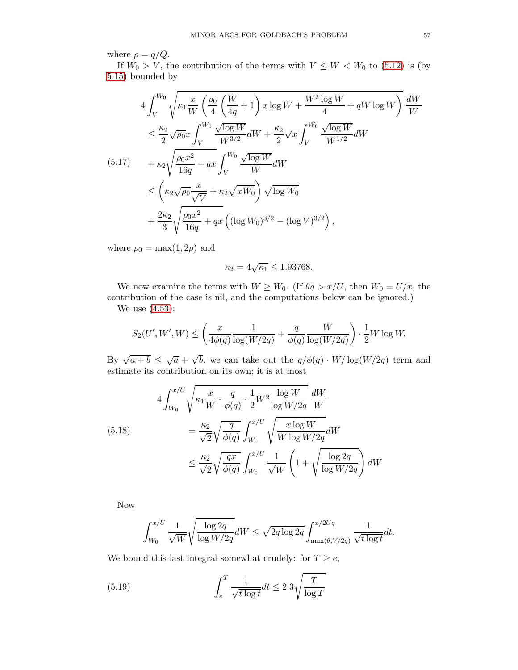where  $\rho = q/Q$ .

If  $W_0 > V$ , the contribution of the terms with  $V \leq W < W_0$  to [\(5.12\)](#page-54-1) is (by [5.15\)](#page-55-1) bounded by

$$
4 \int_{V}^{W_{0}} \sqrt{\kappa_{1} \frac{x}{W} \left(\frac{\rho_{0}}{4} \left(\frac{W}{4q} + 1\right) x \log W + \frac{W^{2} \log W}{4} + qW \log W\right)} \frac{dW}{W}
$$
  
\n
$$
\leq \frac{\kappa_{2}}{2} \sqrt{\rho_{0}} x \int_{V}^{W_{0}} \frac{\sqrt{\log W}}{W^{3/2}} dW + \frac{\kappa_{2}}{2} \sqrt{x} \int_{V}^{W_{0}} \frac{\sqrt{\log W}}{W^{1/2}} dW
$$
  
\n(5.17) 
$$
+ \kappa_{2} \sqrt{\frac{\rho_{0} x^{2}}{16q}} + qx \int_{V}^{W_{0}} \frac{\sqrt{\log W}}{W} dW
$$
  
\n
$$
\leq \left(\kappa_{2} \sqrt{\rho_{0}} \frac{x}{\sqrt{V}} + \kappa_{2} \sqrt{xW_{0}}\right) \sqrt{\log W_{0}}
$$
  
\n
$$
+ \frac{2\kappa_{2}}{3} \sqrt{\frac{\rho_{0} x^{2}}{16q}} + qx \left((\log W_{0})^{3/2} - (\log V)^{3/2}\right),
$$

where  $\rho_0 = \max(1, 2\rho)$  and

$$
\kappa_2 = 4\sqrt{\kappa_1} \le 1.93768.
$$

We now examine the terms with  $W \geq W_0$ . (If  $\theta q > x/U$ , then  $W_0 = U/x$ , then contribution of the case is nil, and the computations below can be ignored.)

We use [\(4.53\)](#page-48-1):

$$
S_2(U',W',W) \leq \left(\frac{x}{4\phi(q)}\frac{1}{\log(W/2q)} + \frac{q}{\phi(q)}\frac{W}{\log(W/2q)}\right) \cdot \frac{1}{2}W\log W.
$$

By  $\sqrt{a+b} \leq \sqrt{a} + \sqrt{b}$ , we can take out the  $q/\phi(q) \cdot W/\log(W/2q)$  term and estimate its contribution on its own; it is at most

<span id="page-56-0"></span>
$$
4\int_{W_0}^{x/U} \sqrt{\kappa_1 \frac{x}{W} \cdot \frac{q}{\phi(q)} \cdot \frac{1}{2} W^2 \frac{\log W}{\log W/2q}} \frac{dW}{W}
$$
  
\n
$$
= \frac{\kappa_2}{\sqrt{2}} \sqrt{\frac{q}{\phi(q)}} \int_{W_0}^{x/U} \sqrt{\frac{x \log W}{W \log W/2q}} dW
$$
  
\n
$$
\leq \frac{\kappa_2}{\sqrt{2}} \sqrt{\frac{qx}{\phi(q)}} \int_{W_0}^{x/U} \frac{1}{\sqrt{W}} \left(1 + \sqrt{\frac{\log 2q}{\log W/2q}}\right) dW
$$

Now

$$
\int_{W_0}^{x/U} \frac{1}{\sqrt{W}} \sqrt{\frac{\log 2q}{\log W/2q}} dW \leq \sqrt{2q \log 2q} \int_{\max(\theta, V/2q)}^{x/2Uq} \frac{1}{\sqrt{t \log t}} dt.
$$

We bound this last integral somewhat crudely: for  $T \geq e$ ,

(5.19) 
$$
\int_{e}^{T} \frac{1}{\sqrt{t \log t}} dt \leq 2.3 \sqrt{\frac{T}{\log T}}
$$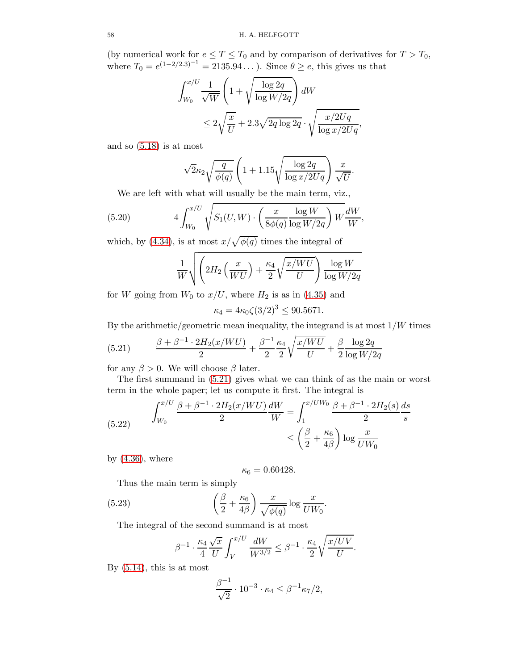(by numerical work for  $e \leq T \leq T_0$  and by comparison of derivatives for  $T > T_0$ , where  $T_0 = e^{(1-2/2.3)^{-1}} = 2135.94...$ ). Since  $\theta \ge e$ , this gives us that

$$
\int_{W_0}^{x/U} \frac{1}{\sqrt{W}} \left( 1 + \sqrt{\frac{\log 2q}{\log W/2q}} \right) dW
$$
  

$$
\leq 2\sqrt{\frac{x}{U}} + 2.3\sqrt{2q \log 2q} \cdot \sqrt{\frac{x/2Uq}{\log x/2Uq}},
$$

and so  $(5.18)$  is at most

$$
\sqrt{2}\kappa_2\sqrt{\frac{q}{\phi(q)}}\left(1+1.15\sqrt{\frac{\log 2q}{\log x/2Uq}}\right)\frac{x}{\sqrt{U}}.
$$

We are left with what will usually be the main term, viz.,

(5.20) 
$$
4 \int_{W_0}^{x/U} \sqrt{S_1(U, W) \cdot \left(\frac{x}{8\phi(q)} \frac{\log W}{\log W/2q}\right) W} \frac{dW}{W},
$$

which, by [\(4.34\)](#page-42-3), is at most  $x/\sqrt{\phi(q)}$  times the integral of

<span id="page-57-1"></span>
$$
\frac{1}{W}\sqrt{\left(2H_2\left(\frac{x}{WU}\right)+\frac{\kappa_4}{2}\sqrt{\frac{x/WU}{U}}\right)\frac{\log W}{\log W/2q}}
$$

for W going from  $W_0$  to  $x/U$ , where  $H_2$  is as in [\(4.35\)](#page-43-3) and

$$
\kappa_4 = 4\kappa_0 \zeta (3/2)^3 \le 90.5671.
$$

By the arithmetic/geometric mean inequality, the integrand is at most  $1/W$  times

<span id="page-57-0"></span>(5.21) 
$$
\frac{\beta + \beta^{-1} \cdot 2H_2(x/WU)}{2} + \frac{\beta^{-1} \kappa_4}{2} \sqrt{\frac{x/WU}{U}} + \frac{\beta}{2} \frac{\log 2q}{\log W/2q}
$$

for any  $\beta > 0$ . We will choose  $\beta$  later.

The first summand in [\(5.21\)](#page-57-0) gives what we can think of as the main or worst term in the whole paper; let us compute it first. The integral is

(5.22) 
$$
\int_{W_0}^{x/U} \frac{\beta + \beta^{-1} \cdot 2H_2(x/WU)}{2} \frac{dW}{W} = \int_1^{x/UW_0} \frac{\beta + \beta^{-1} \cdot 2H_2(s)}{2} \frac{ds}{s} \le \left(\frac{\beta}{2} + \frac{\kappa_6}{4\beta}\right) \log \frac{x}{UW_0}
$$

by  $(4.36)$ , where

$$
\kappa_6=0.60428.
$$

Thus the main term is simply

(5.23) 
$$
\left(\frac{\beta}{2} + \frac{\kappa_6}{4\beta}\right) \frac{x}{\sqrt{\phi(q)}} \log \frac{x}{U W_0}.
$$

The integral of the second summand is at most

$$
\beta^{-1}\cdot \frac{\kappa_4}{4}\frac{\sqrt{x}}{U}\int_V^{x/U}\frac{dW}{W^{3/2}}\leq \beta^{-1}\cdot \frac{\kappa_4}{2}\sqrt{\frac{x/UV}{U}}.
$$

By  $(5.14)$ , this is at most

$$
\frac{\beta^{-1}}{\sqrt{2}} \cdot 10^{-3} \cdot \kappa_4 \le \beta^{-1} \kappa_7/2,
$$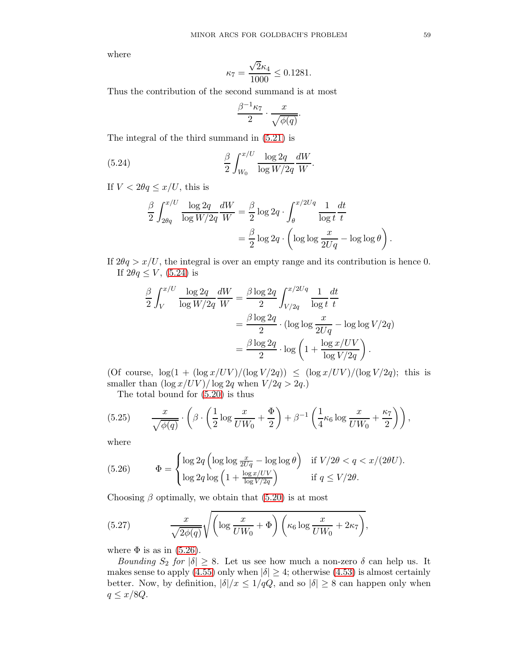where

$$
\kappa_7 = \frac{\sqrt{2}\kappa_4}{1000} \le 0.1281.
$$

Thus the contribution of the second summand is at most

<span id="page-58-0"></span>
$$
\frac{\beta^{-1}\kappa_7}{2}\cdot\frac{x}{\sqrt{\phi(q)}}.
$$

The integral of the third summand in [\(5.21\)](#page-57-0) is

(5.24) 
$$
\frac{\beta}{2} \int_{W_0}^{x/U} \frac{\log 2q}{\log W/2q} \frac{dW}{W}.
$$

If  $V < 2\theta q \leq x/U$ , this is

$$
\frac{\beta}{2} \int_{2\theta q}^{x/U} \frac{\log 2q}{\log W/2q} \frac{dW}{W} = \frac{\beta}{2} \log 2q \cdot \int_{\theta}^{x/2Uq} \frac{1}{\log t} \frac{dt}{t}
$$

$$
= \frac{\beta}{2} \log 2q \cdot \left( \log \log \frac{x}{2Uq} - \log \log \theta \right).
$$

If  $2\theta q > x/U$ , the integral is over an empty range and its contribution is hence 0. If  $2\theta q \leq V$ , [\(5.24\)](#page-58-0) is

$$
\frac{\beta}{2} \int_{V}^{x/U} \frac{\log 2q}{\log W/2q} \frac{dW}{W} = \frac{\beta \log 2q}{2} \int_{V/2q}^{x/2Uq} \frac{1}{\log t} \frac{dt}{t}
$$

$$
= \frac{\beta \log 2q}{2} \cdot (\log \log \frac{x}{2Uq} - \log \log V/2q)
$$

$$
= \frac{\beta \log 2q}{2} \cdot \log \left(1 + \frac{\log x/UV}{\log V/2q}\right).
$$

(Of course,  $\log(1 + (\log x/UV)/(\log V/2q)) \leq (\log x/UV)/(\log V/2q)$ ; this is smaller than  $(\log x/UV)/\log 2q$  when  $V/2q > 2q$ .)

The total bound for [\(5.20\)](#page-57-1) is thus

(5.25) 
$$
\frac{x}{\sqrt{\phi(q)}} \cdot \left( \beta \cdot \left( \frac{1}{2} \log \frac{x}{UW_0} + \frac{\Phi}{2} \right) + \beta^{-1} \left( \frac{1}{4} \kappa_6 \log \frac{x}{UW_0} + \frac{\kappa_7}{2} \right) \right),
$$

where

<span id="page-58-1"></span>(5.26) 
$$
\Phi = \begin{cases} \log 2q \left( \log \log \frac{x}{2Uq} - \log \log \theta \right) & \text{if } V/2\theta < q < x/(2\theta U). \\ \log 2q \log \left( 1 + \frac{\log x/UV}{\log V/2q} \right) & \text{if } q \le V/2\theta. \end{cases}
$$

Choosing  $\beta$  optimally, we obtain that [\(5.20\)](#page-57-1) is at most

<span id="page-58-2"></span>(5.27) 
$$
\frac{x}{\sqrt{2\phi(q)}}\sqrt{\left(\log\frac{x}{UW_0}+\Phi\right)\left(\kappa_6\log\frac{x}{UW_0}+2\kappa_7\right)},
$$

where  $\Phi$  is as in [\(5.26\)](#page-58-1).

Bounding  $S_2$  for  $|\delta| \geq 8$ . Let us see how much a non-zero  $\delta$  can help us. It makes sense to apply [\(4.55\)](#page-48-5) only when  $|\delta| \geq 4$ ; otherwise [\(4.53\)](#page-48-1) is almost certainly better. Now, by definition,  $|\delta|/x \leq 1/qQ$ , and so  $|\delta| \geq 8$  can happen only when  $q \leq x/8Q$ .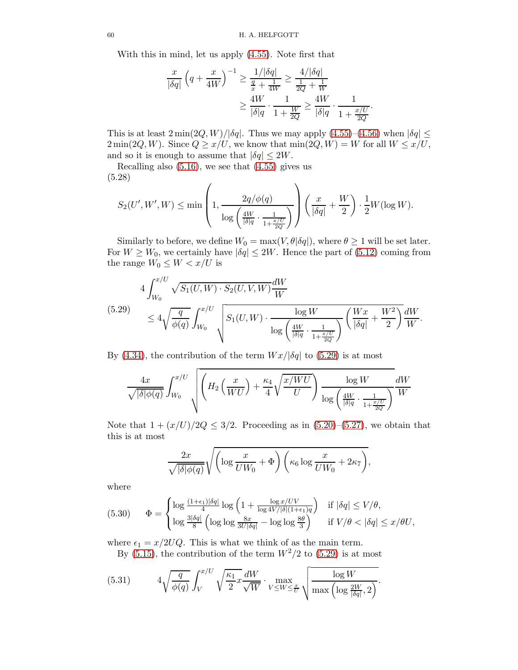With this in mind, let us apply [\(4.55\)](#page-48-5). Note first that

$$
\frac{x}{|\delta q|} \left( q + \frac{x}{4W} \right)^{-1} \ge \frac{1/|\delta q|}{\frac{q}{x} + \frac{1}{4W}} \ge \frac{4/|\delta q|}{\frac{1}{2Q} + \frac{1}{W}}
$$

$$
\ge \frac{4W}{|\delta|q} \cdot \frac{1}{1 + \frac{W}{2Q}} \ge \frac{4W}{|\delta|q} \cdot \frac{1}{1 + \frac{x/U}{2Q}}.
$$

This is at least  $2 \min(2Q, W)/|\delta q|$ . Thus we may apply  $(4.55)-(4.56)$  $(4.55)-(4.56)$  when  $|\delta q| \le$  $2 \min(2Q, W)$ . Since  $Q \ge x/U$ , we know that  $\min(2Q, W) = W$  for all  $W \le x/U$ , and so it is enough to assume that  $|\delta q| \leq 2W$ .

Recalling also  $(5.16)$ , we see that  $(4.55)$  gives us (5.28)

$$
S_2(U',W',W)\leq \min\left(1,\frac{2q/\phi(q)}{\log\left(\frac{4W}{|\delta|q}\cdot\frac{1}{1+\frac{x/U}{2Q}}\right)}\right)\left(\frac{x}{|\delta q|}+\frac{W}{2}\right)\cdot\frac{1}{2}W(\log W).
$$

Similarly to before, we define  $W_0 = \max(V, \theta | \delta q|)$ , where  $\theta \geq 1$  will be set later. For  $W \geq W_0$ , we certainly have  $|\delta q| \leq 2W$ . Hence the part of [\(5.12\)](#page-54-1) coming from the range  $W_0 \leq W < x/U$  is

<span id="page-59-0"></span>
$$
\begin{split} 4\int_{W_0}^{x/U} \sqrt{S_1(U, W) \cdot S_2(U, V, W)} \frac{dW}{W} \\ &\leq 4\sqrt{\frac{q}{\phi(q)}} \int_{W_0}^{x/U} \sqrt{S_1(U, W) \cdot \frac{\log W}{\log\left(\frac{4W}{|\delta|q} \cdot \frac{1}{1 + \frac{x/U}{2Q}}\right)}} \left(\frac{Wx}{|\delta q|} + \frac{W^2}{2}\right) \frac{dW}{W} .\end{split}
$$

By [\(4.34\)](#page-42-3), the contribution of the term  $Wx/|\delta q|$  to [\(5.29\)](#page-59-0) is at most

$$
\frac{4x}{\sqrt{|\delta|\phi(q)}} \int_{W_0}^{x/U} \sqrt{\left( H_2\left(\frac{x}{WU}\right) + \frac{\kappa_4}{4} \sqrt{\frac{x/WU}{U}} \right) \frac{\log W}{\log \left( \frac{4W}{|\delta|q} \cdot \frac{1}{1 + \frac{x/U}{2Q}} \right)}} \frac{dW}{W}
$$

Note that  $1 + \frac{x}{U} \cdot 2Q \leq \frac{3}{2}$ . Proceeding as in  $(5.20)$ – $(5.27)$ , we obtain that this is at most

$$
\frac{2x}{\sqrt{|\delta|\phi(q)}}\sqrt{\left(\log\frac{x}{UW_0}+\Phi\right)\left(\kappa_6\log\frac{x}{UW_0}+2\kappa_7\right)},
$$

where

(5.30) 
$$
\Phi = \begin{cases} \log \frac{(1+\epsilon_1)|\delta q|}{4} \log \left(1 + \frac{\log x / UV}{\log 4V/|\delta|(1+\epsilon_1)q}\right) & \text{if } |\delta q| \le V/\theta, \\ \log \frac{3|\delta q|}{8} \left(\log \log \frac{8x}{3U|\delta q|} - \log \log \frac{8\theta}{3}\right) & \text{if } V/\theta < |\delta q| \le x/\theta U, \end{cases}
$$

where  $\epsilon_1 = x/2UQ$ . This is what we think of as the main term.

By [\(5.15\)](#page-55-1), the contribution of the term  $W^2/2$  to [\(5.29\)](#page-59-0) is at most

<span id="page-59-1"></span>(5.31) 
$$
4\sqrt{\frac{q}{\phi(q)}} \int_{V}^{x/U} \sqrt{\frac{\kappa_1}{2} x} \frac{dW}{\sqrt{W}} \cdot \max_{V \leq W \leq \frac{x}{U}} \sqrt{\frac{\log W}{\max(\log \frac{2W}{|\delta q|}, 2)}}.
$$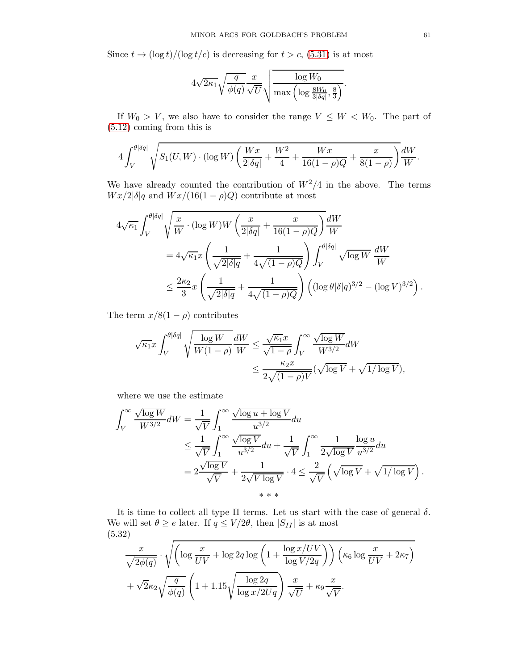Since  $t \to (\log t)/(\log t/c)$  is decreasing for  $t > c$ , [\(5.31\)](#page-59-1) is at most

$$
4\sqrt{2\kappa_1}\sqrt{\frac{q}{\phi(q)}}\frac{x}{\sqrt{U}}\sqrt{\frac{\log W_0}{\max\left(\log \frac{8W_0}{3|\delta q|},\frac{8}{3}\right)}}.
$$

If  $W_0 > V$ , we also have to consider the range  $V \leq W < W_0$ . The part of [\(5.12\)](#page-54-1) coming from this is

$$
4 \int_V^{\theta \vert \delta q \vert} \sqrt{S_1(U,W) \cdot (\log W) \left( \frac{Wx}{2 \vert \delta q \vert} + \frac{W^2}{4} + \frac{Wx}{16(1-\rho)Q} + \frac{x}{8(1-\rho)} \right)} \frac{dW}{W}.
$$

We have already counted the contribution of  $W^2/4$  in the above. The terms  $Wx/2|\delta|q$  and  $Wx/(16(1-\rho)Q)$  contribute at most

$$
4\sqrt{\kappa_1} \int_V^{\theta|\delta q|} \sqrt{\frac{x}{W} \cdot (\log W)W \left(\frac{x}{2|\delta q|} + \frac{x}{16(1-\rho)Q}\right)} \frac{dW}{W}
$$
  
=  $4\sqrt{\kappa_1} x \left(\frac{1}{\sqrt{2|\delta|q}} + \frac{1}{4\sqrt{(1-\rho)Q}}\right) \int_V^{\theta|\delta q|} \sqrt{\log W} \frac{dW}{W}$   
 $\leq \frac{2\kappa_2}{3} x \left(\frac{1}{\sqrt{2|\delta|q}} + \frac{1}{4\sqrt{(1-\rho)Q}}\right) \left((\log \theta|\delta|q)^{3/2} - (\log V)^{3/2}\right).$ 

The term  $x/8(1-\rho)$  contributes

$$
\begin{aligned} \sqrt{\kappa_1}x\int_V^{\theta|\delta q|}\sqrt{\frac{\log W}{W(1-\rho)}}\frac{dW}{W} &\leq \frac{\sqrt{\kappa_1}x}{\sqrt{1-\rho}}\int_V^\infty \frac{\sqrt{\log W}}{W^{3/2}}dW \\ &\leq \frac{\kappa_2 x}{2\sqrt{(1-\rho)V}}(\sqrt{\log V}+\sqrt{1/\log V}), \end{aligned}
$$

where we use the estimate

$$
\int_{V}^{\infty} \frac{\sqrt{\log W}}{W^{3/2}} dW = \frac{1}{\sqrt{V}} \int_{1}^{\infty} \frac{\sqrt{\log u + \log V}}{u^{3/2}} du
$$
  
\n
$$
\leq \frac{1}{\sqrt{V}} \int_{1}^{\infty} \frac{\sqrt{\log V}}{u^{3/2}} du + \frac{1}{\sqrt{V}} \int_{1}^{\infty} \frac{1}{2\sqrt{\log V}} \frac{\log u}{u^{3/2}} du
$$
  
\n
$$
= 2 \frac{\sqrt{\log V}}{\sqrt{V}} + \frac{1}{2\sqrt{V \log V}} \cdot 4 \leq \frac{2}{\sqrt{V}} \left( \sqrt{\log V} + \sqrt{1/\log V} \right).
$$
  
\n
$$
***
$$

It is time to collect all type II terms. Let us start with the case of general  $\delta$ . We will set  $\theta \ge e$  later. If  $q \le V/2\theta$ , then  $|S_{II}|$  is at most (5.32)

<span id="page-60-0"></span>
$$
\frac{x}{\sqrt{2\phi(q)}} \cdot \sqrt{\left(\log \frac{x}{UV} + \log 2q \log \left(1 + \frac{\log x/UV}{\log V/2q}\right)\right) \left(\kappa_6 \log \frac{x}{UV} + 2\kappa_7\right)} + \sqrt{2}\kappa_2 \sqrt{\frac{q}{\phi(q)}} \left(1 + 1.15\sqrt{\frac{\log 2q}{\log x/2Uq}}\right) \frac{x}{\sqrt{U}} + \kappa_9 \frac{x}{\sqrt{V}}.
$$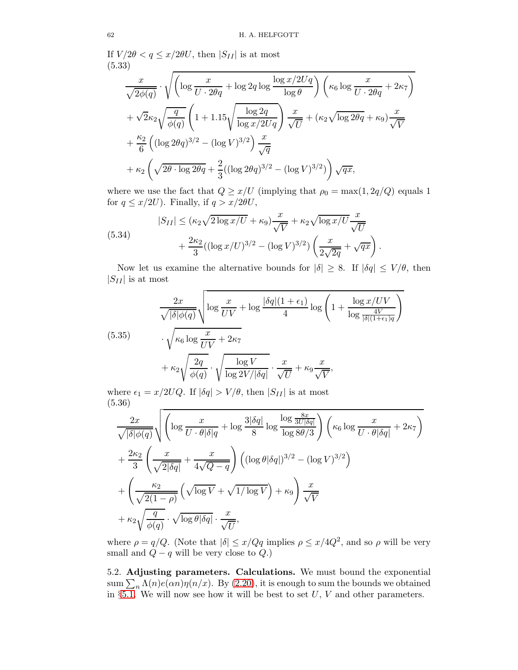If  $V/2\theta < q \leq x/2\theta U$ , then  $|S_{II}|$  is at most (5.33)

<span id="page-61-2"></span>
$$
\frac{x}{\sqrt{2\phi(q)}} \cdot \sqrt{\left(\log \frac{x}{U \cdot 2\theta q} + \log 2q \log \frac{\log x/2Uq}{\log \theta}\right) \left(\kappa_6 \log \frac{x}{U \cdot 2\theta q} + 2\kappa_7\right)}
$$
  
+ 
$$
\sqrt{2}\kappa_2 \sqrt{\frac{q}{\phi(q)}} \left(1 + 1.15\sqrt{\frac{\log 2q}{\log x/2Uq}}\right) \frac{x}{\sqrt{U}} + (\kappa_2 \sqrt{\log 2\theta q} + \kappa_9) \frac{x}{\sqrt{V}}
$$
  
+ 
$$
\frac{\kappa_2}{6} \left( (\log 2\theta q)^{3/2} - (\log V)^{3/2} \right) \frac{x}{\sqrt{q}}
$$
  
+ 
$$
\kappa_2 \left(\sqrt{2\theta \cdot \log 2\theta q} + \frac{2}{3} ((\log 2\theta q)^{3/2} - (\log V)^{3/2})\right) \sqrt{qx},
$$

where we use the fact that  $Q \ge x/U$  (implying that  $\rho_0 = \max(1, 2q/Q)$  equals 1 for  $q \leq x/2U$ ). Finally, if  $q > x/2\theta U$ ,

<span id="page-61-3"></span>(5.34)  

$$
|S_{II}| \le (\kappa_2 \sqrt{2 \log x / U} + \kappa_9) \frac{x}{\sqrt{V}} + \kappa_2 \sqrt{\log x / U} \frac{x}{\sqrt{U}} + \frac{2\kappa_2}{3} ((\log x / U)^{3/2} - (\log V)^{3/2}) \left( \frac{x}{2\sqrt{2q}} + \sqrt{qx} \right).
$$

Now let us examine the alternative bounds for  $|\delta| \geq 8$ . If  $|\delta q| \leq V/\theta$ , then  $|S_{II}|$  is at most

<span id="page-61-1"></span>(5.35) 
$$
\frac{2x}{\sqrt{|\delta|\phi(q)}} \sqrt{\log \frac{x}{UV} + \log \frac{|\delta q|(1+\epsilon_1)}{4} \log \left(1 + \frac{\log x/UV}{\log \frac{4V}{|\delta|(1+\epsilon_1)q}}\right)} \cdot \sqrt{\kappa_6 \log \frac{x}{UV} + 2\kappa_7} + \kappa_2 \sqrt{\frac{2q}{\phi(q)}} \cdot \sqrt{\frac{\log V}{\log 2V/|\delta q|}} \cdot \frac{x}{\sqrt{U}} + \kappa_9 \frac{x}{\sqrt{V}},
$$

where  $\epsilon_1 = x/2UQ$ . If  $|\delta q| > V/\theta$ , then  $|S_{II}|$  is at most (5.36)

<span id="page-61-4"></span>
$$
\frac{2x}{\sqrt{|\delta|\phi(q)}}\sqrt{\left(\log\frac{x}{U\cdot\theta|\delta|q} + \log\frac{3|\delta q|}{8}\log\frac{\log\frac{8x}{3U|\delta q|}}{\log 8\theta/3}\right)\left(\kappa_6\log\frac{x}{U\cdot\theta|\delta q|} + 2\kappa_7\right)} \n+ \frac{2\kappa_2}{3}\left(\frac{x}{\sqrt{2|\delta q|}} + \frac{x}{4\sqrt{Q-q}}\right)\left((\log\theta|\delta q|)^{3/2} - (\log V)^{3/2}\right) \n+ \left(\frac{\kappa_2}{\sqrt{2(1-\rho)}}\left(\sqrt{\log V} + \sqrt{1/\log V}\right) + \kappa_9\right)\frac{x}{\sqrt{V}} \n+ \kappa_2\sqrt{\frac{q}{\phi(q)}}\cdot\sqrt{\log\theta|\delta q|}\cdot\frac{x}{\sqrt{U}},
$$

where  $\rho = q/Q$ . (Note that  $|\delta| \le x/Qq$  implies  $\rho \le x/4Q^2$ , and so  $\rho$  will be very small and  $Q - q$  will be very close to  $Q$ .)

<span id="page-61-0"></span>5.2. Adjusting parameters. Calculations. We must bound the exponential sum  $\sum_{n} \Lambda(n) e(\alpha n) \eta(n/x)$ . By [\(2.20\)](#page-8-4), it is enough to sum the bounds we obtained in §[5.1.](#page-50-1) We will now see how it will be best to set  $U, V$  and other parameters.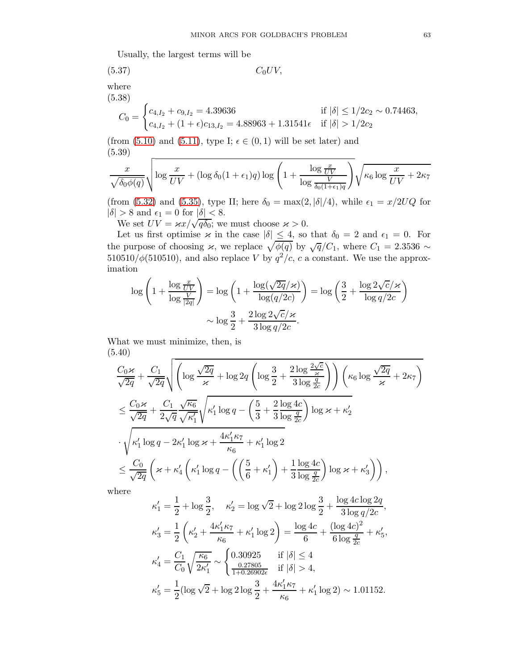Usually, the largest terms will be

$$
(5.37) \t C_0 UV,
$$

where (5.38)

$$
C_0 = \begin{cases} c_{4,I_2} + c_{9,I_2} = 4.39636 & \text{if } |\delta| \le 1/2c_2 \sim 0.74463, \\ c_{4,I_2} + (1+\epsilon)c_{13,I_2} = 4.88963 + 1.31541\epsilon & \text{if } |\delta| > 1/2c_2 \end{cases}
$$

(from  $(5.10)$  and  $(5.11)$ , type I;  $\epsilon \in (0,1)$  will be set later) and (5.39)

<span id="page-62-1"></span>
$$
\frac{x}{\sqrt{\delta_0 \phi(q)}} \sqrt{\log \frac{x}{UV} + (\log \delta_0(1 + \epsilon_1)q) \log \left(1 + \frac{\log \frac{x}{UV}}{\log \frac{V}{\delta_0(1 + \epsilon_1)q}}\right)} \sqrt{\kappa_6 \log \frac{x}{UV} + 2\kappa_7}
$$

(from [\(5.32\)](#page-60-0) and [\(5.35\)](#page-61-1), type II; here  $\delta_0 = \max(2, |\delta|/4)$ , while  $\epsilon_1 = x/2UQ$  for  $|\delta| > 8$  and  $\epsilon_1 = 0$  for  $|\delta| < 8$ .

We set  $UV = \frac{\kappa}{\kappa} \sqrt{\sqrt{q\delta_0}}$ ; we must choose  $\varkappa > 0$ .

Let us first optimise  $\varkappa$  in the case  $|\delta| \leq 4$ , so that  $\delta_0 = 2$  and  $\epsilon_1 = 0$ . For the purpose of choosing  $\chi$ , we replace  $\sqrt{\phi(q)}$  by  $\sqrt{q}/C_1$ , where  $C_1 = 2.3536 \sim$  $510510/\phi(510510)$ , and also replace V by  $q^2/c$ , c a constant. We use the approximation

$$
\log\left(1+\frac{\log\frac{x}{UV}}{\log\frac{V}{|2q|}}\right) = \log\left(1+\frac{\log(\sqrt{2q}/\varkappa)}{\log(q/2c)}\right) = \log\left(\frac{3}{2}+\frac{\log 2\sqrt{c}/\varkappa}{\log q/2c}\right)
$$

$$
\sim \log\frac{3}{2}+\frac{2\log 2\sqrt{c}/\varkappa}{3\log q/2c}.
$$

What we must minimize, then, is (5.40)

<span id="page-62-0"></span>
$$
\frac{C_0 \varkappa}{\sqrt{2q}} + \frac{C_1}{\sqrt{2q}} \sqrt{\left( \log \frac{\sqrt{2q}}{\varkappa} + \log 2q \left( \log \frac{3}{2} + \frac{2 \log \frac{2\sqrt{c}}{\varkappa}}{3 \log \frac{q}{2c}} \right) \right) \left( \kappa_6 \log \frac{\sqrt{2q}}{\varkappa} + 2\kappa_7 \right)}
$$
\n
$$
\leq \frac{C_0 \varkappa}{\sqrt{2q}} + \frac{C_1}{2\sqrt{q}} \frac{\sqrt{\kappa_6}}{\sqrt{\kappa_1'}} \sqrt{\kappa_1' \log q - \left( \frac{5}{3} + \frac{2 \log 4c}{3 \log \frac{q}{2c}} \right) \log \varkappa + \kappa_2'}
$$
\n
$$
\cdot \sqrt{\kappa_1' \log q - 2\kappa_1' \log \varkappa + \frac{4\kappa_1' \kappa_7}{\kappa_6} + \kappa_1' \log 2}
$$
\n
$$
\leq \frac{C_0}{\sqrt{2q}} \left( \varkappa + \kappa_4' \left( \kappa_1' \log q - \left( \left( \frac{5}{6} + \kappa_1' \right) + \frac{1}{3} \frac{\log 4c}{\log \frac{q}{2c}} \right) \log \varkappa + \kappa_3' \right) \right),
$$

where

$$
\kappa'_1 = \frac{1}{2} + \log \frac{3}{2}, \quad \kappa'_2 = \log \sqrt{2} + \log 2 \log \frac{3}{2} + \frac{\log 4c \log 2q}{3 \log q/2c},
$$
  
\n
$$
\kappa'_3 = \frac{1}{2} \left( \kappa'_2 + \frac{4\kappa'_1 \kappa_7}{\kappa_6} + \kappa'_1 \log 2 \right) = \frac{\log 4c}{6} + \frac{(\log 4c)^2}{6 \log \frac{q}{2c}} + \kappa'_5,
$$
  
\n
$$
\kappa'_4 = \frac{C_1}{C_0} \sqrt{\frac{\kappa_6}{2\kappa'_1}} \sim \begin{cases} 0.30925 & \text{if } |\delta| \le 4\\ \frac{0.27805}{1+0.26902\epsilon} & \text{if } |\delta| > 4, \end{cases}
$$
  
\n
$$
\kappa'_5 = \frac{1}{2} (\log \sqrt{2} + \log 2 \log \frac{3}{2} + \frac{4\kappa'_1 \kappa_7}{\kappa_6} + \kappa'_1 \log 2) \sim 1.01152.
$$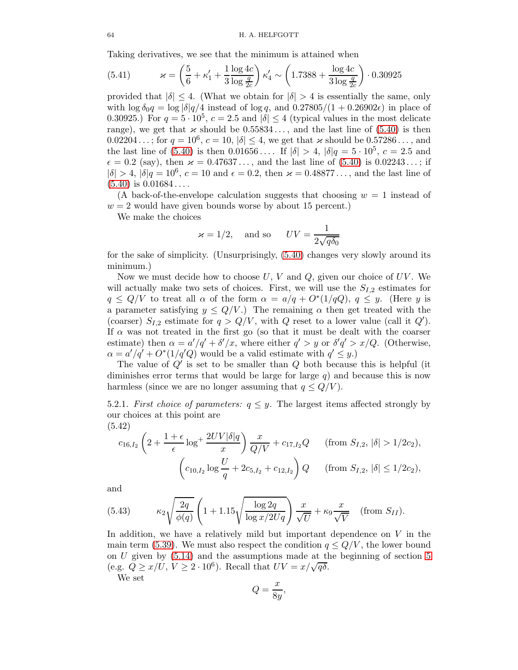Taking derivatives, we see that the minimum is attained when

(5.41) 
$$
\varkappa = \left(\frac{5}{6} + \kappa_1' + \frac{1}{3} \frac{\log 4c}{\log \frac{q}{2c}}\right) \kappa_4' \sim \left(1.7388 + \frac{\log 4c}{3 \log \frac{q}{2c}}\right) \cdot 0.30925
$$

provided that  $|\delta| \leq 4$ . (What we obtain for  $|\delta| > 4$  is essentially the same, only with  $\log \delta_0 q = \log |\delta| q/4$  instead of  $\log q$ , and  $0.27805/(1 + 0.26902\epsilon)$  in place of 0.30925.) For  $q = 5 \cdot 10^5$ ,  $c = 2.5$  and  $|\delta| \le 4$  (typical values in the most delicate range), we get that  $\varkappa$  should be  $0.55834...$ , and the last line of  $(5.40)$  is then  $0.02204...$ ; for  $q = 10^6$ ,  $c = 10$ ,  $|\delta| \le 4$ , we get that  $\varkappa$  should be  $0.57286...$ , and the last line of [\(5.40\)](#page-62-0) is then  $0.01656...$  If  $|\delta| > 4$ ,  $|\delta|q = 5 \cdot 10^5$ ,  $c = 2.5$  and  $\epsilon = 0.2$  (say), then  $\varkappa = 0.47637...$ , and the last line of [\(5.40\)](#page-62-0) is 0.02243...; if  $|\delta| > 4$ ,  $|\delta|q = 10^6$ ,  $c = 10$  and  $\epsilon = 0.2$ , then  $\varkappa = 0.48877...$ , and the last line of  $(5.40)$  is  $0.01684...$ 

(A back-of-the-envelope calculation suggests that choosing  $w = 1$  instead of  $w = 2$  would have given bounds worse by about 15 percent.)

We make the choices

$$
\varkappa = 1/2
$$
, and so  $UV = \frac{1}{2\sqrt{q\delta_0}}$ 

for the sake of simplicity. (Unsurprisingly, [\(5.40\)](#page-62-0) changes very slowly around its minimum.)

Now we must decide how to choose  $U, V$  and  $Q$ , given our choice of  $UV$ . We will actually make two sets of choices. First, we will use the  $S_{I,2}$  estimates for  $q \leq Q/V$  to treat all  $\alpha$  of the form  $\alpha = a/q + O^*(1/qQ)$ ,  $q \leq y$ . (Here y is a parameter satisfying  $y \leq Q/V$ .) The remaining  $\alpha$  then get treated with the (coarser)  $S_{I,2}$  estimate for  $q > Q/V$ , with Q reset to a lower value (call it Q'). If  $\alpha$  was not treated in the first go (so that it must be dealt with the coarser estimate) then  $\alpha = a'/q' + \delta'/x$ , where either  $q' > y$  or  $\delta'q' > x/Q$ . (Otherwise,  $\alpha = a'/q' + O^*(1/q'Q)$  would be a valid estimate with  $q' \leq y$ .

The value of  $Q'$  is set to be smaller than  $Q$  both because this is helpful (it diminishes error terms that would be large for large  $q$ ) and because this is now harmless (since we are no longer assuming that  $q \leq Q/V$ ).

5.2.1. First choice of parameters:  $q \leq y$ . The largest items affected strongly by our choices at this point are (5.42)

$$
c_{16,I_2} \left(2 + \frac{1+\epsilon}{\epsilon} \log^+ \frac{2UV|\delta|q}{x}\right) \frac{x}{Q/V} + c_{17,I_2}Q \qquad \text{(from } S_{I,2}, |\delta| > 1/2c_2),
$$

$$
\left(c_{10,I_2} \log \frac{U}{q} + 2c_{5,I_2} + c_{12,I_2}\right)Q \qquad \text{(from } S_{I,2}, |\delta| \le 1/2c_2),
$$

and

(5.43) 
$$
\kappa_2 \sqrt{\frac{2q}{\phi(q)}} \left( 1 + 1.15 \sqrt{\frac{\log 2q}{\log x/2Uq}} \right) \frac{x}{\sqrt{U}} + \kappa_9 \frac{x}{\sqrt{V}} \quad \text{(from } S_{II}\text{).}
$$

In addition, we have a relatively mild but important dependence on  $V$  in the main term [\(5.39\)](#page-62-1). We must also respect the condition  $q \leq Q/V$ , the lower bound on  $U$  given by  $(5.14)$  and the assumptions made at the beginning of section [5](#page-49-1) (e.g.  $Q \ge x/U$ ,  $V \ge 2 \cdot 10^6$ ). Recall that  $UV = x/\sqrt{q\delta}$ .

We set

$$
Q = \frac{x}{8y}
$$

,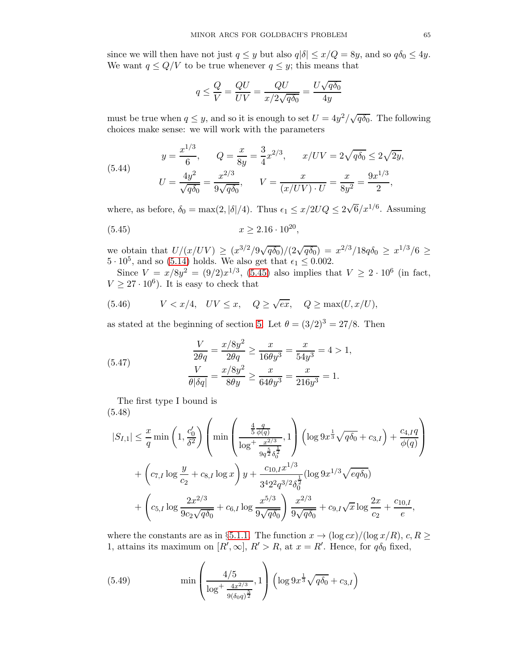since we will then have not just  $q \leq y$  but also  $q|\delta| \leq x/Q = 8y$ , and so  $q\delta_0 \leq 4y$ . We want  $q \leq Q/V$  to be true whenever  $q \leq y$ ; this means that

$$
q \le \frac{Q}{V} = \frac{QU}{UV} = \frac{QU}{x/2\sqrt{q\delta_0}} = \frac{U\sqrt{q\delta_0}}{4y}
$$

must be true when  $q \leq y$ , and so it is enough to set  $U = \frac{4y^2}{\sqrt{q\delta_0}}$ . The following choices make sense: we will work with the parameters

(5.44) 
$$
y = \frac{x^{1/3}}{6}, \qquad Q = \frac{x}{8y} = \frac{3}{4}x^{2/3}, \qquad x/UV = 2\sqrt{q\delta_0} \le 2\sqrt{2y},
$$

$$
U = \frac{4y^2}{\sqrt{q\delta_0}} = \frac{x^{2/3}}{9\sqrt{q\delta_0}}, \qquad V = \frac{x}{(x/UV) \cdot U} = \frac{x}{8y^2} = \frac{9x^{1/3}}{2},
$$

where, as before,  $\delta_0 = \max(2, |\delta|/4)$ . Thus  $\epsilon_1 \leq x/2UQ \leq 2\sqrt{6}/x^{1/6}$ . Assuming

<span id="page-64-0"></span>
$$
(5.45) \t\t x \ge 2.16 \cdot 10^{20},
$$

we obtain that  $U/(x/UV) \ge (x^{3/2}/9\sqrt{q\delta_0})/(2\sqrt{q\delta_0}) = x^{2/3}/18q\delta_0 \ge x^{1/3}/6 \ge$  $5 \cdot 10^5$ , and so [\(5.14\)](#page-55-2) holds. We also get that  $\epsilon_1 \leq 0.002$ .

Since  $V = x/8y^2 = (9/2)x^{1/3}$ , [\(5.45\)](#page-64-0) also implies that  $V \ge 2 \cdot 10^6$  (in fact,  $V \geq 27 \cdot 10^6$ ). It is easy to check that

<span id="page-64-4"></span>(5.46) 
$$
V < x/4
$$
,  $UV \leq x$ ,  $Q \geq \sqrt{ex}$ ,  $Q \geq \max(U, x/U)$ ,

as stated at the beginning of section [5.](#page-49-1) Let  $\theta = (3/2)^3 = 27/8$ . Then

<span id="page-64-3"></span>(5.47) 
$$
\frac{V}{2\theta q} = \frac{x/8y^2}{2\theta q} \ge \frac{x}{16\theta y^3} = \frac{x}{54y^3} = 4 > 1,
$$

$$
\frac{V}{\theta |\delta q|} = \frac{x/8y^2}{8\theta y} \ge \frac{x}{64\theta y^3} = \frac{x}{216y^3} = 1.
$$

The first type I bound is (5.48)

<span id="page-64-1"></span>
$$
|S_{I,1}| \leq \frac{x}{q} \min\left(1, \frac{c'_0}{\delta^2}\right) \left(\min\left(\frac{\frac{4}{5}\frac{q}{\phi(q)}}{\log^{\frac{1}{5}}\frac{x^{2/3}}{\delta_0^{\frac{1}{2}}}}, 1\right) \left(\log 9x^{\frac{1}{3}}\sqrt{q\delta_0} + c_{3,I}\right) + \frac{c_{4,I}q}{\phi(q)}\right) + \left(c_{7,I}\log\frac{y}{c_2} + c_{8,I}\log x\right)y + \frac{c_{10,I}x^{1/3}}{3^4 2^2 q^{3/2} \delta_0^{\frac{1}{2}}} (\log 9x^{1/3}\sqrt{eq\delta_0}) + \left(c_{5,I}\log\frac{2x^{2/3}}{9c_2\sqrt{q\delta_0}} + c_{6,I}\log\frac{x^{5/3}}{9\sqrt{q\delta_0}}\right) \frac{x^{2/3}}{9\sqrt{q\delta_0}} + c_{9,I}\sqrt{x}\log\frac{2x}{c_2} + \frac{c_{10,I}}{e},
$$

where the constants are as in §[5.1.1.](#page-50-2) The function  $x \to (\log cx)/(\log x/R)$ ,  $c, R \ge$ 1, attains its maximum on  $[R', \infty]$ ,  $R' > R$ , at  $x = R'$ . Hence, for  $q\delta_0$  fixed,

<span id="page-64-2"></span>(5.49) 
$$
\min \left( \frac{4/5}{\log^+ \frac{4x^{2/3}}{9(\delta_0 q)^{\frac{5}{2}}}}, 1 \right) \left( \log 9x^{\frac{1}{3}} \sqrt{q \delta_0} + c_{3,I} \right)
$$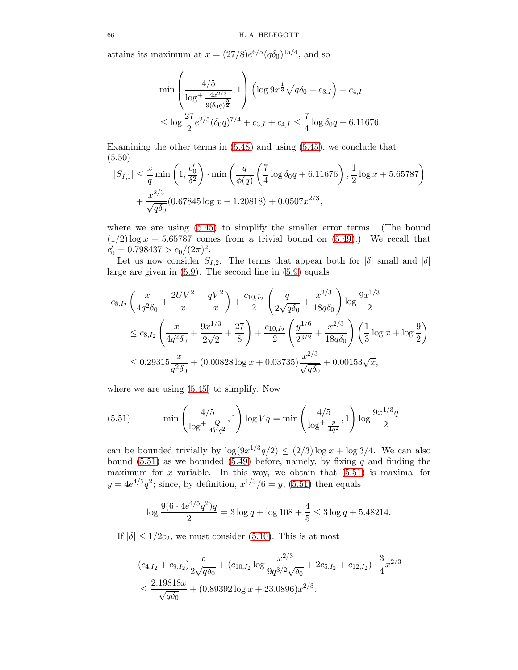attains its maximum at  $x = (27/8)e^{6/5} (q \delta_0)^{15/4}$ , and so

$$
\min\left(\frac{4/5}{\log^+\frac{4x^{2/3}}{9(\delta_0 q)^{\frac{5}{2}}}}, 1\right)\left(\log 9x^{\frac{1}{3}}\sqrt{q\delta_0} + c_{3,I}\right) + c_{4,I}
$$
  

$$
\leq \log \frac{27}{2}e^{2/5}(\delta_0 q)^{7/4} + c_{3,I} + c_{4,I} \leq \frac{7}{4}\log \delta_0 q + 6.11676.
$$

Examining the other terms in [\(5.48\)](#page-64-1) and using [\(5.45\)](#page-64-0), we conclude that (5.50)

<span id="page-65-1"></span>
$$
|S_{I,1}| \leq \frac{x}{q} \min\left(1, \frac{c'_0}{\delta^2}\right) \cdot \min\left(\frac{q}{\phi(q)} \left(\frac{7}{4} \log \delta_0 q + 6.11676\right), \frac{1}{2} \log x + 5.65787\right) + \frac{x^{2/3}}{\sqrt{q\delta_0}} (0.67845 \log x - 1.20818) + 0.0507x^{2/3},
$$

where we are using [\(5.45\)](#page-64-0) to simplify the smaller error terms. (The bound  $(1/2)$  log  $x + 5.65787$  comes from a trivial bound on  $(5.49)$ .) We recall that  $c'_0 = 0.798437 > c_0/(2\pi)^2$ .

Let us now consider  $S_{I,2}$ . The terms that appear both for  $|\delta|$  small and  $|\delta|$ large are given in [\(5.9\)](#page-54-0). The second line in [\(5.9\)](#page-54-0) equals

$$
c_{8,I_2} \left( \frac{x}{4q^2 \delta_0} + \frac{2UV^2}{x} + \frac{qV^2}{x} \right) + \frac{c_{10,I_2}}{2} \left( \frac{q}{2\sqrt{q\delta_0}} + \frac{x^{2/3}}{18q\delta_0} \right) \log \frac{9x^{1/3}}{2}
$$
  
\n
$$
\leq c_{8,I_2} \left( \frac{x}{4q^2 \delta_0} + \frac{9x^{1/3}}{2\sqrt{2}} + \frac{27}{8} \right) + \frac{c_{10,I_2}}{2} \left( \frac{y^{1/6}}{2^{3/2}} + \frac{x^{2/3}}{18q\delta_0} \right) \left( \frac{1}{3} \log x + \log \frac{9}{2} \right)
$$
  
\n
$$
\leq 0.29315 \frac{x}{q^2 \delta_0} + (0.00828 \log x + 0.03735) \frac{x^{2/3}}{\sqrt{q\delta_0}} + 0.00153 \sqrt{x},
$$

where we are using [\(5.45\)](#page-64-0) to simplify. Now

<span id="page-65-0"></span>(5.51) 
$$
\min\left(\frac{4/5}{\log^+\frac{Q}{4Vq^2}}, 1\right) \log Vq = \min\left(\frac{4/5}{\log^+\frac{y}{4q^2}}, 1\right) \log \frac{9x^{1/3}q}{2}
$$

can be bounded trivially by  $\log(9x^{1/3}q/2) \leq (2/3)\log x + \log 3/4$ . We can also bound [\(5.51\)](#page-65-0) as we bounded [\(5.49\)](#page-64-2) before, namely, by fixing q and finding the maximum for x variable. In this way, we obtain that  $(5.51)$  is maximal for  $y = 4e^{4/5}q^2$ ; since, by definition,  $x^{1/3}/6 = y$ , [\(5.51\)](#page-65-0) then equals

$$
\log \frac{9(6 \cdot 4e^{4/5}q^2)q}{2} = 3\log q + \log 108 + \frac{4}{5} \le 3\log q + 5.48214.
$$

If  $|\delta| \leq 1/2c_2$ , we must consider [\(5.10\)](#page-54-2). This is at most

$$
(c_{4,I_2} + c_{9,I_2})\frac{x}{2\sqrt{q\delta_0}} + (c_{10,I_2} \log \frac{x^{2/3}}{9q^{3/2}\sqrt{\delta_0}} + 2c_{5,I_2} + c_{12,I_2}) \cdot \frac{3}{4}x^{2/3}
$$
  

$$
\leq \frac{2.19818x}{\sqrt{q\delta_0}} + (0.89392 \log x + 23.0896)x^{2/3}.
$$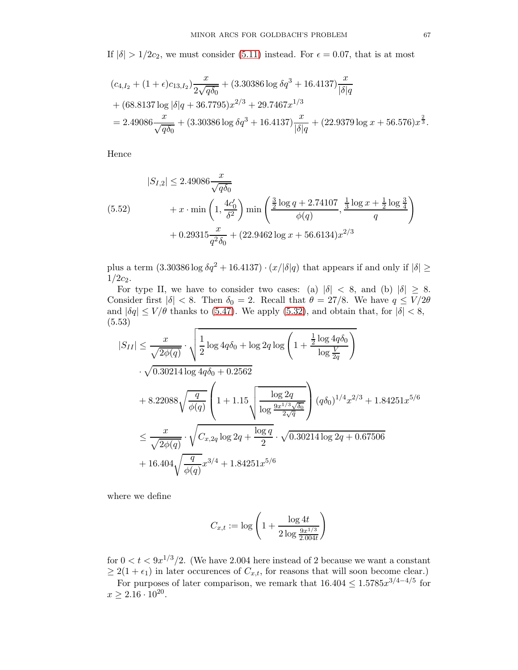If  $|\delta| > 1/2c_2$ , we must consider [\(5.11\)](#page-54-3) instead. For  $\epsilon = 0.07$ , that is at most

$$
(c_{4,I_2} + (1+\epsilon)c_{13,I_2})\frac{x}{2\sqrt{q\delta_0}} + (3.30386 \log \delta q^3 + 16.4137)\frac{x}{|\delta|q}
$$
  
+ 
$$
(68.8137 \log |\delta|q + 36.7795)x^{2/3} + 29.7467x^{1/3}
$$
  
= 
$$
2.49086\frac{x}{\sqrt{q\delta_0}} + (3.30386 \log \delta q^3 + 16.4137)\frac{x}{|\delta|q} + (22.9379 \log x + 56.576)x^{\frac{2}{3}}.
$$

Hence

<span id="page-66-1"></span>
$$
|S_{I,2}| \le 2.49086 \frac{x}{\sqrt{q\delta_0}}
$$
  
(5.52) 
$$
+ x \cdot \min\left(1, \frac{4c'_0}{\delta^2}\right) \min\left(\frac{\frac{3}{2}\log q + 2.74107}{\phi(q)}, \frac{\frac{1}{3}\log x + \frac{1}{2}\log\frac{3}{4}}{q}\right)
$$

$$
+ 0.29315 \frac{x}{q^2\delta_0} + (22.9462\log x + 56.6134)x^{2/3}
$$

plus a term  $(3.30386 \log \delta q^2 + 16.4137) \cdot (x/\delta|q)$  that appears if and only if  $|\delta| \ge$  $1/2c_2$ .

For type II, we have to consider two cases: (a)  $|\delta| < 8$ , and (b)  $|\delta| \geq 8$ . Consider first  $|\delta| < 8$ . Then  $\delta_0 = 2$ . Recall that  $\theta = 27/8$ . We have  $q \le V/2\theta$ and  $|\delta q| \leq V/\theta$  thanks to [\(5.47\)](#page-64-3). We apply [\(5.32\)](#page-60-0), and obtain that, for  $|\delta| < 8$ , (5.53)

<span id="page-66-0"></span>
$$
|S_{II}| \leq \frac{x}{\sqrt{2\phi(q)}} \cdot \sqrt{\frac{1}{2} \log 4q \delta_0 + \log 2q \log \left(1 + \frac{\frac{1}{2} \log 4q \delta_0}{\log \frac{V}{2q}}\right)}
$$
  

$$
\cdot \sqrt{0.30214 \log 4q \delta_0 + 0.2562}
$$
  

$$
+ 8.22088 \sqrt{\frac{q}{\phi(q)}} \left(1 + 1.15 \sqrt{\frac{\log 2q}{\log \frac{9x^{1/3}\sqrt{\delta_0}}{2\sqrt{q}}}}\right) (q\delta_0)^{1/4} x^{2/3} + 1.84251 x^{5/6}
$$
  

$$
\leq \frac{x}{\sqrt{2\phi(q)}} \cdot \sqrt{C_{x,2q} \log 2q + \frac{\log q}{2}} \cdot \sqrt{0.30214 \log 2q + 0.67506}
$$
  

$$
+ 16.404 \sqrt{\frac{q}{\phi(q)}} x^{3/4} + 1.84251 x^{5/6}
$$

where we define

$$
C_{x,t} := \log \left( 1 + \frac{\log 4t}{2 \log \frac{9x^{1/3}}{2.004t}} \right)
$$

for  $0 < t < 9x^{1/3}/2$ . (We have 2.004 here instead of 2 because we want a constant  $\geq 2(1+\epsilon_1)$  in later occurences of  $C_{x,t}$ , for reasons that will soon become clear.)

For purposes of later comparison, we remark that  $16.404 \le 1.5785x^{3/4-4/5}$  for  $x \ge 2.16 \cdot 10^{20}$ .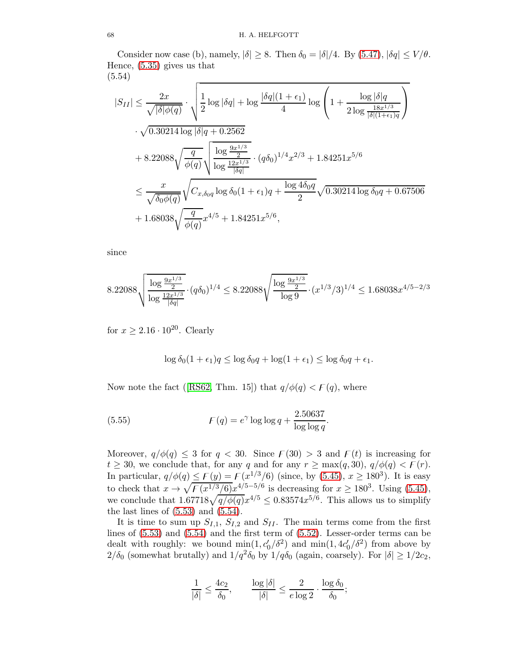Consider now case (b), namely,  $|\delta| \geq 8$ . Then  $\delta_0 = |\delta|/4$ . By [\(5.47\)](#page-64-3),  $|\delta q| \leq V/\theta$ . Hence, [\(5.35\)](#page-61-1) gives us that (5.54)

<span id="page-67-0"></span>
$$
|S_{II}| \leq \frac{2x}{\sqrt{|\delta|\phi(q)}} \cdot \sqrt{\frac{1}{2} \log |\delta q| + \log \frac{|\delta q|(1+\epsilon_1)}{4} \log \left(1 + \frac{\log |\delta| q}{2 \log \frac{18x^{1/3}}{|\delta|(1+\epsilon_1)q}}\right)}
$$
  

$$
\cdot \sqrt{0.30214 \log |\delta| q + 0.2562}
$$
  

$$
+ 8.22088 \sqrt{\frac{q}{\phi(q)}} \sqrt{\frac{\log \frac{9x^{1/3}}{2}}{\log \frac{12x^{1/3}}{|\delta q|}} \cdot (q\delta_0)^{1/4} x^{2/3} + 1.84251x^{5/6}}
$$
  

$$
\leq \frac{x}{\sqrt{\delta_0 \phi(q)}} \sqrt{C_{x,\delta_0 q} \log \delta_0 (1+\epsilon_1) q + \frac{\log 4\delta_0 q}{2} \sqrt{0.30214 \log \delta_0 q + 0.67506}}
$$
  

$$
+ 1.68038 \sqrt{\frac{q}{\phi(q)}} x^{4/5} + 1.84251x^{5/6},
$$

since

$$
8.22088\sqrt{\frac{\log \frac{9x^{1/3}}{2}}{\log \frac{12x^{1/3}}{\delta q\vert}}}\cdot (q\delta_0)^{1/4}\leq 8.22088\sqrt{\frac{\log \frac{9x^{1/3}}{2}}{\log 9}}\cdot (x^{1/3}/3)^{1/4}\leq 1.68038x^{4/5-2/3}
$$

for  $x \geq 2.16 \cdot 10^{20}$ . Clearly

<span id="page-67-1"></span>
$$
\log \delta_0 (1 + \epsilon_1) q \le \log \delta_0 q + \log(1 + \epsilon_1) \le \log \delta_0 q + \epsilon_1.
$$

Now note the fact ([\[RS62,](#page-78-1) Thm. 15]) that  $q/\phi(q) < F(q)$ , where

(5.55) 
$$
F(q) = e^{\gamma} \log \log q + \frac{2.50637}{\log \log q}
$$

Moreover,  $q/\phi(q) \leq 3$  for  $q < 30$ . Since  $\mathcal{F}(30) > 3$  and  $\mathcal{F}(t)$  is increasing for  $t \geq 30$ , we conclude that, for any q and for any  $r \geq \max(q, 30)$ ,  $q/\phi(q) < F(r)$ . In particular,  $q/\phi(q) \leq F(y) = F(x^{1/3}/6)$  (since, by [\(5.45\)](#page-64-0),  $x \geq 180^3$ ). It is easy to check that  $x \to \sqrt{F(x^{1/3}/6)}x^{4/5-5/6}$  is decreasing for  $x \ge 180^3$ . Using [\(5.45\)](#page-64-0), we conclude that  $1.67718\sqrt{\frac{q}{\phi(q)}}x^{4/5} \leq 0.83574x^{5/6}$ . This allows us to simplify the last lines of  $(5.53)$  and  $(5.54)$ .

.

It is time to sum up  $S_{I,1}$ ,  $S_{I,2}$  and  $S_{II}$ . The main terms come from the first lines of [\(5.53\)](#page-66-0) and [\(5.54\)](#page-67-0) and the first term of [\(5.52\)](#page-66-1). Lesser-order terms can be dealt with roughly: we bound  $\min(1, c'_0/\delta^2)$  and  $\min(1, 4c'_0/\delta^2)$  from above by  $2/\delta_0$  (somewhat brutally) and  $1/q^2\delta_0$  by  $1/q\delta_0$  (again, coarsely). For  $|\delta| \ge 1/2c_2$ ,

$$
\frac{1}{|\delta|} \le \frac{4c_2}{\delta_0}, \qquad \frac{\log|\delta|}{|\delta|} \le \frac{2}{e\log 2} \cdot \frac{\log \delta_0}{\delta_0};
$$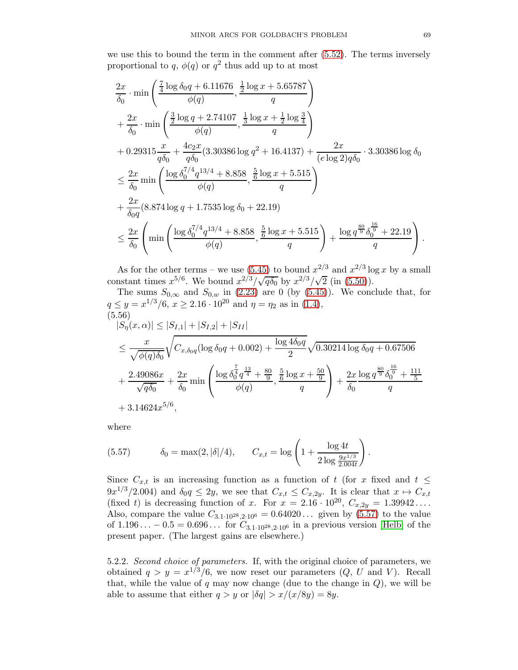we use this to bound the term in the comment after [\(5.52\)](#page-66-1). The terms inversely proportional to q,  $\phi(q)$  or  $q^2$  thus add up to at most

$$
\frac{2x}{\delta_0} \cdot \min\left(\frac{\frac{7}{4}\log\delta_0 q + 6.11676}{\phi(q)}, \frac{\frac{1}{2}\log x + 5.65787}{q}\right) \n+ \frac{2x}{\delta_0} \cdot \min\left(\frac{\frac{3}{2}\log q + 2.74107}{\phi(q)}, \frac{\frac{1}{3}\log x + \frac{1}{2}\log\frac{3}{4}}{q}\right) \n+ 0.29315\frac{x}{q\delta_0} + \frac{4c_2x}{q\delta_0}(3.30386 \log q^2 + 16.4137) + \frac{2x}{(e\log 2)q\delta_0} \cdot 3.30386 \log \delta_0 \n\leq \frac{2x}{\delta_0} \min\left(\frac{\log \delta_0^{7/4} q^{13/4} + 8.858}{\phi(q)}, \frac{\frac{5}{6}\log x + 5.515}{q}\right) \n+ \frac{2x}{\delta_0 q}(8.874 \log q + 1.7535 \log \delta_0 + 22.19) \n\leq \frac{2x}{\delta_0}\left(\min\left(\frac{\log \delta_0^{7/4} q^{13/4} + 8.858}{\phi(q)}, \frac{\frac{5}{6}\log x + 5.515}{q}\right) + \frac{\log q^{\frac{80}{9}}\delta_0^{\frac{16}{9}} + 22.19}{q}\right).
$$

As for the other terms – we use [\(5.45\)](#page-64-0) to bound  $x^{2/3}$  and  $x^{2/3}$  log x by a small constant times  $x^{5/6}$ . We bound  $x^{2/3}/\sqrt{q\delta_0}$  by  $x^{2/3}/\sqrt{2}$  (in [\(5.50\)](#page-65-1)).

The sums 
$$
S_{0,\infty}
$$
 and  $S_{0,w}$  in (2.23) are 0 (by (5.45)). We conclude that, for  
\n $q \leq y = x^{1/3}/6$ ,  $x \geq 2.16 \cdot 10^{20}$  and  $\eta = \eta_2$  as in (1.4),  
\n(5.56)  
\n $|S_{\eta}(x,\alpha)| \leq |S_{I,1}| + |S_{I,2}| + |S_{II}|$   
\n $\leq \frac{x}{\sqrt{\phi(q)\delta_0}} \sqrt{C_{x,\delta_0q} (\log \delta_0q + 0.002) + \frac{\log 4\delta_0q}{2}} \sqrt{0.30214 \log \delta_0q + 0.67506}$   
\n $+ \frac{2.49086x}{\sqrt{q\delta_0}} + \frac{2x}{\delta_0} \min\left(\frac{\log \delta_0^{\frac{7}{4}}q^{\frac{13}{4}} + \frac{80}{9}}{\phi(q)}, \frac{\frac{5}{6} \log x + \frac{50}{9}}{q}\right) + \frac{2x}{\delta_0} \frac{\log q^{\frac{80}{9}}\delta_0^{\frac{16}{9}} + \frac{111}{5}}{\delta_0}$   
\n $+ 3.14624x^{5/6},$ 

<span id="page-68-1"></span>where

<span id="page-68-0"></span>(5.57) 
$$
\delta_0 = \max(2, |\delta|/4), \qquad C_{x,t} = \log\left(1 + \frac{\log 4t}{2\log \frac{9x^{1/3}}{2.004t}}\right).
$$

Since  $C_{x,t}$  is an increasing function as a function of t (for x fixed and  $t \leq$  $9x^{1/3}/2.004$ ) and  $\delta_0 q \leq 2y$ , we see that  $C_{x,t} \leq C_{x,2y}$ . It is clear that  $x \mapsto C_{x,t}$ (fixed t) is decreasing function of x. For  $x = 2.16 \cdot 10^{20}$ ,  $C_{x,2y} = 1.39942...$ Also, compare the value  $C_{3.1\cdot10^{28},2\cdot10^6} = 0.64020...$  given by [\(5.57\)](#page-68-0) to the value of  $1.196... - 0.5 = 0.696...$  for  $C_{3.1 \cdot 10^{28}, 2 \cdot 10^6}$  in a previous version [\[Helb\]](#page-77-8) of the present paper. (The largest gains are elsewhere.)

5.2.2. Second choice of parameters. If, with the original choice of parameters, we obtained  $q > y = x^{1/3}/6$ , we now reset our parameters  $(Q, U, \text{ and } V)$ . Recall that, while the value of  $q$  may now change (due to the change in  $Q$ ), we will be able to assume that either  $q > y$  or  $|\delta q| > x/(x/8y) = 8y$ .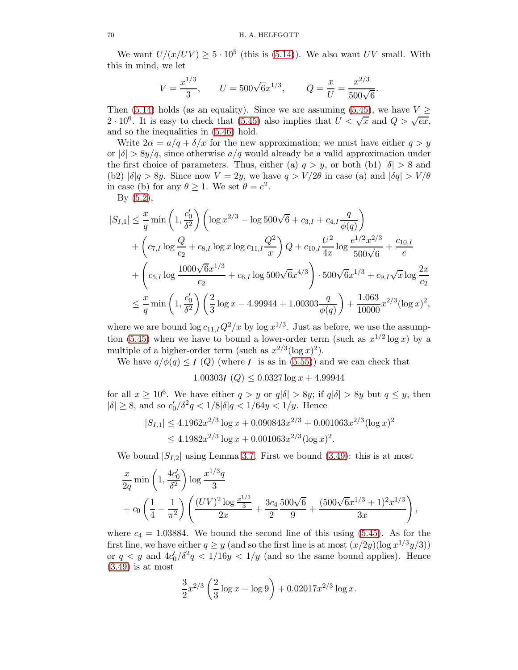We want  $U/(x/UV) \ge 5 \cdot 10^5$  (this is [\(5.14\)](#page-55-2)). We also want UV small. With this in mind, we let

$$
V = \frac{x^{1/3}}{3}
$$
,  $U = 500\sqrt{6}x^{1/3}$ ,  $Q = \frac{x}{U} = \frac{x^{2/3}}{500\sqrt{6}}$ .

Then [\(5.14\)](#page-55-2) holds (as an equality). Since we are assuming [\(5.45\)](#page-64-0), we have  $V \geq$ 2 · 10<sup>6</sup>. It is easy to check that [\(5.45\)](#page-64-0) also implies that  $U < \sqrt{x}$  and  $Q > \sqrt{ex}$ , and so the inequalities in [\(5.46\)](#page-64-4) hold.

Write  $2\alpha = a/q + \delta/x$  for the new approximation; we must have either  $q > y$ or  $|\delta| > 8y/q$ , since otherwise  $a/q$  would already be a valid approximation under the first choice of parameters. Thus, either (a)  $q > y$ , or both (b1)  $|\delta| > 8$  and (b2)  $|\delta|q > 8y$ . Since now  $V = 2y$ , we have  $q > V/2\theta$  in case (a) and  $|\delta q| > V/\theta$ in case (b) for any  $\theta \ge 1$ . We set  $\theta = e^2$ .

By [\(5.2\)](#page-51-3),

$$
|S_{I,1}| \leq \frac{x}{q} \min\left(1, \frac{c'_0}{\delta^2}\right) \left(\log x^{2/3} - \log 500\sqrt{6} + c_{3,I} + c_{4,I} \frac{q}{\phi(q)}\right)
$$
  
+  $\left(c_{7,I} \log \frac{Q}{c_2} + c_{8,I} \log x \log c_{11,I} \frac{Q^2}{x}\right) Q + c_{10,I} \frac{U^2}{4x} \log \frac{e^{1/2}x^{2/3}}{500\sqrt{6}} + \frac{c_{10,I}}{e}$   
+  $\left(c_{5,I} \log \frac{1000\sqrt{6}x^{1/3}}{c_2} + c_{6,I} \log 500\sqrt{6}x^{4/3}\right) \cdot 500\sqrt{6}x^{1/3} + c_{9,I}\sqrt{x} \log \frac{2x}{c_2}$   
 $\leq \frac{x}{q} \min\left(1, \frac{c'_0}{\delta^2}\right) \left(\frac{2}{3} \log x - 4.99944 + 1.00303 \frac{q}{\phi(q)}\right) + \frac{1.063}{10000}x^{2/3} (\log x)^2,$ 

where we are bound  $\log c_{11,I} Q^2/x$  by  $\log x^{1/3}$ . Just as before, we use the assump-tion [\(5.45\)](#page-64-0) when we have to bound a lower-order term (such as  $x^{1/2} \log x$ ) by a multiple of a higher-order term (such as  $x^{2/3}(\log x)^2$ ).

We have  $q/\phi(q) \leq F(Q)$  (where F is as in [\(5.55\)](#page-67-1)) and we can check that

 $1.00303F(Q) \le 0.0327 \log x + 4.99944$ 

for all  $x \ge 10^6$ . We have either  $q > y$  or  $q|\delta| > 8y$ ; if  $q|\delta| > 8y$  but  $q \le y$ , then  $|\delta| \ge 8$ , and so  $c'_0/\delta^2 q < 1/8|\delta| q < 1/64y < 1/y$ . Hence

$$
|S_{I,1}| \le 4.1962x^{2/3} \log x + 0.090843x^{2/3} + 0.001063x^{2/3} (\log x)^2
$$
  
\n
$$
\le 4.1982x^{2/3} \log x + 0.001063x^{2/3} (\log x)^2.
$$

We bound  $|S_{I,2}|$  using Lemma [3.7.](#page-25-0) First we bound [\(3.49\)](#page-25-1): this is at most

$$
\frac{x}{2q} \min\left(1, \frac{4c'_0}{\delta^2}\right) \log \frac{x^{1/3}q}{3} + c_0 \left(\frac{1}{4} - \frac{1}{\pi^2}\right) \left(\frac{(UV)^2 \log \frac{x^{1/3}}{3}}{2x} + \frac{3c_4}{2} \frac{500\sqrt{6}}{9} + \frac{(500\sqrt{6}x^{1/3} + 1)^2 x^{1/3}}{3x}\right),
$$

where  $c_4 = 1.03884$ . We bound the second line of this using  $(5.45)$ . As for the first line, we have either  $q \ge y$  (and so the first line is at most  $(x/2y)(\log x^{1/3}y/3)$ ) or  $q < y$  and  $4c'_0/\delta^2 q < 1/16y < 1/y$  (and so the same bound applies). Hence [\(3.49\)](#page-25-1) is at most

$$
\frac{3}{2}x^{2/3}\left(\frac{2}{3}\log x - \log 9\right) + 0.02017x^{2/3}\log x.
$$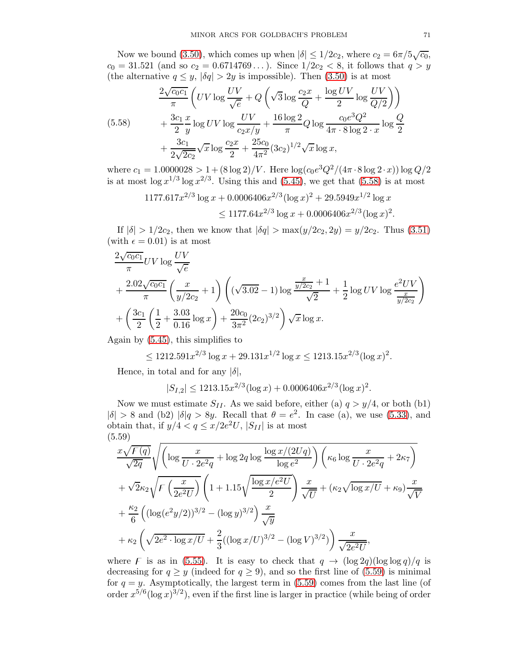Now we bound [\(3.50\)](#page-25-2), which comes up when  $|\delta| \leq 1/2c_2$ , where  $c_2 = 6\pi/5\sqrt{c_0}$ ,  $c_0 = 31.521$  (and so  $c_2 = 0.6714769...$ ). Since  $1/2c_2 < 8$ , it follows that  $q > y$ (the alternative  $q \leq y$ ,  $|\delta q| > 2y$  is impossible). Then [\(3.50\)](#page-25-2) is at most

<span id="page-70-0"></span>
$$
\frac{2\sqrt{c_0c_1}}{\pi} \left( UV \log \frac{UV}{\sqrt{e}} + Q \left( \sqrt{3} \log \frac{c_2x}{Q} + \frac{\log UV}{2} \log \frac{UV}{Q/2} \right) \right) \n+ \frac{3c_1}{2} \frac{x}{y} \log UV \log \frac{UV}{c_2x/y} + \frac{16 \log 2}{\pi} Q \log \frac{c_0 e^3 Q^2}{4\pi \cdot 8 \log 2 \cdot x} \log \frac{Q}{2} \n+ \frac{3c_1}{2\sqrt{2c_2}} \sqrt{x} \log \frac{c_2x}{2} + \frac{25c_0}{4\pi^2} (3c_2)^{1/2} \sqrt{x} \log x,
$$

where  $c_1 = 1.0000028 > 1 + (8 \log 2)/V$ . Here  $\log(c_0 e^3 Q^2/(4\pi \cdot 8 \log 2 \cdot x)) \log Q/2$ is at most  $\log x^{1/3} \log x^{2/3}$ . Using this and [\(5.45\)](#page-64-0), we get that [\(5.58\)](#page-70-0) is at most

$$
1177.617x^{2/3} \log x + 0.0006406x^{2/3} (\log x)^2 + 29.5949x^{1/2} \log x
$$
  
 
$$
\leq 1177.64x^{2/3} \log x + 0.0006406x^{2/3} (\log x)^2.
$$

If  $|\delta| > 1/2c_2$ , then we know that  $|\delta q| > \max(y/2c_2, 2y) = y/2c_2$ . Thus [\(3.51\)](#page-25-3) (with  $\epsilon = 0.01$ ) is at most

$$
\frac{2\sqrt{c_0c_1}}{\pi}UV\log\frac{UV}{\sqrt{e}}
$$
  
+
$$
\frac{2.02\sqrt{c_0c_1}}{\pi}\left(\frac{x}{y/2c_2}+1\right)\left((\sqrt{3.02}-1)\log\frac{\frac{x}{y/2c_2}+1}{\sqrt{2}}+\frac{1}{2}\log UV\log\frac{e^2UV}{\frac{x}{y/2c_2}}\right)
$$
  
+
$$
\left(\frac{3c_1}{2}\left(\frac{1}{2}+\frac{3.03}{0.16}\log x\right)+\frac{20c_0}{3\pi^2}(2c_2)^{3/2}\right)\sqrt{x}\log x.
$$

Again by [\(5.45\)](#page-64-0), this simplifies to

$$
\leq 1212.591x^{2/3}\log x + 29.131x^{1/2}\log x \leq 1213.15x^{2/3}(\log x)^2.
$$

Hence, in total and for any  $|\delta|$ ,

$$
|S_{I,2}| \le 1213.15x^{2/3} (\log x) + 0.0006406x^{2/3} (\log x)^2.
$$

Now we must estimate  $S_{II}$ . As we said before, either (a)  $q > y/4$ , or both (b1)  $|\delta| > 8$  and (b2)  $|\delta|q > 8y$ . Recall that  $\theta = e^2$ . In case (a), we use [\(5.33\)](#page-61-2), and obtain that, if  $y/4 < q \leq x/2e^2U$ ,  $|S_{II}|$  is at most (5.59)

<span id="page-70-1"></span>
$$
\frac{x\sqrt{F(q)}}{\sqrt{2q}}\sqrt{\left(\log\frac{x}{U\cdot 2e^{2}q} + \log 2q \log\frac{\log x/(2Uq)}{\log e^{2}}\right)\left(\kappa_{6}\log\frac{x}{U\cdot 2e^{2}q} + 2\kappa_{7}\right)}
$$
  
+  $\sqrt{2}\kappa_{2}\sqrt{F\left(\frac{x}{2e^{2}U}\right)}\left(1 + 1.15\sqrt{\frac{\log x/e^{2}U}{2}}\right)\frac{x}{\sqrt{U}} + (\kappa_{2}\sqrt{\log x/U} + \kappa_{9})\frac{x}{\sqrt{V}}$   
+  $\frac{\kappa_{2}}{6}\left((\log(e^{2}y/2))^{3/2} - (\log y)^{3/2}\right)\frac{x}{\sqrt{y}}$   
+  $\kappa_{2}\left(\sqrt{2e^{2}\cdot\log x/U} + \frac{2}{3}((\log x/U)^{3/2} - (\log V)^{3/2})\right)\frac{x}{\sqrt{2e^{2}U}},$ 

where F is as in [\(5.55\)](#page-67-1). It is easy to check that  $q \to (\log 2q)(\log \log q)/q$  is decreasing for  $q \ge y$  (indeed for  $q \ge 9$ ), and so the first line of [\(5.59\)](#page-70-1) is minimal for  $q = y$ . Asymptotically, the largest term in [\(5.59\)](#page-70-1) comes from the last line (of order  $x^{5/6}(\log x)^{3/2}$ , even if the first line is larger in practice (while being of order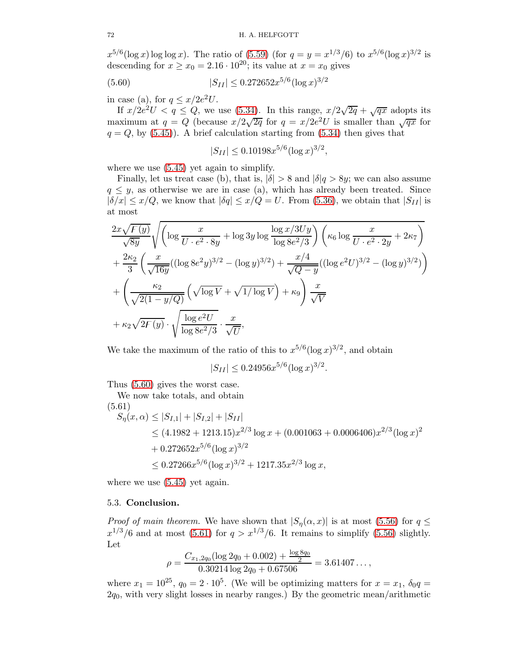$x^{5/6}(\log x) \log \log x$ . The ratio of [\(5.59\)](#page-70-1) (for  $q = y = x^{1/3}/6$ ) to  $x^{5/6}(\log x)^{3/2}$  is descending for  $x \ge x_0 = 2.16 \cdot 10^{20}$ ; its value at  $x = x_0$  gives

(5.60) 
$$
|S_{II}| \leq 0.272652x^{5/6}(\log x)^{3/2}
$$

in case (a), for  $q \leq x/2e^2U$ .

If  $x/2e^{2}U < q \le Q$ , we use [\(5.34\)](#page-61-3). In this range,  $x/2\sqrt{2q} + \sqrt{qx}$  adopts its maximum at  $q = Q$  (because  $x/2\sqrt{2q}$  for  $q = x/2e^2U$  is smaller than  $\sqrt{qx}$  for  $q = Q$ , by [\(5.45\)](#page-64-0)). A brief calculation starting from [\(5.34\)](#page-61-3) then gives that

<span id="page-71-0"></span>
$$
|S_{II}| \le 0.10198x^{5/6} (\log x)^{3/2},
$$

where we use  $(5.45)$  yet again to simplify.

Finally, let us treat case (b), that is,  $|\delta| > 8$  and  $|\delta| \geq 8y$ ; we can also assume  $q \leq y$ , as otherwise we are in case (a), which has already been treated. Since  $|\delta/x| \leq x/Q$ , we know that  $|\delta q| \leq x/Q = U$ . From [\(5.36\)](#page-61-4), we obtain that  $|S_{II}|$  is at most

$$
\frac{2x\sqrt{F(y)}}{\sqrt{8y}}\sqrt{\left(\log\frac{x}{U\cdot e^2\cdot 8y} + \log 3y \log \frac{\log x/3Uy}{\log 8e^2/3}\right)\left(\kappa_6 \log \frac{x}{U\cdot e^2\cdot 2y} + 2\kappa_7\right)} + \frac{2\kappa_2}{3}\left(\frac{x}{\sqrt{16y}}((\log 8e^2y)^{3/2} - (\log y)^{3/2}) + \frac{x/4}{\sqrt{Q-y}}((\log e^2U)^{3/2} - (\log y)^{3/2})\right) + \left(\frac{\kappa_2}{\sqrt{2(1-y/Q)}}\left(\sqrt{\log V} + \sqrt{1/\log V}\right) + \kappa_9\right)\frac{x}{\sqrt{V}} + \kappa_2\sqrt{2F(y)}\cdot\sqrt{\frac{\log e^2U}{\log 8e^2/3}}\cdot\frac{x}{\sqrt{U}},
$$

We take the maximum of the ratio of this to  $x^{5/6}(\log x)^{3/2}$ , and obtain

$$
|S_{II}| \le 0.24956 x^{5/6} (\log x)^{3/2}.
$$

Thus [\(5.60\)](#page-71-0) gives the worst case.

We now take totals, and obtain (5.61)

<span id="page-71-1"></span>
$$
S_{\eta}(x,\alpha) \le |S_{I,1}| + |S_{I,2}| + |S_{II}|
$$
  
\n
$$
\le (4.1982 + 1213.15)x^{2/3} \log x + (0.001063 + 0.0006406)x^{2/3} (\log x)^2
$$
  
\n
$$
+ 0.272652x^{5/6} (\log x)^{3/2}
$$
  
\n
$$
\le 0.27266x^{5/6} (\log x)^{3/2} + 1217.35x^{2/3} \log x,
$$

where we use  $(5.45)$  yet again.

## 5.3. Conclusion.

*Proof of main theorem.* We have shown that  $|S_n(\alpha, x)|$  is at most [\(5.56\)](#page-68-1) for  $q \leq$  $x^{1/3}/6$  and at most [\(5.61\)](#page-71-1) for  $q > x^{1/3}/6$ . It remains to simplify [\(5.56\)](#page-68-1) slightly. Let

$$
\rho = \frac{C_{x_1,2q_0}(\log 2q_0 + 0.002) + \frac{\log 8q_0}{2}}{0.30214 \log 2q_0 + 0.67506} = 3.61407\dots,
$$

where  $x_1 = 10^{25}$ ,  $q_0 = 2 \cdot 10^5$ . (We will be optimizing matters for  $x = x_1$ ,  $\delta_0 q =$  $2q_0$ , with very slight losses in nearby ranges.) By the geometric mean/arithmetic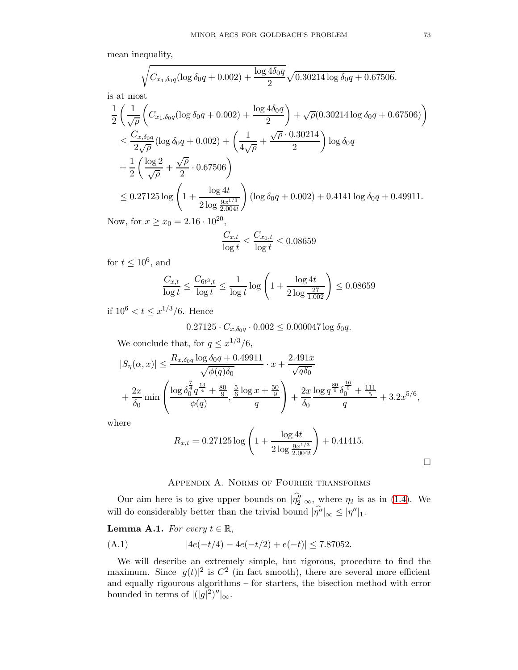mean inequality,

$$
\sqrt{C_{x_1,\delta_0 q}(\log \delta_0 q + 0.002) + \frac{\log 4\delta_0 q}{2}} \sqrt{0.30214 \log \delta_0 q + 0.67506}.
$$

is at most

$$
\frac{1}{2} \left( \frac{1}{\sqrt{\rho}} \left( C_{x_1, \delta_0 q} (\log \delta_0 q + 0.002) + \frac{\log 4 \delta_0 q}{2} \right) + \sqrt{\rho} (0.30214 \log \delta_0 q + 0.67506) \right)
$$
\n
$$
\leq \frac{C_{x, \delta_0 q}}{2\sqrt{\rho}} (\log \delta_0 q + 0.002) + \left( \frac{1}{4\sqrt{\rho}} + \frac{\sqrt{\rho} \cdot 0.30214}{2} \right) \log \delta_0 q
$$
\n
$$
+ \frac{1}{2} \left( \frac{\log 2}{\sqrt{\rho}} + \frac{\sqrt{\rho}}{2} \cdot 0.67506 \right)
$$
\n
$$
\leq 0.27125 \log \left( 1 + \frac{\log 4t}{2 \log \frac{9x^{1/3}}{2.004t}} \right) (\log \delta_0 q + 0.002) + 0.4141 \log \delta_0 q + 0.49911.
$$

Now, for  $x \ge x_0 = 2.16 \cdot 10^{20}$ ,

$$
\frac{C_{x,t}}{\log t} \le \frac{C_{x_0,t}}{\log t} \le 0.08659
$$

for  $t \leq 10^6$ , and

$$
\frac{C_{x,t}}{\log t} \le \frac{C_{6t^3,t}}{\log t} \le \frac{1}{\log t} \log \left( 1 + \frac{\log 4t}{2 \log \frac{27}{1.002}} \right) \le 0.08659
$$

if  $10^6 < t \leq x^{1/3}/6$ . Hence

$$
0.27125 \cdot C_{x, \delta_0 q} \cdot 0.002 \le 0.000047 \log \delta_0 q.
$$

We conclude that, for  $q \leq x^{1/3}/6$ ,

$$
|S_{\eta}(\alpha, x)| \leq \frac{R_{x, \delta_0 q} \log \delta_0 q + 0.49911}{\sqrt{\phi(q)\delta_0}} \cdot x + \frac{2.491x}{\sqrt{q\delta_0}} + \frac{2x}{\delta_0} \min\left(\frac{\log \delta_0^{\frac{7}{4}} q^{\frac{13}{4}} + \frac{80}{9}}{\phi(q)}, \frac{\frac{5}{6} \log x + \frac{50}{9}}{q}\right) + \frac{2x}{\delta_0} \frac{\log q^{\frac{80}{9}} \delta_0^{\frac{16}{9}} + \frac{111}{5}}{q} + 3.2x^{5/6},
$$

where

$$
R_{x,t} = 0.27125 \log \left( 1 + \frac{\log 4t}{2 \log \frac{9x^{1/3}}{2.004t}} \right) + 0.41415.
$$

## Appendix A. Norms of Fourier transforms

Our aim here is to give upper bounds on  $|\eta''_2|_{\infty}$ , where  $\eta_2$  is as in [\(1.4\)](#page-2-0). We will do considerably better than the trivial bound  $|\eta''|_{\infty} \leq |\eta''|_1$ .

## <span id="page-72-0"></span>**Lemma A.1.** For every  $t \in \mathbb{R}$ ,

(A.1) 
$$
|4e(-t/4) - 4e(-t/2) + e(-t)| \le 7.87052.
$$

We will describe an extremely simple, but rigorous, procedure to find the maximum. Since  $|g(t)|^2$  is  $C^2$  (in fact smooth), there are several more efficient and equally rigourous algorithms – for starters, the bisection method with error bounded in terms of  $\left| (|g|^2)''|_{\infty} \right|$ .

 $\Box$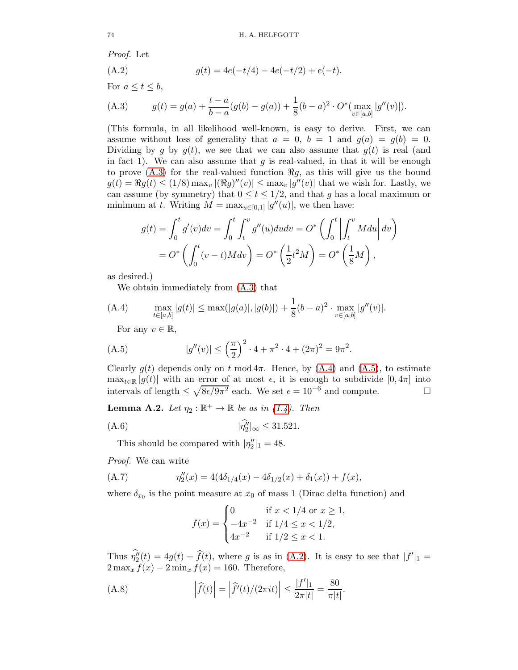Proof. Let

<span id="page-73-3"></span>(A.2) 
$$
g(t) = 4e(-t/4) - 4e(-t/2) + e(-t).
$$

For  $a \leq t \leq b$ ,

<span id="page-73-0"></span>(A.3) 
$$
g(t) = g(a) + \frac{t-a}{b-a}(g(b) - g(a)) + \frac{1}{8}(b-a)^2 \cdot O^*(\max_{v \in [a,b]} |g''(v)|).
$$

(This formula, in all likelihood well-known, is easy to derive. First, we can assume without loss of generality that  $a = 0$ ,  $b = 1$  and  $g(a) = g(b) = 0$ . Dividing by g by  $q(t)$ , we see that we can also assume that  $q(t)$  is real (and in fact 1). We can also assume that g is real-valued, in that it will be enough to prove  $(A.3)$  for the real-valued function  $\Re g$ , as this will give us the bound  $g(t) = \Re g(t) \leq (1/8) \max_v |(\Re g)''(v)| \leq \max_v |g''(v)|$  that we wish for. Lastly, we can assume (by symmetry) that  $0 \le t \le 1/2$ , and that g has a local maximum or minimum at t. Writing  $M = \max_{u \in [0,1]} |g''(u)|$ , we then have:

$$
g(t) = \int_0^t g'(v)dv = \int_0^t \int_t^v g''(u)du dv = O^*\left(\int_0^t \left| \int_t^v Mdu \right| dv\right)
$$
  
=  $O^*\left(\int_0^t (v-t)M dv\right) = O^*\left(\frac{1}{2}t^2M\right) = O^*\left(\frac{1}{8}M\right),$ 

as desired.)

<span id="page-73-1"></span>We obtain immediately from [\(A.3\)](#page-73-0) that

$$
(A.4) \qquad \max_{t \in [a,b]} |g(t)| \le \max(|g(a)|, |g(b)|) + \frac{1}{8}(b-a)^2 \cdot \max_{v \in [a,b]} |g''(v)|.
$$

<span id="page-73-2"></span>For any  $v \in \mathbb{R}$ ,

(A.5) 
$$
|g''(v)| \le \left(\frac{\pi}{2}\right)^2 \cdot 4 + \pi^2 \cdot 4 + (2\pi)^2 = 9\pi^2.
$$

Clearly  $q(t)$  depends only on t mod  $4\pi$ . Hence, by  $(A.4)$  and  $(A.5)$ , to estimate max<sub>t∈R</sub> |g(t)| with an error of at most  $\epsilon$ , it is enough to subdivide [0,4 $\pi$ ] into intervals of length  $\langle \sqrt{8\epsilon/9\pi^2} \text{ each}$ . We set  $\epsilon = 10^{-6}$  and compute. intervals of length  $\leq \sqrt{8\epsilon/9\pi^2}$  each. We set  $\epsilon = 10^{-6}$  and compute.

<span id="page-73-7"></span>**Lemma A.2.** Let  $\eta_2 : \mathbb{R}^+ \to \mathbb{R}$  be as in [\(1.4\)](#page-2-0). Then

$$
|\hat{\eta_2'}|_{\infty} \le 31.521.
$$

This should be compared with  $|\eta''_2|_1 = 48$ .

Proof. We can write

(A.7) 
$$
\eta_2''(x) = 4(4\delta_{1/4}(x) - 4\delta_{1/2}(x) + \delta_1(x)) + f(x),
$$

where  $\delta_{x_0}$  is the point measure at  $x_0$  of mass 1 (Dirac delta function) and

<span id="page-73-6"></span><span id="page-73-5"></span><span id="page-73-4"></span>
$$
f(x) = \begin{cases} 0 & \text{if } x < 1/4 \text{ or } x \ge 1, \\ -4x^{-2} & \text{if } 1/4 \le x < 1/2, \\ 4x^{-2} & \text{if } 1/2 \le x < 1. \end{cases}
$$

Thus  $\eta''_2(t) = 4g(t) + f(t)$ , where g is as in [\(A.2\)](#page-73-3). It is easy to see that  $|f'|_1 =$  $2 \max_x f(x) - 2 \min_x f(x) = 160$ . Therefore,

(A.8) 
$$
\left|\widehat{f}(t)\right| = \left|\widehat{f}'(t)/(2\pi it)\right| \le \frac{|f'|_1}{2\pi|t|} = \frac{80}{\pi|t|}.
$$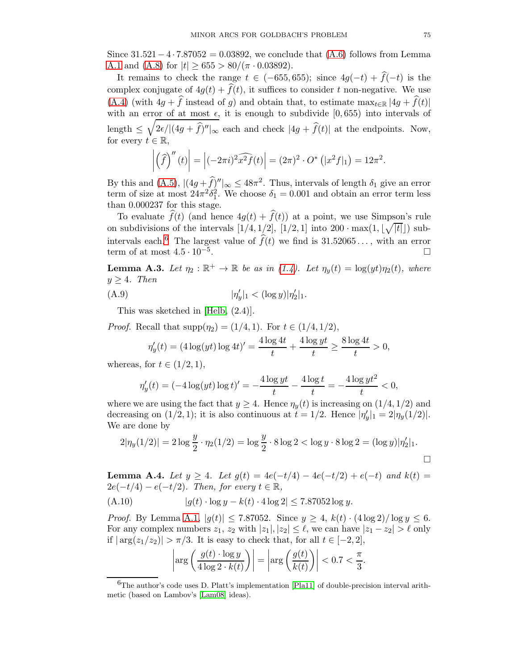Since  $31.521 - 4 \cdot 7.87052 = 0.03892$ , we conclude that  $(A.6)$  follows from Lemma [A.1](#page-72-0) and [\(A.8\)](#page-73-5) for  $|t| \ge 655 > 80/(\pi \cdot 0.03892)$ .

It remains to check the range  $t \in (-655, 655)$ ; since  $4g(-t) + \hat{f}(-t)$  is the complex conjugate of  $4g(t) + \hat{f}(t)$ , it suffices to consider t non-negative. We use [\(A.4\)](#page-73-1) (with  $4g + \hat{f}$  instead of g) and obtain that, to estimate  $\max_{t \in \mathbb{R}} |4g + \hat{f}(t)|$ with an error of at most  $\epsilon$ , it is enough to subdivide [0,655) into intervals of length  $\leq \sqrt{2\epsilon/|(4g+\hat{f})''|_{\infty}}$  each and check  $|4g+\hat{f}(t)|$  at the endpoints. Now, for every  $t \in \mathbb{R}$ ,

$$
\left| \left( \widehat{f} \right)^{\prime\prime}(t) \right| = \left| (-2\pi i)^2 \widehat{x^2 f}(t) \right| = (2\pi)^2 \cdot O^* \left( |x^2 f|_1 \right) = 12\pi^2.
$$

By this and  $(A.5)$ ,  $|(4g+\hat{f})^{\prime\prime}|_{\infty} \leq 48\pi^2$ . Thus, intervals of length  $\delta_1$  give an error term of size at most  $24\pi^2 \delta_1^2$ . We choose  $\delta_1 = 0.001$  and obtain an error term less than 0.000237 for this stage.

To evaluate  $\widehat{f}(t)$  (and hence  $4g(t) + \widehat{f}(t)$ ) at a point, we use Simpson's rule on subdivisions of the intervals  $[1/4, 1/2]$ ,  $[1/2, 1]$  into  $200 \cdot \max(1, \lfloor\sqrt{|t|}\rfloor)$  sub-intervals each.<sup>[6](#page-74-0)</sup> The largest value of  $\hat{f}(t)$  we find is 31.52065..., with an error term of at most  $4.5 \cdot 10^{-5}$ . term of at most  $4.5 \cdot 10^{-5}$ . . В последните при последните последните последните последните последните последните последните последните по<br>В последните последните последните последните последните последните последните последните последните последнит

**Lemma A.3.** Let  $\eta_2 : \mathbb{R}^+ \to \mathbb{R}$  be as in [\(1.4\)](#page-2-0). Let  $\eta_y(t) = \log(yt)\eta_2(t)$ , where  $y \geq 4$ . Then

(A.9) 
$$
|\eta'_y|_1 < (\log y)|\eta'_2|_1.
$$

This was sketched in [\[Helb,](#page-77-0) (2.4)].

*Proof.* Recall that  $\text{supp}(\eta_2) = (1/4, 1)$ . For  $t \in (1/4, 1/2)$ ,

$$
\eta_y'(t) = (4\log(yt)\log 4t)' = \frac{4\log 4t}{t} + \frac{4\log yt}{t} \ge \frac{8\log 4t}{t} > 0,
$$

whereas, for  $t \in (1/2, 1)$ ,

$$
\eta_y'(t) = (-4\log(yt)\log t)' = -\frac{4\log yt}{t} - \frac{4\log t}{t} = -\frac{4\log yt^2}{t} < 0,
$$

where we are using the fact that  $y \geq 4$ . Hence  $\eta_y(t)$  is increasing on  $(1/4, 1/2)$  and decreasing on  $(1/2, 1)$ ; it is also continuous at  $t = 1/2$ . Hence  $|\eta'_y|_1 = 2|\eta_y(1/2)|$ . We are done by

$$
2|\eta_y(1/2)| = 2\log\frac{y}{2} \cdot \eta_2(1/2) = \log\frac{y}{2} \cdot 8\log 2 < \log y \cdot 8\log 2 = (\log y)|\eta_2'|_1.
$$

<span id="page-74-2"></span>**Lemma A.4.** Let  $y \ge 4$ . Let  $g(t) = 4e(-t/4) - 4e(-t/2) + e(-t)$  and  $k(t) =$  $2e(-t/4) - e(-t/2)$ . Then, for every  $t \in \mathbb{R}$ ,

(A.10) 
$$
|g(t) \cdot \log y - k(t) \cdot 4 \log 2| \le 7.87052 \log y.
$$

*Proof.* By Lemma [A.1,](#page-72-0)  $|g(t)| \le 7.87052$ . Since  $y \ge 4$ ,  $k(t) \cdot (4 \log 2)/\log y \le 6$ . For any complex numbers  $z_1$ ,  $z_2$  with  $|z_1|, |z_2| \leq \ell$ , we can have  $|z_1 - z_2| > \ell$  only if  $|\arg(z_1/z_2)| > \pi/3$ . It is easy to check that, for all  $t \in [-2, 2]$ ,

<span id="page-74-1"></span>
$$
\left| \arg \left( \frac{g(t) \cdot \log y}{4 \log 2 \cdot k(t)} \right) \right| = \left| \arg \left( \frac{g(t)}{k(t)} \right) \right| < 0.7 < \frac{\pi}{3}.
$$

<span id="page-74-0"></span> ${}^{6}$ The author's code uses D. Platt's implementation [\[Pla11\]](#page-77-1) of double-precision interval arithmetic (based on Lambov's [\[Lam08\]](#page-77-2) ideas).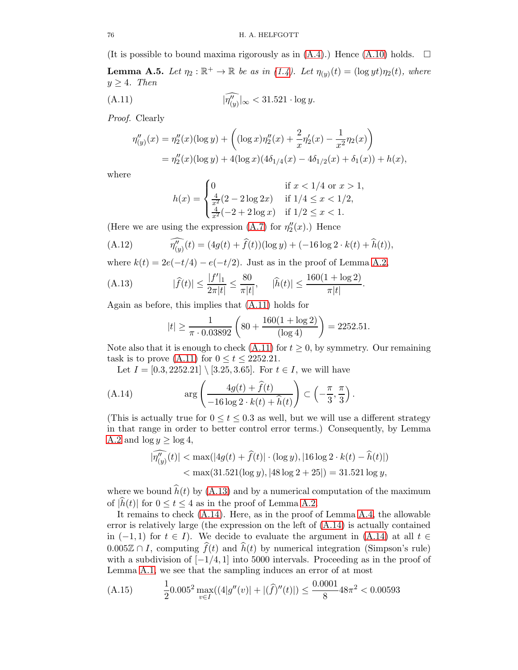(It is possible to bound maxima rigorously as in  $(A.4)$ .) Hence  $(A.10)$  holds.  $\Box$ **Lemma A.5.** Let  $\eta_2 : \mathbb{R}^+ \to \mathbb{R}$  be as in [\(1.4\)](#page-2-0). Let  $\eta_{(y)}(t) = (\log y t) \eta_2(t)$ , where  $y \geq 4$ . Then

$$
\widehat{|\eta''_{(y)}}|_{\infty} < 31.521 \cdot \log y.
$$

Proof. Clearly

$$
\eta''_{(y)}(x) = \eta''_2(x)(\log y) + \left( (\log x)\eta''_2(x) + \frac{2}{x}\eta'_2(x) - \frac{1}{x^2}\eta_2(x) \right)
$$
  
=  $\eta''_2(x)(\log y) + 4(\log x)(4\delta_{1/4}(x) - 4\delta_{1/2}(x) + \delta_1(x)) + h(x),$ 

where

<span id="page-75-0"></span>
$$
h(x) = \begin{cases} 0 & \text{if } x < 1/4 \text{ or } x > 1, \\ \frac{4}{x^2}(2 - 2\log 2x) & \text{if } 1/4 \le x < 1/2, \\ \frac{4}{x^2}(-2 + 2\log x) & \text{if } 1/2 \le x < 1. \end{cases}
$$

(Here we are using the expression [\(A.7\)](#page-73-6) for  $\eta_2''(x)$ .) Hence

(A.12) 
$$
\widehat{\eta''_{(y)}}(t) = (4g(t) + \widehat{f}(t))(\log y) + (-16\log 2 \cdot k(t) + \widehat{h}(t)),
$$

where  $k(t) = 2e(-t/4) - e(-t/2)$ . Just as in the proof of Lemma [A.2,](#page-73-7)

(A.13) 
$$
|\widehat{f}(t)| \le \frac{|f'|_1}{2\pi|t|} \le \frac{80}{\pi|t|}, \quad |\widehat{h}(t)| \le \frac{160(1 + \log 2)}{\pi|t|}.
$$

Again as before, this implies that [\(A.11\)](#page-75-0) holds for

<span id="page-75-1"></span>
$$
|t| \ge \frac{1}{\pi \cdot 0.03892} \left( 80 + \frac{160(1 + \log 2)}{(\log 4)} \right) = 2252.51.
$$

Note also that it is enough to check  $(A.11)$  for  $t \ge 0$ , by symmetry. Our remaining task is to prove [\(A.11\)](#page-75-0) for  $0 \le t \le 2252.21$ .

Let  $I = [0.3, 2252.21] \setminus [3.25, 3.65]$ . For  $t \in I$ , we will have

(A.14) 
$$
\arg\left(\frac{4g(t) + \widehat{f}(t)}{-16\log 2 \cdot k(t) + \widehat{h}(t)}\right) \subset \left(-\frac{\pi}{3}, \frac{\pi}{3}\right).
$$

(This is actually true for  $0 \le t \le 0.3$  as well, but we will use a different strategy in that range in order to better control error terms.) Consequently, by Lemma [A.2](#page-73-7) and  $\log y \ge \log 4$ ,

<span id="page-75-2"></span>
$$
\begin{aligned} |\widehat{\eta_{(y)}''}(t)|&<\max(|4g(t)+\widehat{f}(t)|\cdot(\log y),|16\log 2\cdot k(t)-\widehat{h}(t)|)\\ &<\max(31.521(\log y),|48\log 2+25|)=31.521\log y,\end{aligned}
$$

where we bound  $\hat{h}(t)$  by [\(A.13\)](#page-75-1) and by a numerical computation of the maximum of  $|\hat{h}(t)|$  for  $0 \le t \le 4$  as in the proof of Lemma [A.2.](#page-73-7)

It remains to check [\(A.14\)](#page-75-2). Here, as in the proof of Lemma [A.4,](#page-74-2) the allowable error is relatively large (the expression on the left of  $(A.14)$ ) is actually contained in  $(-1, 1)$  for  $t \in I$ ). We decide to evaluate the argument in  $(A.14)$  at all  $t \in$  $0.005\mathbb{Z} \cap I$ , computing  $\widehat{f}(t)$  and  $\widehat{h}(t)$  by numerical integration (Simpson's rule) with a subdivision of  $[-1/4, 1]$  into 5000 intervals. Proceeding as in the proof of Lemma [A.1,](#page-72-0) we see that the sampling induces an error of at most

(A.15) 
$$
\frac{1}{2} 0.005^2 \max_{v \in I}((4|g''(v)| + |(\hat{f})''(t)|) \le \frac{0.0001}{8} 48\pi^2 < 0.00593
$$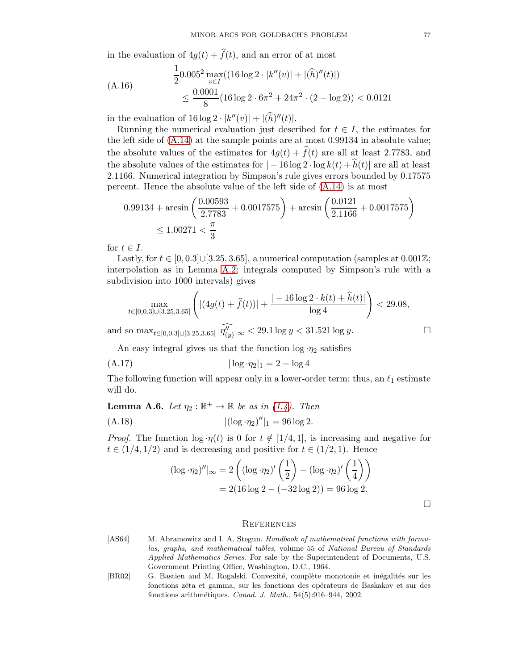in the evaluation of  $4g(t) + \hat{f}(t)$ , and an error of at most

$$
\frac{1}{2}0.005^2 \max_{v \in I}((16 \log 2 \cdot |k''(v)| + |(\hat{h})''(t)|)
$$
  
 
$$
\leq \frac{0.0001}{8}(16 \log 2 \cdot 6\pi^2 + 24\pi^2 \cdot (2 - \log 2)) < 0.0121
$$

in the evaluation of  $16 \log 2 \cdot |k''(v)| + |(h)''(t)|$ .

Running the numerical evaluation just described for  $t \in I$ , the estimates for the left side of [\(A.14\)](#page-75-2) at the sample points are at most 0.99134 in absolute value; the absolute values of the estimates for  $4g(t) + \hat{f}(t)$  are all at least 2.7783, and the absolute values of the estimates for  $|-16 \log 2 \cdot \log k(t) + \widehat{h}(t)|$  are all at least 2.1166. Numerical integration by Simpson's rule gives errors bounded by 0.17575 percent. Hence the absolute value of the left side of [\(A.14\)](#page-75-2) is at most

$$
0.99134 + \arcsin\left(\frac{0.00593}{2.7783} + 0.0017575\right) + \arcsin\left(\frac{0.0121}{2.1166} + 0.0017575\right) \le 1.00271 < \frac{\pi}{3}
$$

for  $t \in I$ .

Lastly, for  $t \in [0, 0.3] \cup [3.25, 3.65]$ , a numerical computation (samples at 0.001 $\mathbb{Z}$ ; interpolation as in Lemma [A.2;](#page-73-7) integrals computed by Simpson's rule with a subdivision into 1000 intervals) gives

$$
\max_{t \in [0,0.3] \cup [3.25,3.65]} \left( |(4g(t) + \hat{f}(t))| + \frac{| - 16\log 2 \cdot k(t) + \hat{h}(t)|}{\log 4} \right) < 29.08,
$$

and so  $\max_{t \in [0,0.3] \cup [3.25,3.65]} |\widehat{\eta''_{(y)}}|_{\infty} < 29.1 \log y < 31.521 \log y.$ 

An easy integral gives us that the function  $\log \eta_2$  satisfies

(A.17) 
$$
|\log \cdot \eta_2|_1 = 2 - \log 4
$$

The following function will appear only in a lower-order term; thus, an  $\ell_1$  estimate will do.

**Lemma A.6.** Let  $\eta_2 : \mathbb{R}^+ \to \mathbb{R}$  be as in [\(1.4\)](#page-2-0). Then

(A.18) 
$$
|(\log \cdot \eta_2)^{\prime\prime}|_1 = 96 \log 2.
$$

*Proof.* The function  $\log \eta(t)$  is 0 for  $t \notin [1/4, 1]$ , is increasing and negative for  $t \in (1/4, 1/2)$  and is decreasing and positive for  $t \in (1/2, 1)$ . Hence

$$
|(\log \eta_2)''|_{\infty} = 2\left((\log \eta_2)'\left(\frac{1}{2}\right) - (\log \eta_2)'\left(\frac{1}{4}\right)\right)
$$
  
= 2(16 log 2 - (-32 log 2)) = 96 log 2.

 $\Box$ 

## **REFERENCES**

- [AS64] M. Abramowitz and I. A. Stegun. *Handbook of mathematical functions with formulas, graphs, and mathematical tables*, volume 55 of *National Bureau of Standards Applied Mathematics Series*. For sale by the Superintendent of Documents, U.S. Government Printing Office, Washington, D.C., 1964.
- [BR02] G. Bastien and M. Rogalski. Convexité, complète monotonie et inégalités sur les fonctions zêta et gamma, sur les fonctions des opérateurs de Baskakov et sur des fonctions arithm´etiques. *Canad. J. Math.*, 54(5):916–944, 2002.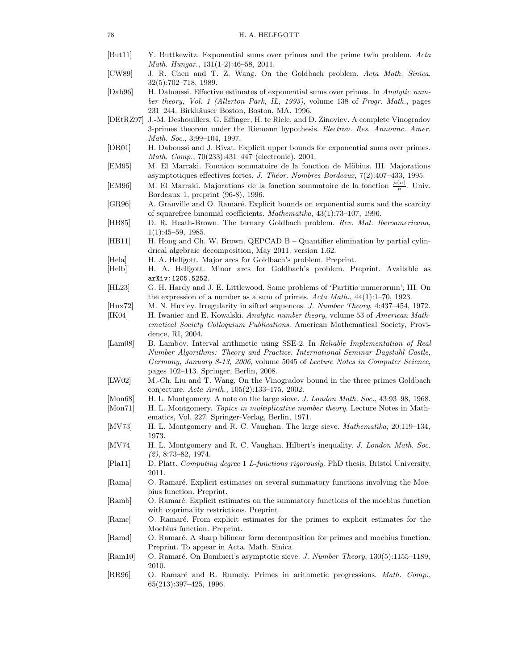- [But11] Y. Buttkewitz. Exponential sums over primes and the prime twin problem. *Acta Math. Hungar.*, 131(1-2):46–58, 2011.
- [CW89] J. R. Chen and T. Z. Wang. On the Goldbach problem. *Acta Math. Sinica*, 32(5):702–718, 1989.
- [Dab96] H. Daboussi. Effective estimates of exponential sums over primes. In *Analytic number theory, Vol. 1 (Allerton Park, IL, 1995)*, volume 138 of *Progr. Math.*, pages 231–244. Birkh¨auser Boston, Boston, MA, 1996.
- [DEtRZ97] J.-M. Deshouillers, G. Effinger, H. te Riele, and D. Zinoviev. A complete Vinogradov 3-primes theorem under the Riemann hypothesis. *Electron. Res. Announc. Amer. Math. Soc.*, 3:99–104, 1997.
- [DR01] H. Daboussi and J. Rivat. Explicit upper bounds for exponential sums over primes. *Math. Comp.*, 70(233):431–447 (electronic), 2001.
- [EM95] M. El Marraki. Fonction sommatoire de la fonction de Möbius. III. Majorations asymptotiques effectives fortes. *J. Th´eor. Nombres Bordeaux*, 7(2):407–433, 1995.
- [EM96] M. El Marraki. Majorations de la fonction sommatoire de la fonction  $\frac{\mu(n)}{n}$ . Univ. Bordeaux 1, preprint (96-8), 1996.
- [GR96] A. Granville and O. Ramaré. Explicit bounds on exponential sums and the scarcity of squarefree binomial coefficients. *Mathematika*, 43(1):73–107, 1996.
- [HB85] D. R. Heath-Brown. The ternary Goldbach problem. *Rev. Mat. Iberoamericana*, 1(1):45–59, 1985.
- [HB11] H. Hong and Ch. W. Brown. QEPCAD B Quantifier elimination by partial cylindrical algebraic decomposition, May 2011. version 1.62.
- [Hela] H. A. Helfgott. Major arcs for Goldbach's problem. Preprint.
- <span id="page-77-0"></span>[Helb] H. A. Helfgott. Minor arcs for Goldbach's problem. Preprint. Available as arXiv:1205.5252.
- [HL23] G. H. Hardy and J. E. Littlewood. Some problems of 'Partitio numerorum'; III: On the expression of a number as a sum of primes. *Acta Math.*, 44(1):1–70, 1923.
- [Hux72] M. N. Huxley. Irregularity in sifted sequences. *J. Number Theory*, 4:437–454, 1972.
- [IK04] H. Iwaniec and E. Kowalski. *Analytic number theory*, volume 53 of *American Mathematical Society Colloquium Publications*. American Mathematical Society, Providence, RI, 2004.
- <span id="page-77-2"></span>[Lam08] B. Lambov. Interval arithmetic using SSE-2. In *Reliable Implementation of Real Number Algorithms: Theory and Practice. International Seminar Dagstuhl Castle, Germany, January 8-13, 2006*, volume 5045 of *Lecture Notes in Computer Science*, pages 102–113. Springer, Berlin, 2008.
- [LW02] M.-Ch. Liu and T. Wang. On the Vinogradov bound in the three primes Goldbach conjecture. *Acta Arith.*, 105(2):133–175, 2002.
- [Mon68] H. L. Montgomery. A note on the large sieve. *J. London Math. Soc.*, 43:93–98, 1968.
- [Mon71] H. L. Montgomery. *Topics in multiplicative number theory*. Lecture Notes in Mathematics, Vol. 227. Springer-Verlag, Berlin, 1971.
- [MV73] H. L. Montgomery and R. C. Vaughan. The large sieve. *Mathematika*, 20:119–134, 1973.
- [MV74] H. L. Montgomery and R. C. Vaughan. Hilbert's inequality. *J. London Math. Soc. (2)*, 8:73–82, 1974.
- <span id="page-77-1"></span>[Pla11] D. Platt. *Computing degree* 1 *L-functions rigorously*. PhD thesis, Bristol University, 2011.
- [Rama] O. Ramaré. Explicit estimates on several summatory functions involving the Moebius function. Preprint.
- [Ramb] O. Ramaré. Explicit estimates on the summatory functions of the moebius function with coprimality restrictions. Preprint.
- [Ramc] O. Ramaré. From explicit estimates for the primes to explicit estimates for the Moebius function. Preprint.
- [Ramd] O. Ramaré. A sharp bilinear form decomposition for primes and moebius function. Preprint. To appear in Acta. Math. Sinica.
- [Ram10] O. Ramar´e. On Bombieri's asymptotic sieve. *J. Number Theory*, 130(5):1155–1189, 2010.
- [RR96] O. Ramaré and R. Rumely. Primes in arithmetic progressions. *Math. Comp.*, 65(213):397–425, 1996.